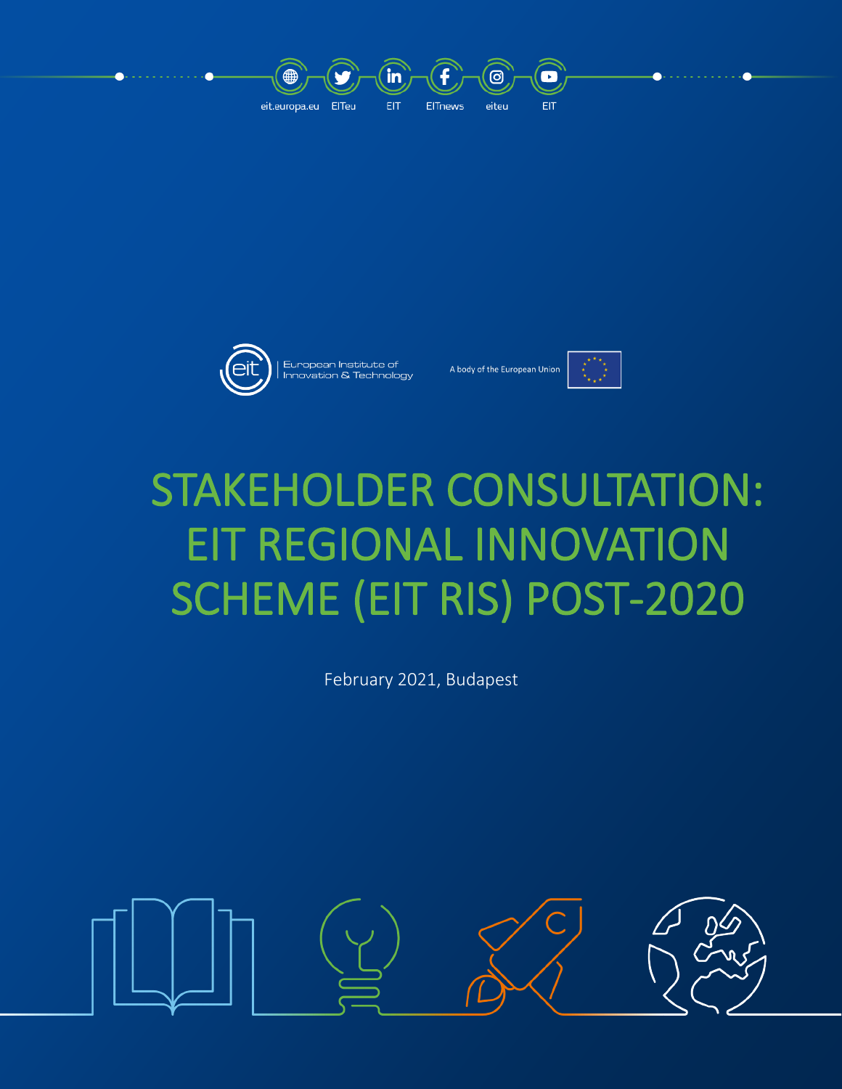



European Institute of<br>Innovation & Technology



# STAKEHOLDER CONSULTATION: EIT REGIONAL INNOVATION SCHEME (EIT RIS) POST-2020

February 2021, Budapest

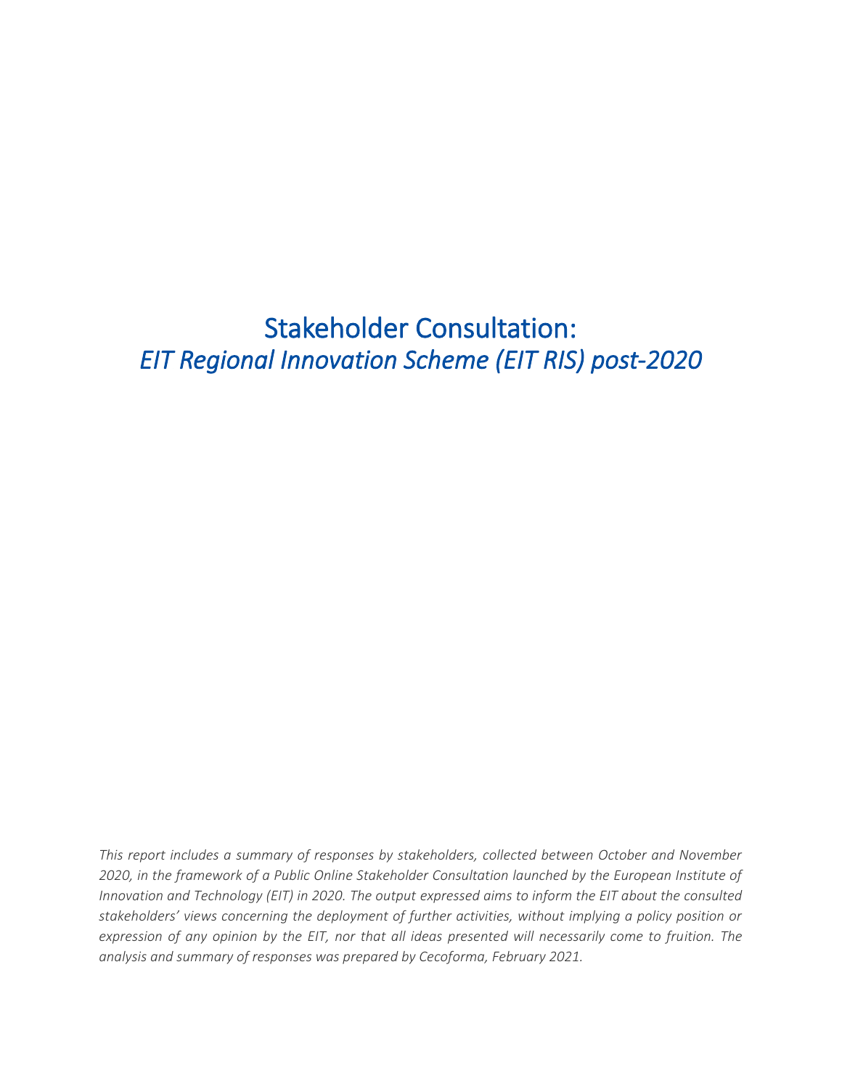Stakeholder Consultation: *EIT Regional Innovation Scheme (EIT RIS) post-2020*

*This report includes a summary of responses by stakeholders, collected between October and November 2020, in the framework of a Public Online Stakeholder Consultation launched by the European Institute of Innovation and Technology (EIT) in 2020. The output expressed aims to inform the EIT about the consulted stakeholders' views concerning the deployment of further activities, without implying a policy position or expression of any opinion by the EIT, nor that all ideas presented will necessarily come to fruition. The analysis and summary of responses was prepared by Cecoforma, February 2021.*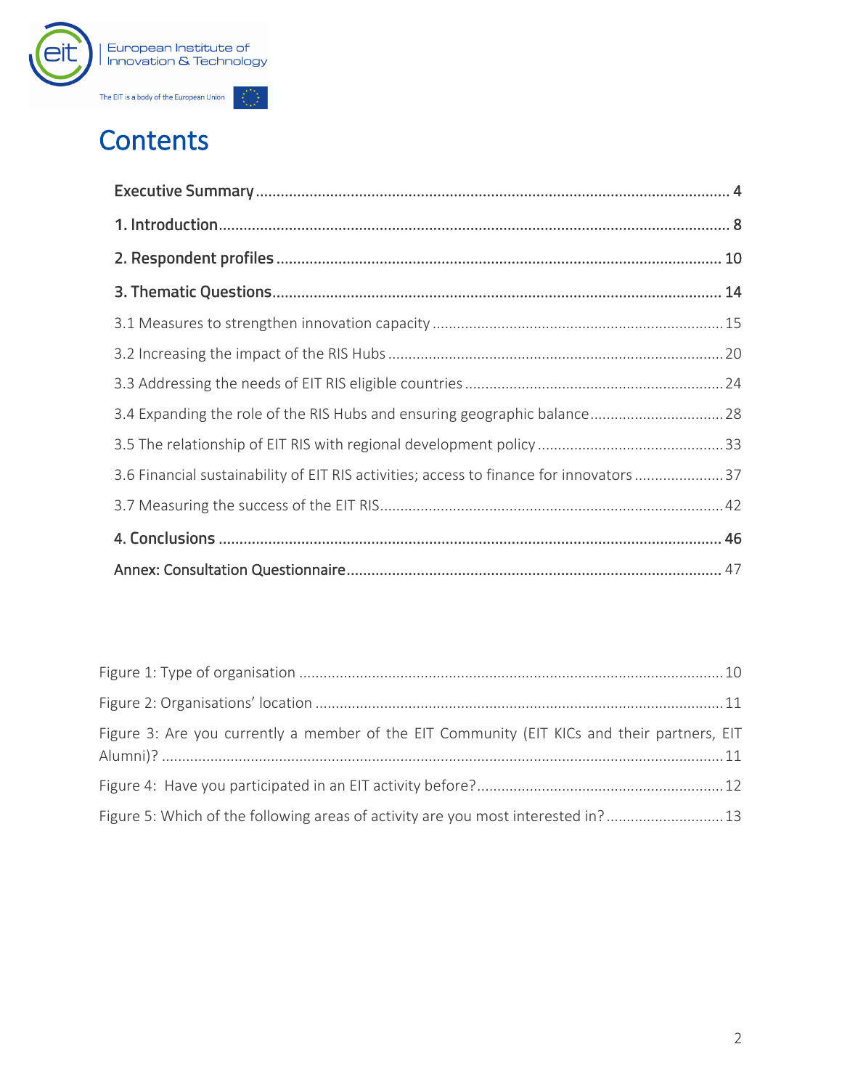

## Contents

| 3.6 Financial sustainability of EIT RIS activities; access to finance for innovators 37 |  |
|-----------------------------------------------------------------------------------------|--|
|                                                                                         |  |
|                                                                                         |  |
|                                                                                         |  |

| Figure 3: Are you currently a member of the EIT Community (EIT KICs and their partners, EIT |  |
|---------------------------------------------------------------------------------------------|--|
|                                                                                             |  |
| Figure 5: Which of the following areas of activity are you most interested in? 13           |  |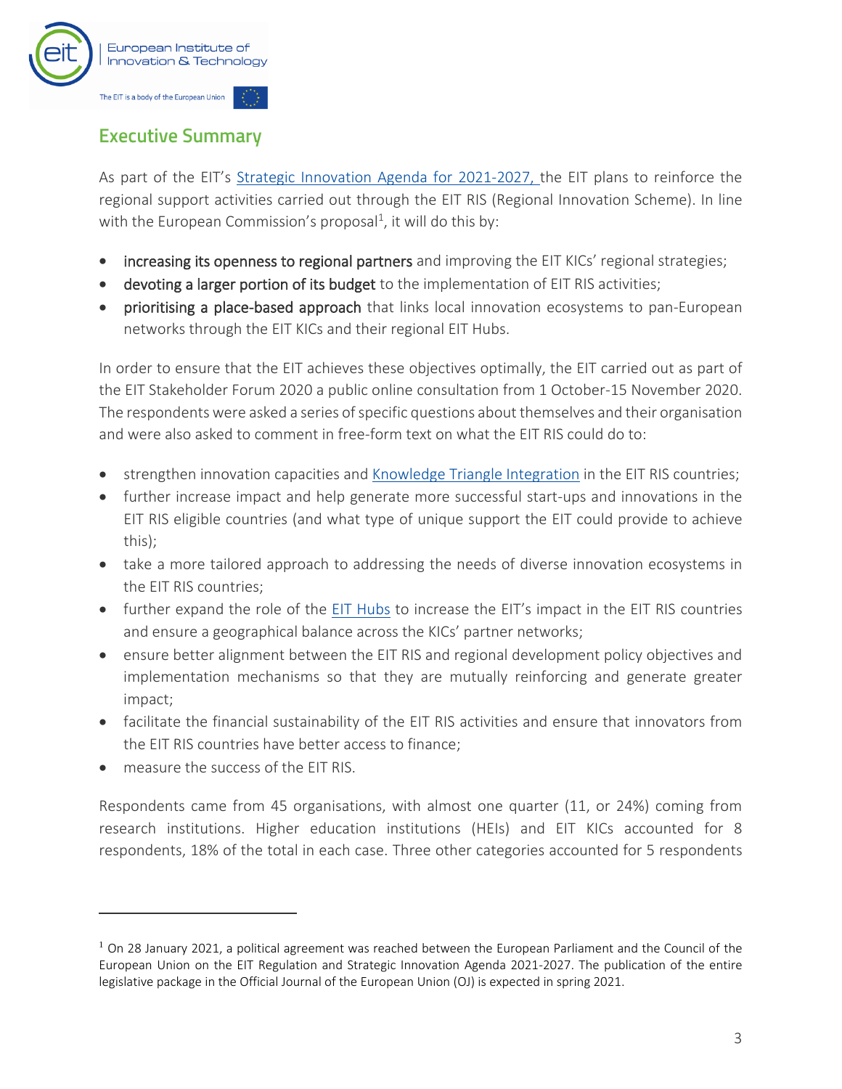

## **Executive Summary**

As part of the EIT's [Strategic Innovation Agenda for 2021-2027,](https://eit.europa.eu/who-we-are/eit-glance/eit-strategy-2021-2027) the EIT plans to reinforce the regional support activities carried out through the EIT RIS (Regional Innovation Scheme). In line with the European Commission's proposal<sup>1</sup>, it will do this by:

- increasing its openness to regional partners and improving the EIT KICs' regional strategies;
- devoting a larger portion of its budget to the implementation of EIT RIS activities;
- prioritising a place-based approach that links local innovation ecosystems to pan-European networks through the EIT KICs and their regional EIT Hubs.

In order to ensure that the EIT achieves these objectives optimally, the EIT carried out as part of the EIT Stakeholder Forum 2020 a public online consultation from 1 October-15 November 2020. The respondents were asked a series of specific questions about themselves and their organisation and were also asked to comment in free-form text on what the EIT RIS could do to:

- strengthen innovation capacities and [Knowledge Triangle Integration](https://eit.europa.eu/our-communities/eit-innovation-communities) in the EIT RIS countries;
- further increase impact and help generate more successful start-ups and innovations in the EIT RIS eligible countries (and what type of unique support the EIT could provide to achieve this);
- take a more tailored approach to addressing the needs of diverse innovation ecosystems in the EIT RIS countries;
- further expand the role of the [EIT Hubs](https://eit.europa.eu/our-communities/eit-innovation-communities/innovation-hubs) to increase the EIT's impact in the EIT RIS countries and ensure a geographical balance across the KICs' partner networks;
- ensure better alignment between the EIT RIS and regional development policy objectives and implementation mechanisms so that they are mutually reinforcing and generate greater impact;
- facilitate the financial sustainability of the EIT RIS activities and ensure that innovators from the EIT RIS countries have better access to finance;
- measure the success of the FIT RIS.

Respondents came from 45 organisations, with almost one quarter (11, or 24%) coming from research institutions. Higher education institutions (HEIs) and EIT KICs accounted for 8 respondents, 18% of the total in each case. Three other categories accounted for 5 respondents

 $1$  On 28 January 2021, a political agreement was reached between the European Parliament and the Council of the European Union on the EIT Regulation and Strategic Innovation Agenda 2021-2027. The publication of the entire legislative package in the Official Journal of the European Union (OJ) is expected in spring 2021.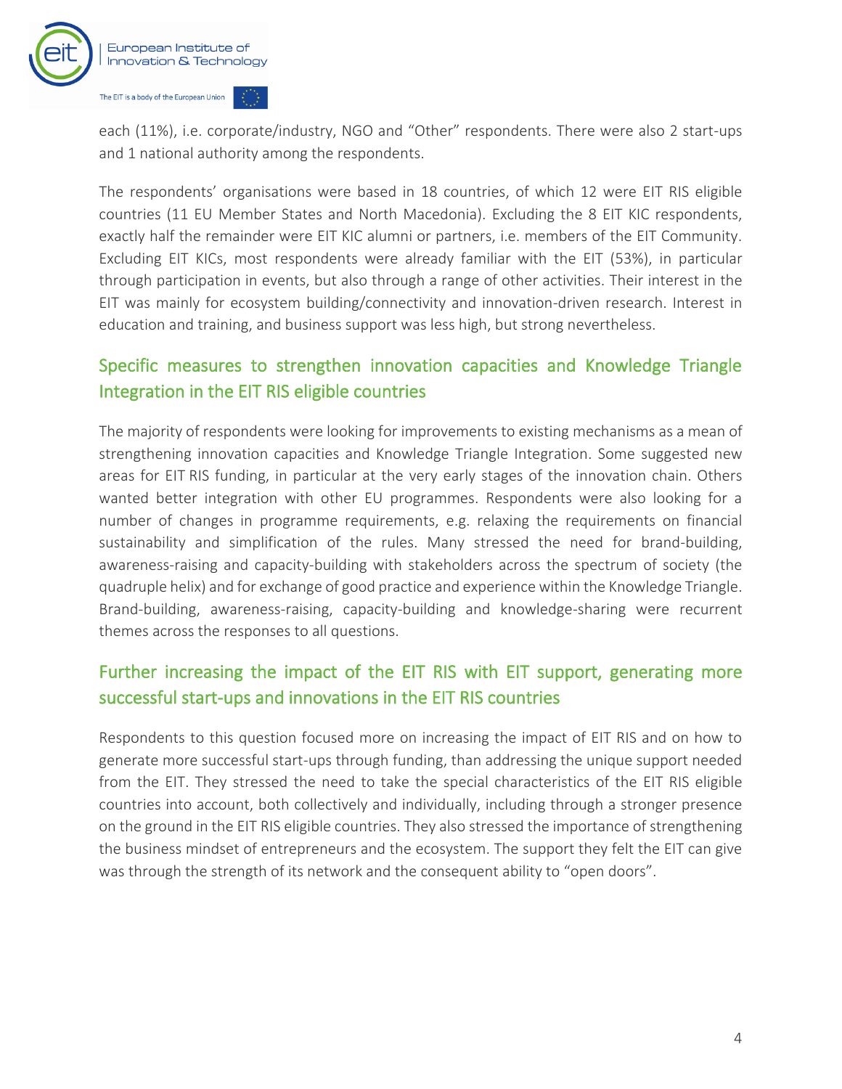

each (11%), i.e. corporate/industry, NGO and "Other" respondents. There were also 2 start-ups and 1 national authority among the respondents.

The respondents' organisations were based in 18 countries, of which 12 were EIT RIS eligible countries (11 EU Member States and North Macedonia). Excluding the 8 EIT KIC respondents, exactly half the remainder were EIT KIC alumni or partners, i.e. members of the EIT Community. Excluding EIT KICs, most respondents were already familiar with the EIT (53%), in particular through participation in events, but also through a range of other activities. Their interest in the EIT was mainly for ecosystem building/connectivity and innovation-driven research. Interest in education and training, and business support was less high, but strong nevertheless.

## Specific measures to strengthen innovation capacities and Knowledge Triangle Integration in the EIT RIS eligible countries

The majority of respondents were looking for improvements to existing mechanisms as a mean of strengthening innovation capacities and Knowledge Triangle Integration. Some suggested new areas for EIT RIS funding, in particular at the very early stages of the innovation chain. Others wanted better integration with other EU programmes. Respondents were also looking for a number of changes in programme requirements, e.g. relaxing the requirements on financial sustainability and simplification of the rules. Many stressed the need for brand-building, awareness-raising and capacity-building with stakeholders across the spectrum of society (the quadruple helix) and for exchange of good practice and experience within the Knowledge Triangle. Brand-building, awareness-raising, capacity-building and knowledge-sharing were recurrent themes across the responses to all questions.

## Further increasing the impact of the EIT RIS with EIT support, generating more successful start-ups and innovations in the EIT RIS countries

Respondents to this question focused more on increasing the impact of EIT RIS and on how to generate more successful start-ups through funding, than addressing the unique support needed from the EIT. They stressed the need to take the special characteristics of the EIT RIS eligible countries into account, both collectively and individually, including through a stronger presence on the ground in the EIT RIS eligible countries. They also stressed the importance of strengthening the business mindset of entrepreneurs and the ecosystem. The support they felt the EIT can give was through the strength of its network and the consequent ability to "open doors".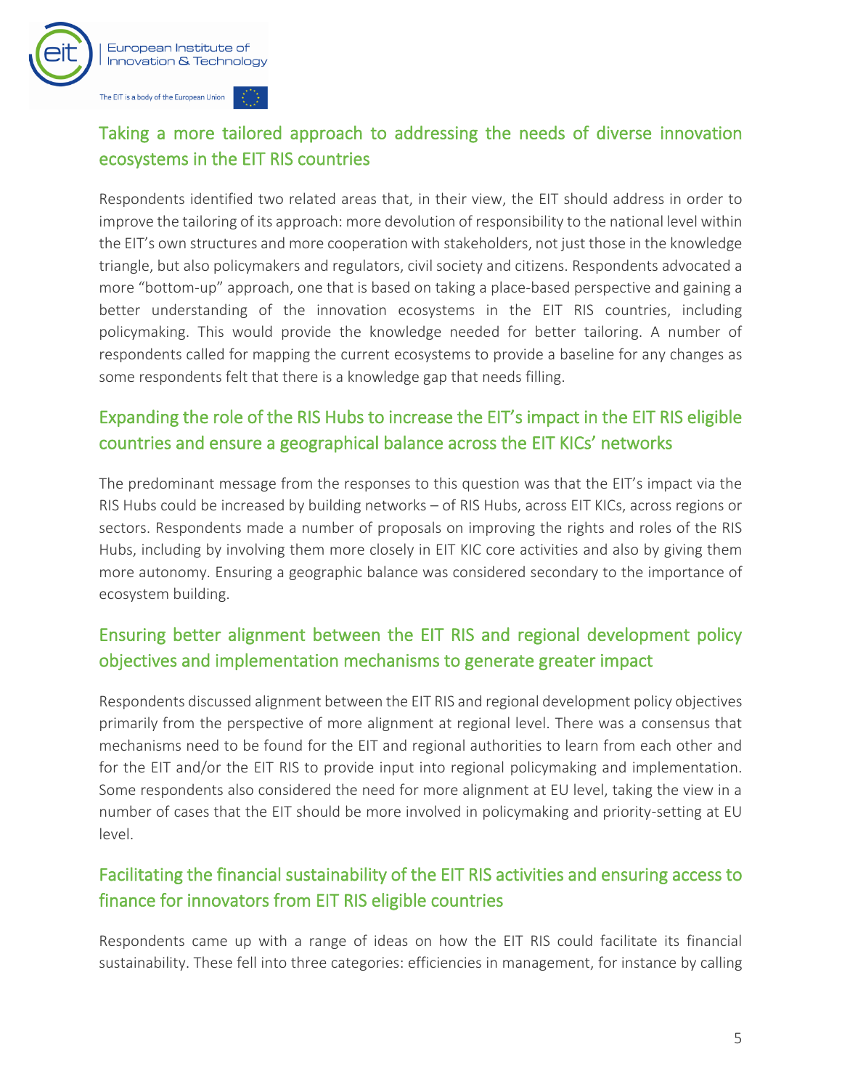

## Taking a more tailored approach to addressing the needs of diverse innovation ecosystems in the EIT RIS countries

Respondents identified two related areas that, in their view, the EIT should address in order to improve the tailoring of its approach: more devolution of responsibility to the national level within the EIT's own structures and more cooperation with stakeholders, not just those in the knowledge triangle, but also policymakers and regulators, civil society and citizens. Respondents advocated a more "bottom-up" approach, one that is based on taking a place-based perspective and gaining a better understanding of the innovation ecosystems in the EIT RIS countries, including policymaking. This would provide the knowledge needed for better tailoring. A number of respondents called for mapping the current ecosystems to provide a baseline for any changes as some respondents felt that there is a knowledge gap that needs filling.

## Expanding the role of the RIS Hubs to increase the EIT's impact in the EIT RIS eligible countries and ensure a geographical balance across the EIT KICs' networks

The predominant message from the responses to this question was that the EIT's impact via the RIS Hubs could be increased by building networks – of RIS Hubs, across EIT KICs, across regions or sectors. Respondents made a number of proposals on improving the rights and roles of the RIS Hubs, including by involving them more closely in EIT KIC core activities and also by giving them more autonomy. Ensuring a geographic balance was considered secondary to the importance of ecosystem building.

## Ensuring better alignment between the EIT RIS and regional development policy objectives and implementation mechanisms to generate greater impact

Respondents discussed alignment between the EIT RIS and regional development policy objectives primarily from the perspective of more alignment at regional level. There was a consensus that mechanisms need to be found for the EIT and regional authorities to learn from each other and for the EIT and/or the EIT RIS to provide input into regional policymaking and implementation. Some respondents also considered the need for more alignment at EU level, taking the view in a number of cases that the EIT should be more involved in policymaking and priority-setting at EU level.

## Facilitating the financial sustainability of the EIT RIS activities and ensuring access to finance for innovators from EIT RIS eligible countries

Respondents came up with a range of ideas on how the EIT RIS could facilitate its financial sustainability. These fell into three categories: efficiencies in management, for instance by calling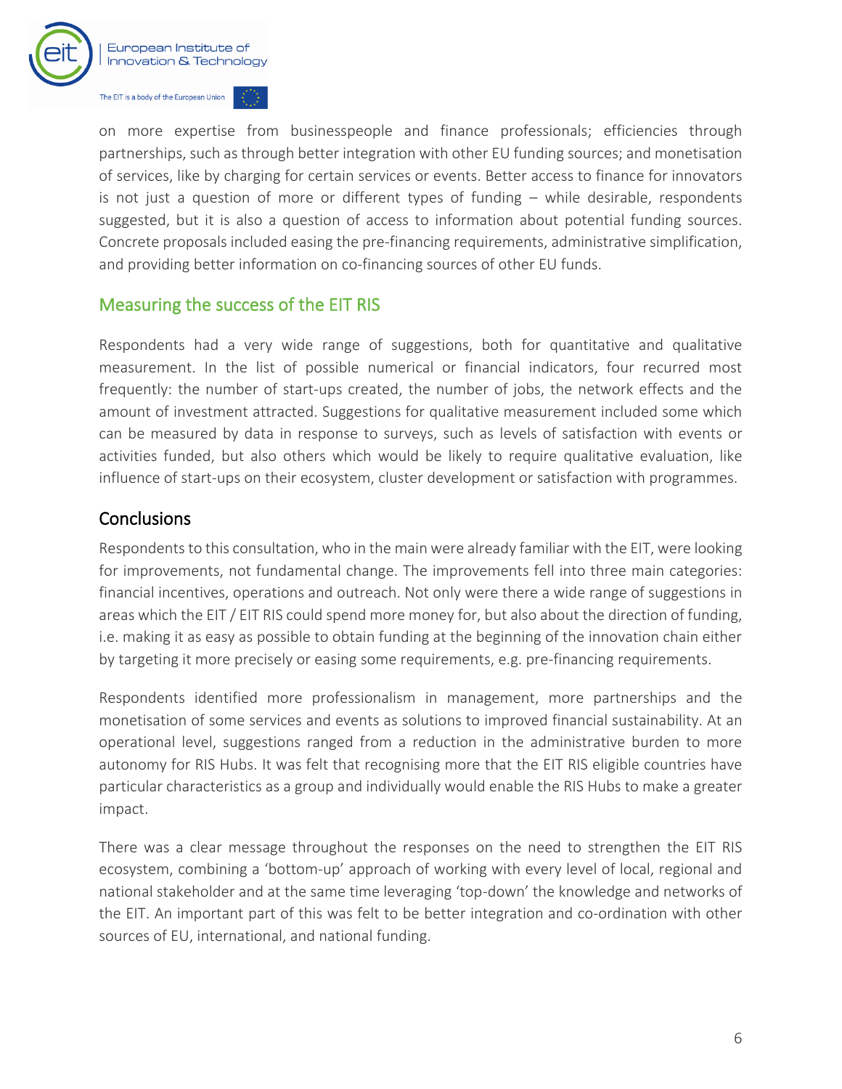

on more expertise from businesspeople and finance professionals; efficiencies through partnerships, such as through better integration with other EU funding sources; and monetisation of services, like by charging for certain services or events. Better access to finance for innovators is not just a question of more or different types of funding – while desirable, respondents suggested, but it is also a question of access to information about potential funding sources. Concrete proposals included easing the pre-financing requirements, administrative simplification, and providing better information on co-financing sources of other EU funds.

#### Measuring the success of the EIT RIS

Respondents had a very wide range of suggestions, both for quantitative and qualitative measurement. In the list of possible numerical or financial indicators, four recurred most frequently: the number of start-ups created, the number of jobs, the network effects and the amount of investment attracted. Suggestions for qualitative measurement included some which can be measured by data in response to surveys, such as levels of satisfaction with events or activities funded, but also others which would be likely to require qualitative evaluation, like influence of start-ups on their ecosystem, cluster development or satisfaction with programmes.

#### **Conclusions**

Respondents to this consultation, who in the main were already familiar with the EIT, were looking for improvements, not fundamental change. The improvements fell into three main categories: financial incentives, operations and outreach. Not only were there a wide range of suggestions in areas which the EIT / EIT RIS could spend more money for, but also about the direction of funding, i.e. making it as easy as possible to obtain funding at the beginning of the innovation chain either by targeting it more precisely or easing some requirements, e.g. pre-financing requirements.

Respondents identified more professionalism in management, more partnerships and the monetisation of some services and events as solutions to improved financial sustainability. At an operational level, suggestions ranged from a reduction in the administrative burden to more autonomy for RIS Hubs. It was felt that recognising more that the EIT RIS eligible countries have particular characteristics as a group and individually would enable the RIS Hubs to make a greater impact.

There was a clear message throughout the responses on the need to strengthen the EIT RIS ecosystem, combining a 'bottom-up' approach of working with every level of local, regional and national stakeholder and at the same time leveraging 'top-down' the knowledge and networks of the EIT. An important part of this was felt to be better integration and co-ordination with other sources of EU, international, and national funding.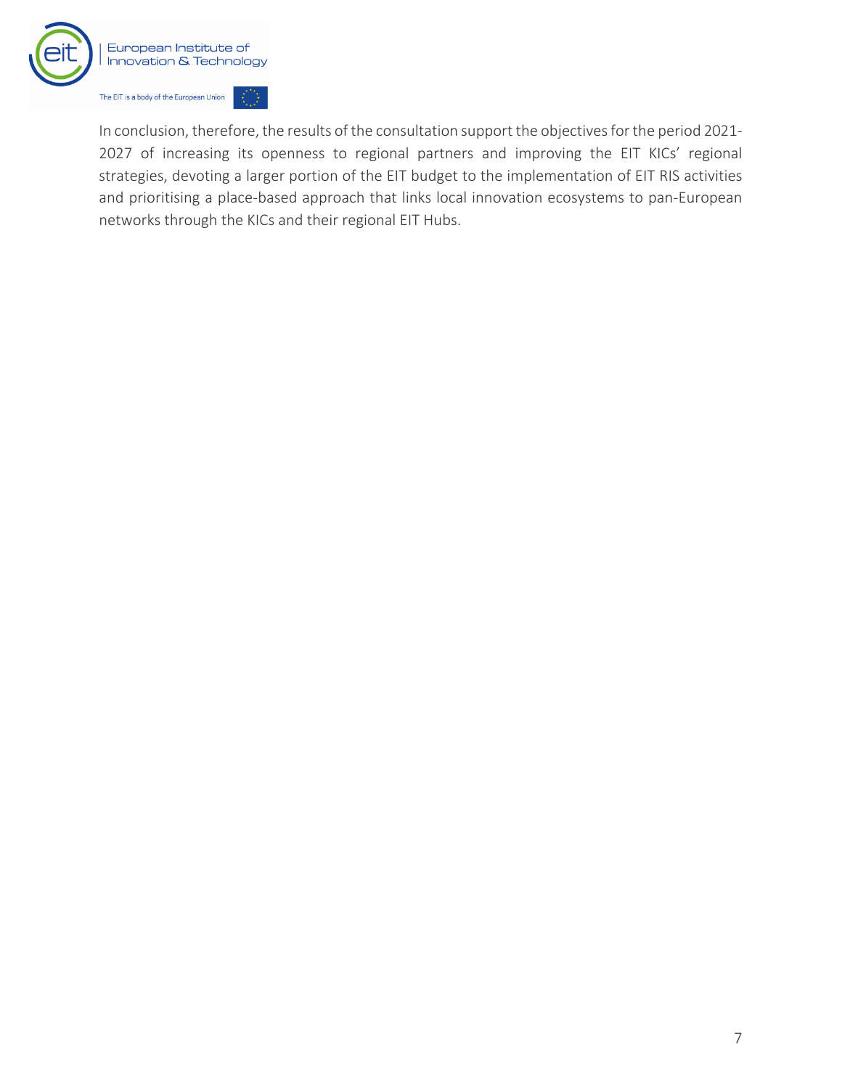

In conclusion, therefore, the results of the consultation support the objectives for the period 2021- 2027 of increasing its openness to regional partners and improving the EIT KICs' regional strategies, devoting a larger portion of the EIT budget to the implementation of EIT RIS activities and prioritising a place-based approach that links local innovation ecosystems to pan-European networks through the KICs and their regional EIT Hubs.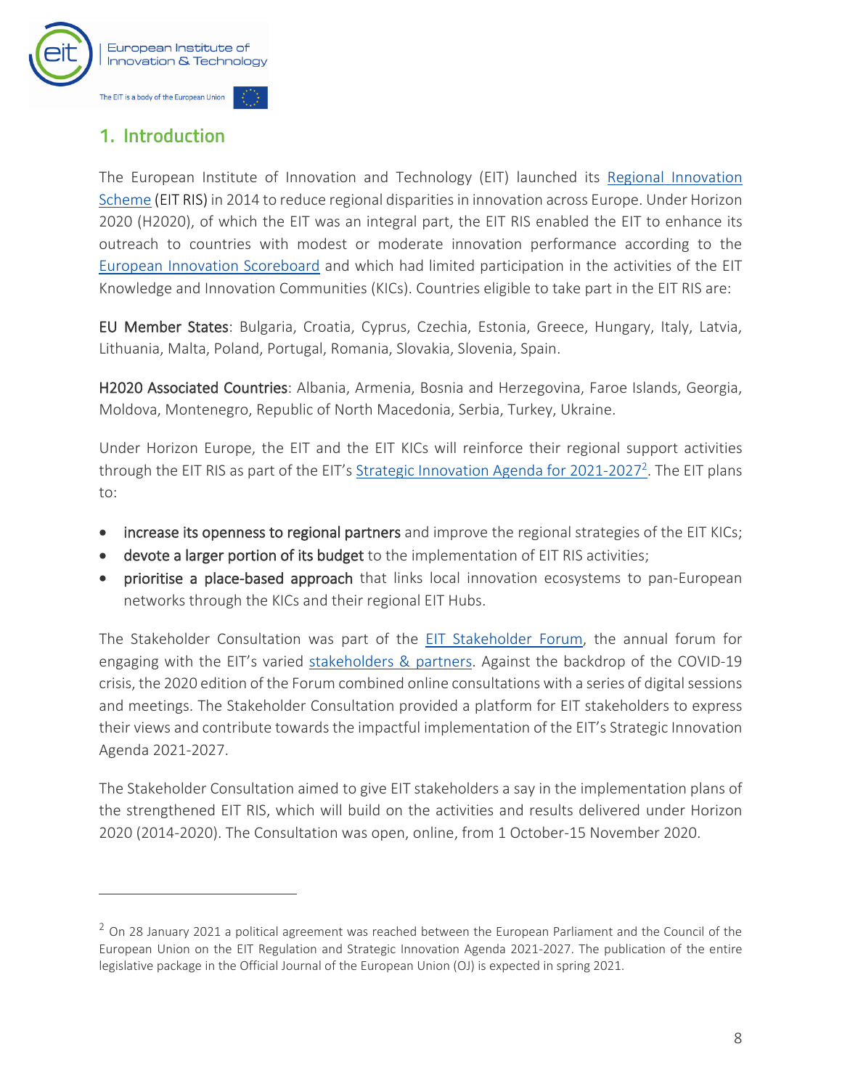

## <span id="page-9-0"></span>1. Introduction

The European Institute of Innovation and Technology (EIT) launched its [Regional Innovation](https://eit.europa.eu/our-activities/eit-regional-innovation-scheme-ris)  Scheme [\(EIT RIS\)](https://eit.europa.eu/our-activities/eit-regional-innovation-scheme-ris) in 2014 to reduce regional disparities in innovation across Europe. Under Horizon 2020 (H2020), of which the EIT was an integral part, the EIT RIS enabled the EIT to enhance its outreach to countries with modest or moderate innovation performance according to the [European Innovation Scoreboard](https://ec.europa.eu/growth/industry/policy/innovation/scoreboards_en) and which had limited participation in the activities of the EIT Knowledge and Innovation Communities (KICs). Countries eligible to take part in the EIT RIS are:

EU Member States: Bulgaria, Croatia, Cyprus, Czechia, Estonia, Greece, Hungary, Italy, Latvia, Lithuania, Malta, Poland, Portugal, Romania, Slovakia, Slovenia, Spain.

H2020 Associated Countries: Albania, Armenia, Bosnia and Herzegovina, Faroe Islands, Georgia, Moldova, Montenegro, Republic of North Macedonia, Serbia, Turkey, Ukraine.

Under Horizon Europe, the EIT and the EIT KICs will reinforce their regional support activities through the EIT RIS as part of the EIT's [Strategic Innovation Agenda for 2021-2027](https://eit.europa.eu/who-we-are/eit-glance/eit-strategy-2021-2027)<sup>2</sup>. The EIT plans to:

- increase its openness to regional partners and improve the regional strategies of the EIT KICs;
- devote a larger portion of its budget to the implementation of EIT RIS activities;
- prioritise a place-based approach that links local innovation ecosystems to pan-European networks through the KICs and their regional EIT Hubs.

The Stakeholder Consultation was part of the [EIT Stakeholder Forum,](https://eit.europa.eu/who-we-are/our-stakeholders-partners/eit-stakeholder-forum) the annual forum for engaging with the EIT's varied [stakeholders & partners.](https://eit.europa.eu/who-we-are/our-stakeholders-partners) Against the backdrop of the COVID-19 crisis, the 2020 edition of the Forum combined online consultations with a series of digital sessions and meetings. The Stakeholder Consultation provided a platform for EIT stakeholders to express their views and contribute towards the impactful implementation of the EIT's Strategic Innovation Agenda 2021-2027.

The Stakeholder Consultation aimed to give EIT stakeholders a say in the implementation plans of the strengthened EIT RIS, which will build on the activities and results delivered under Horizon 2020 (2014-2020). The Consultation was open, online, from 1 October-15 November 2020.

 $<sup>2</sup>$  On 28 January 2021 a political agreement was reached between the European Parliament and the Council of the</sup> European Union on the EIT Regulation and Strategic Innovation Agenda 2021-2027. The publication of the entire legislative package in the Official Journal of the European Union (OJ) is expected in spring 2021.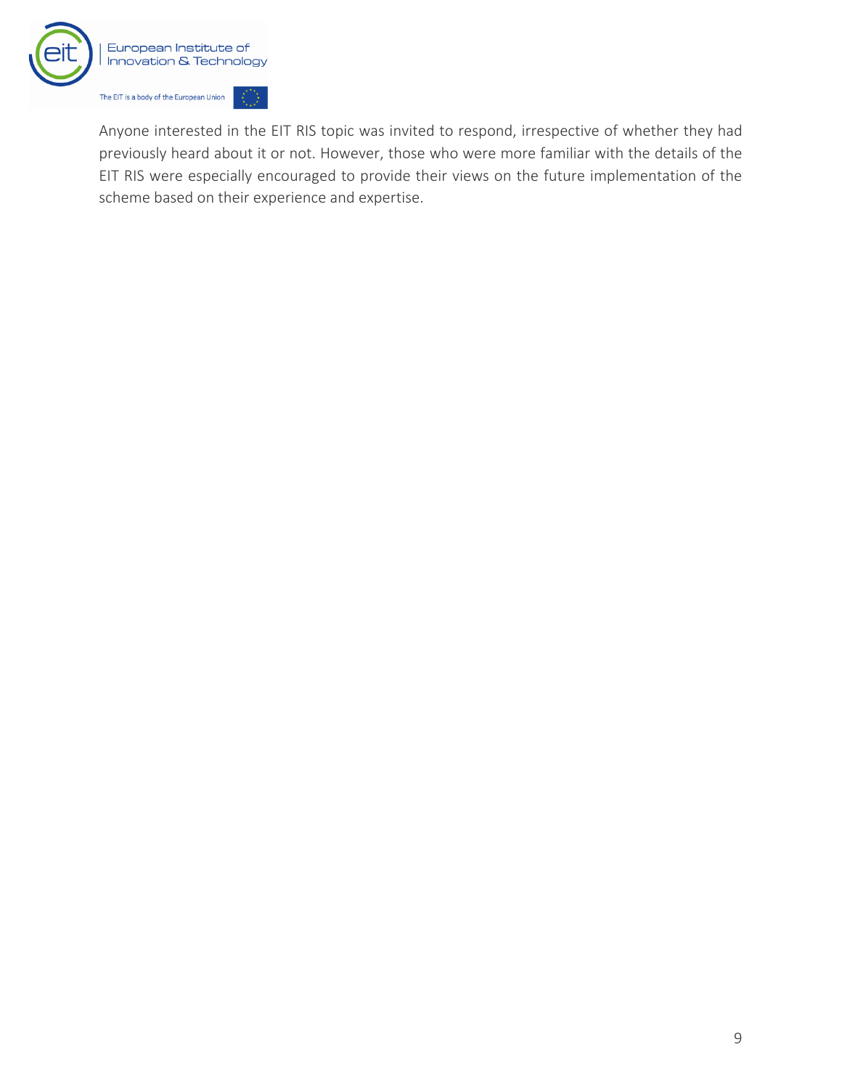

Anyone interested in the EIT RIS topic was invited to respond, irrespective of whether they had previously heard about it or not. However, those who were more familiar with the details of the EIT RIS were especially encouraged to provide their views on the future implementation of the scheme based on their experience and expertise.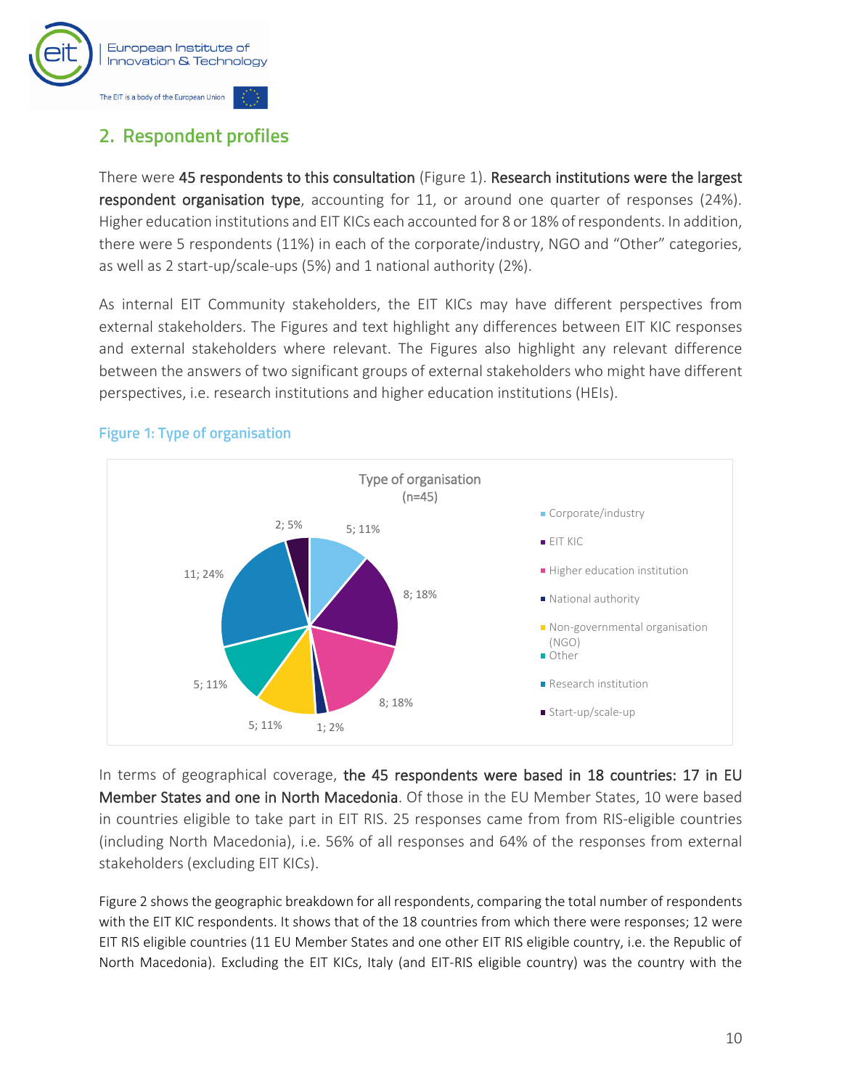

## <span id="page-11-0"></span>2. Respondent profiles

There were 45 respondents to this consultation (Figure 1). Research institutions were the largest respondent organisation type, accounting for 11, or around one quarter of responses (24%). Higher education institutions and EIT KICs each accounted for 8 or 18% of respondents. In addition, there were 5 respondents (11%) in each of the corporate/industry, NGO and "Other" categories, as well as 2 start-up/scale-ups (5%) and 1 national authority (2%).

As internal EIT Community stakeholders, the EIT KICs may have different perspectives from external stakeholders. The Figures and text highlight any differences between EIT KIC responses and external stakeholders where relevant. The Figures also highlight any relevant difference between the answers of two significant groups of external stakeholders who might have different perspectives, i.e. research institutions and higher education institutions (HEIs).



#### <span id="page-11-1"></span>**Figure 1: Type of organisation**

In terms of geographical coverage, the 45 respondents were based in 18 countries: 17 in EU Member States and one in North Macedonia. Of those in the EU Member States, 10 were based in countries eligible to take part in EIT RIS. 25 responses came from from RIS-eligible countries (including North Macedonia), i.e. 56% of all responses and 64% of the responses from external stakeholders (excluding EIT KICs).

[Figure 2](#page-12-0) shows the geographic breakdown for all respondents, comparing the total number of respondents with the EIT KIC respondents. It shows that of the 18 countries from which there were responses; 12 were EIT RIS eligible countries (11 EU Member States and one other EIT RIS eligible country, i.e. the Republic of North Macedonia). Excluding the EIT KICs, Italy (and EIT-RIS eligible country) was the country with the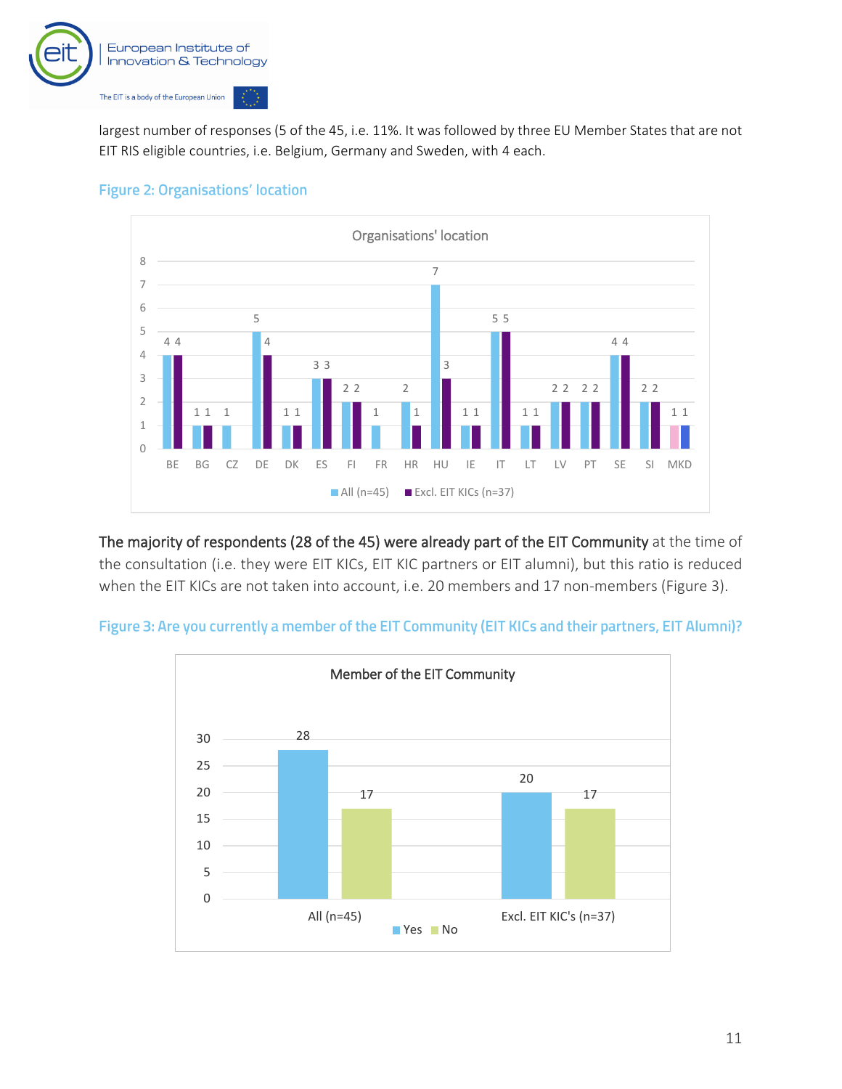

largest number of responses (5 of the 45, i.e. 11%. It was followed by three EU Member States that are not EIT RIS eligible countries, i.e. Belgium, Germany and Sweden, with 4 each.

<span id="page-12-0"></span>



The majority of respondents (28 of the 45) were already part of the EIT Community at the time of the consultation (i.e. they were EIT KICs, EIT KIC partners or EIT alumni), but this ratio is reduced when the EIT KICs are not taken into account, i.e. 20 members and 17 non-members [\(Figure 3\)](#page-12-1).

<span id="page-12-1"></span>

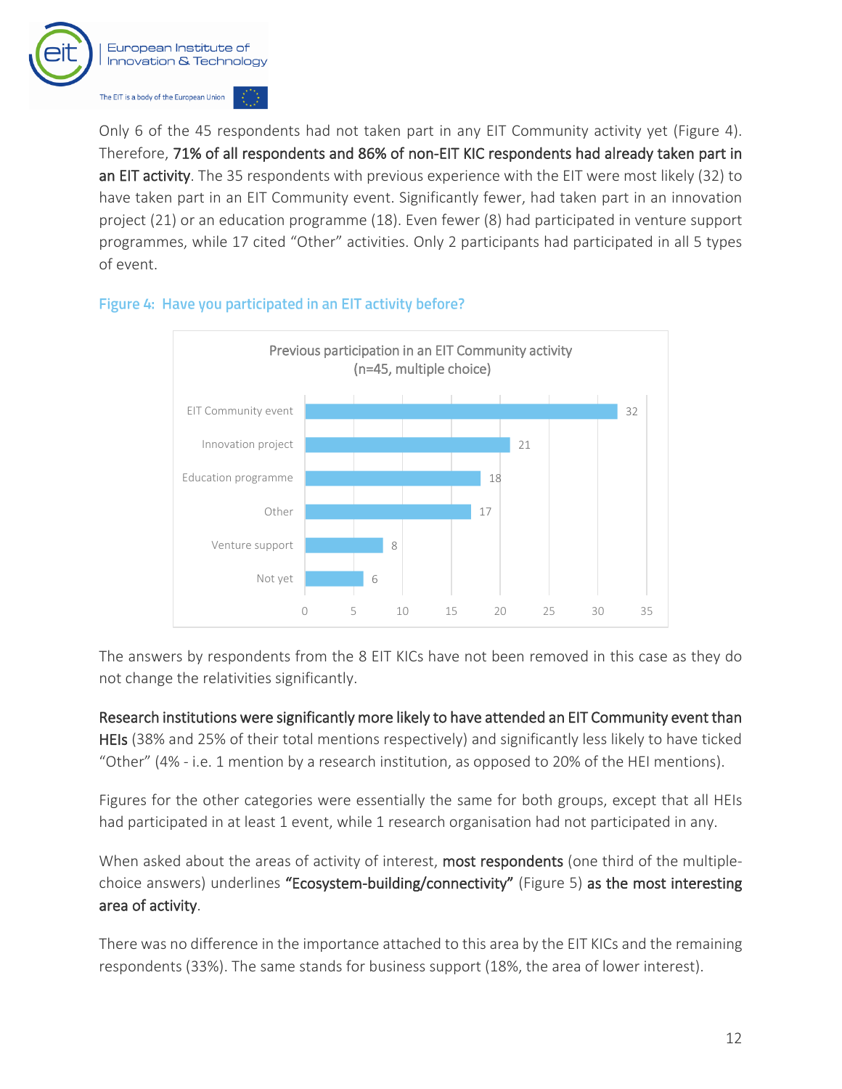

Only 6 of the 45 respondents had not taken part in any EIT Community activity yet [\(Figure 4\)](#page-13-0). Therefore, 71% of all respondents and 86% of non-EIT KIC respondents had already taken part in an EIT activity. The 35 respondents with previous experience with the EIT were most likely (32) to have taken part in an EIT Community event. Significantly fewer, had taken part in an innovation project (21) or an education programme (18). Even fewer (8) had participated in venture support programmes, while 17 cited "Other" activities. Only 2 participants had participated in all 5 types of event.

#### <span id="page-13-0"></span>Figure 4: Have you participated in an EIT activity before?



The answers by respondents from the 8 EIT KICs have not been removed in this case as they do not change the relativities significantly.

Research institutions were significantly more likely to have attended an EIT Community event than HEIs (38% and 25% of their total mentions respectively) and significantly less likely to have ticked "Other" (4% - i.e. 1 mention by a research institution, as opposed to 20% of the HEI mentions).

Figures for the other categories were essentially the same for both groups, except that all HEIs had participated in at least 1 event, while 1 research organisation had not participated in any.

When asked about the areas of activity of interest, most respondents (one third of the multiplechoice answers) underlines "Ecosystem-building/connectivity" [\(Figure 5\)](#page-14-0) as the most interesting area of activity.

There was no difference in the importance attached to this area by the EIT KICs and the remaining respondents (33%). The same stands for business support (18%, the area of lower interest).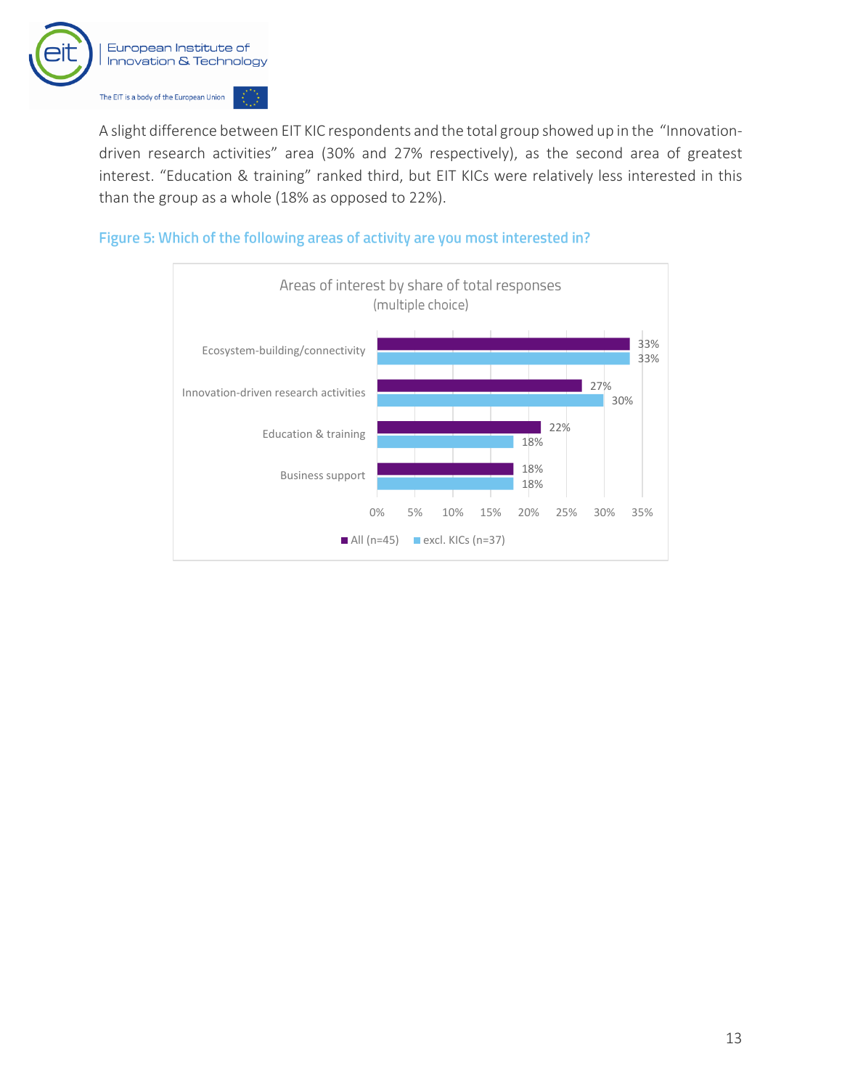

A slight difference between EIT KIC respondents and the total group showed up in the "Innovationdriven research activities" area (30% and 27% respectively), as the second area of greatest interest. "Education & training" ranked third, but EIT KICs were relatively less interested in this than the group as a whole (18% as opposed to 22%).

#### <span id="page-14-0"></span>Figure 5: Which of the following areas of activity are you most interested in?

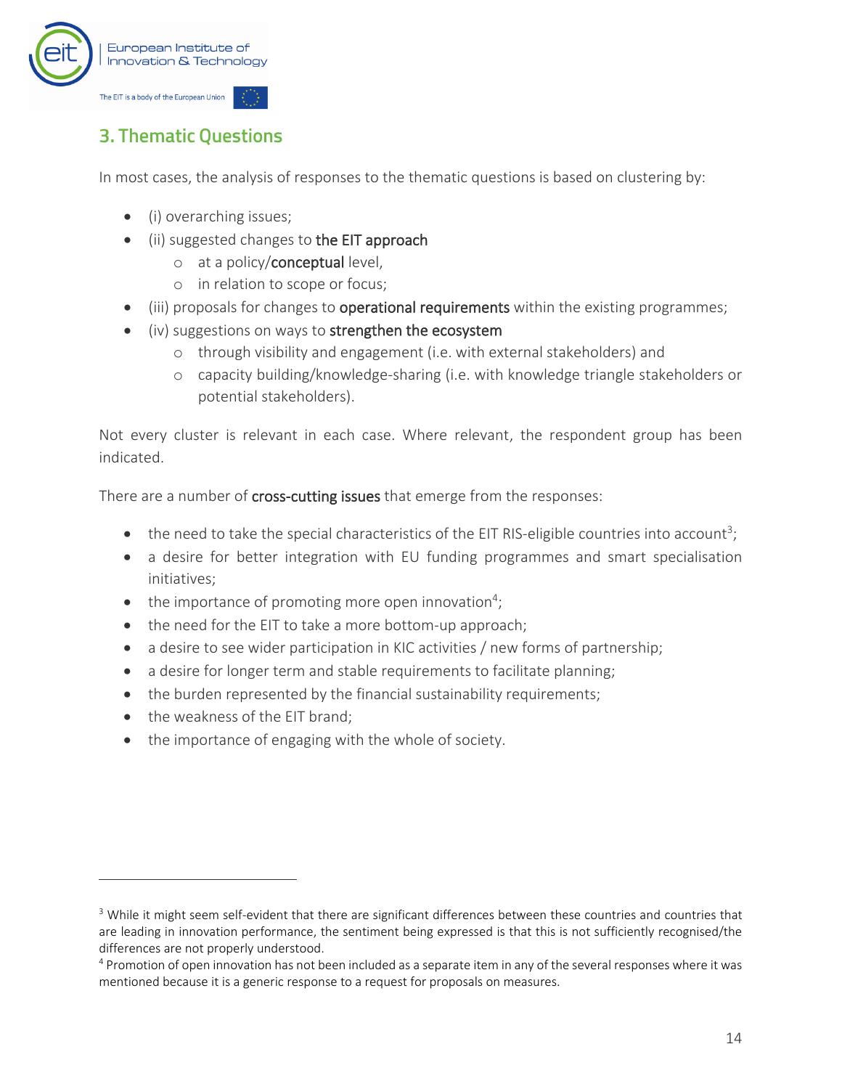

## <span id="page-15-0"></span>**3. Thematic Questions**

In most cases, the analysis of responses to the thematic questions is based on clustering by:

- (i) overarching issues;
- (ii) suggested changes to the EIT approach
	- o at a policy/conceptual level,
	- o in relation to scope or focus;
- (iii) proposals for changes to **operational requirements** within the existing programmes;
- (iv) suggestions on ways to strengthen the ecosystem
	- o through visibility and engagement (i.e. with external stakeholders) and
	- o capacity building/knowledge-sharing (i.e. with knowledge triangle stakeholders or potential stakeholders).

Not every cluster is relevant in each case. Where relevant, the respondent group has been indicated.

There are a number of cross-cutting issues that emerge from the responses:

- $\bullet$  the need to take the special characteristics of the EIT RIS-eligible countries into account<sup>3</sup>;
- a desire for better integration with EU funding programmes and smart specialisation initiatives;
- $\bullet$  the importance of promoting more open innovation<sup>4</sup>;
- the need for the EIT to take a more bottom-up approach;
- a desire to see wider participation in KIC activities / new forms of partnership;
- a desire for longer term and stable requirements to facilitate planning;
- the burden represented by the financial sustainability requirements;
- the weakness of the EIT brand;
- the importance of engaging with the whole of society.

<sup>&</sup>lt;sup>3</sup> While it might seem self-evident that there are significant differences between these countries and countries that are leading in innovation performance, the sentiment being expressed is that this is not sufficiently recognised/the differences are not properly understood.

<sup>4</sup> Promotion of open innovation has not been included as a separate item in any of the several responses where it was mentioned because it is a generic response to a request for proposals on measures.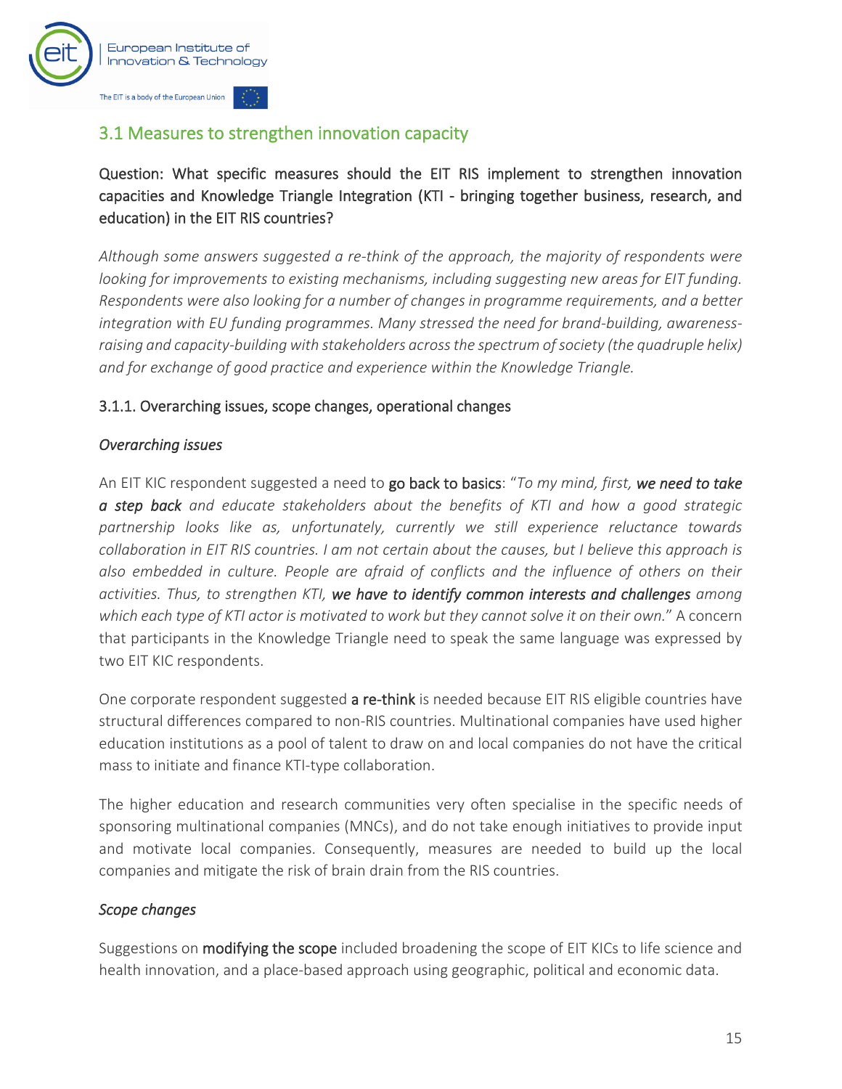

## <span id="page-16-0"></span>3.1 Measures to strengthen innovation capacity

#### Question: What specific measures should the EIT RIS implement to strengthen innovation capacities and Knowledge Triangle Integration (KTI - bringing together business, research, and education) in the EIT RIS countries?

*Although some answers suggested a re-think of the approach, the majority of respondents were looking for improvements to existing mechanisms, including suggesting new areas for EIT funding. Respondents were also looking for a number of changes in programme requirements, and a better integration with EU funding programmes. Many stressed the need for brand-building, awarenessraising and capacity-building with stakeholders across the spectrum of society (the quadruple helix) and for exchange of good practice and experience within the Knowledge Triangle.*

#### 3.1.1. Overarching issues, scope changes, operational changes

#### *Overarching issues*

An EIT KIC respondent suggested a need to go back to basics: "*To my mind, first, we need to take a step back and educate stakeholders about the benefits of KTI and how a good strategic partnership looks like as, unfortunately, currently we still experience reluctance towards collaboration in EIT RIS countries. I am not certain about the causes, but I believe this approach is also embedded in culture. People are afraid of conflicts and the influence of others on their activities. Thus, to strengthen KTI, we have to identify common interests and challenges among which each type of KTI actor is motivated to work but they cannot solve it on their own.*" A concern that participants in the Knowledge Triangle need to speak the same language was expressed by two EIT KIC respondents.

One corporate respondent suggested a re-think is needed because EIT RIS eligible countries have structural differences compared to non-RIS countries. Multinational companies have used higher education institutions as a pool of talent to draw on and local companies do not have the critical mass to initiate and finance KTI-type collaboration.

The higher education and research communities very often specialise in the specific needs of sponsoring multinational companies (MNCs), and do not take enough initiatives to provide input and motivate local companies. Consequently, measures are needed to build up the local companies and mitigate the risk of brain drain from the RIS countries.

#### *Scope changes*

Suggestions on **modifying the scope** included broadening the scope of EIT KICs to life science and health innovation, and a place-based approach using geographic, political and economic data.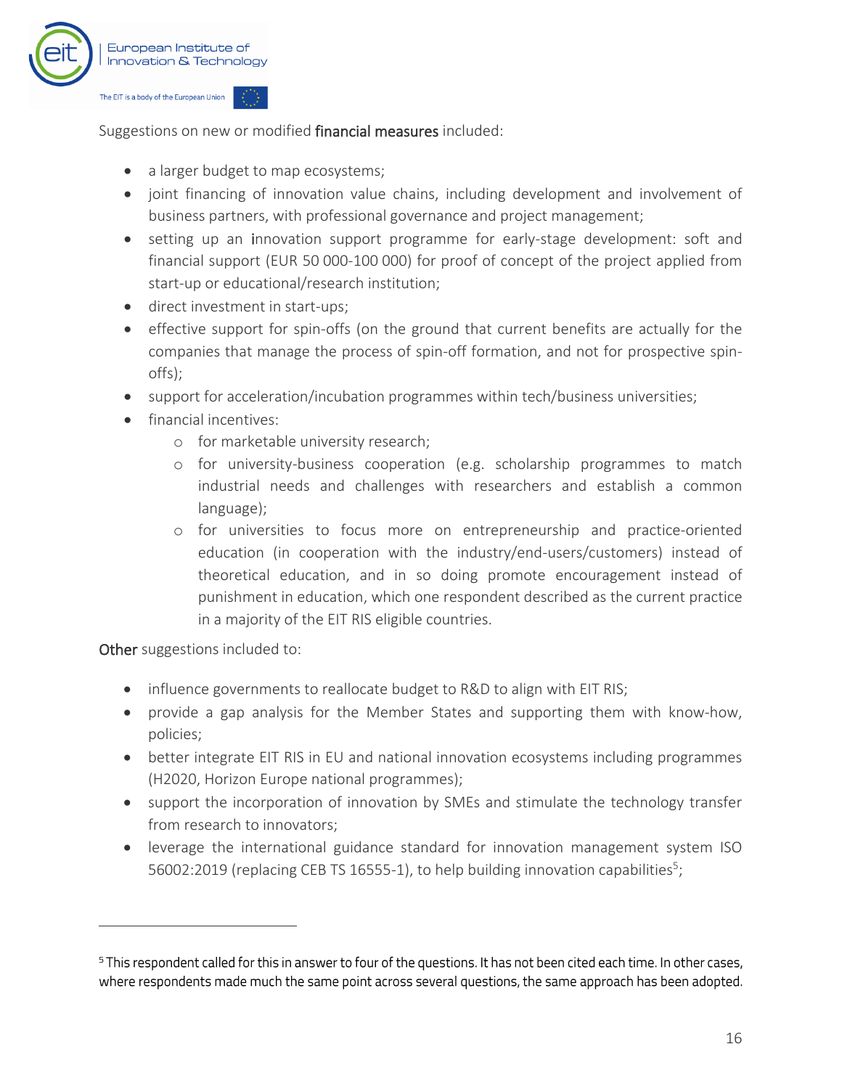

Suggestions on new or modified financial measures included:

- a larger budget to map ecosystems;
- joint financing of innovation value chains, including development and involvement of business partners, with professional governance and project management;
- setting up an innovation support programme for early-stage development: soft and financial support (EUR 50 000-100 000) for proof of concept of the project applied from start-up or educational/research institution;
- direct investment in start-ups;
- effective support for spin-offs (on the ground that current benefits are actually for the companies that manage the process of spin-off formation, and not for prospective spinoffs);
- support for acceleration/incubation programmes within tech/business universities;
- financial incentives:
	- o for marketable university research;
	- o for university-business cooperation (e.g. scholarship programmes to match industrial needs and challenges with researchers and establish a common language);
	- o for universities to focus more on entrepreneurship and practice-oriented education (in cooperation with the industry/end-users/customers) instead of theoretical education, and in so doing promote encouragement instead of punishment in education, which one respondent described as the current practice in a majority of the EIT RIS eligible countries.

Other suggestions included to:

- influence governments to reallocate budget to R&D to align with EIT RIS;
- provide a gap analysis for the Member States and supporting them with know-how, policies;
- better integrate EIT RIS in EU and national innovation ecosystems including programmes (H2020, Horizon Europe national programmes);
- support the incorporation of innovation by SMEs and stimulate the technology transfer from research to innovators;
- leverage the international guidance standard for innovation management system ISO 56002:2019 (replacing CEB TS 16555-1), to help building innovation capabilities<sup>5</sup>;

<sup>&</sup>lt;sup>5</sup> This respondent called for this in answer to four of the questions. It has not been cited each time. In other cases, where respondents made much the same point across several questions, the same approach has been adopted.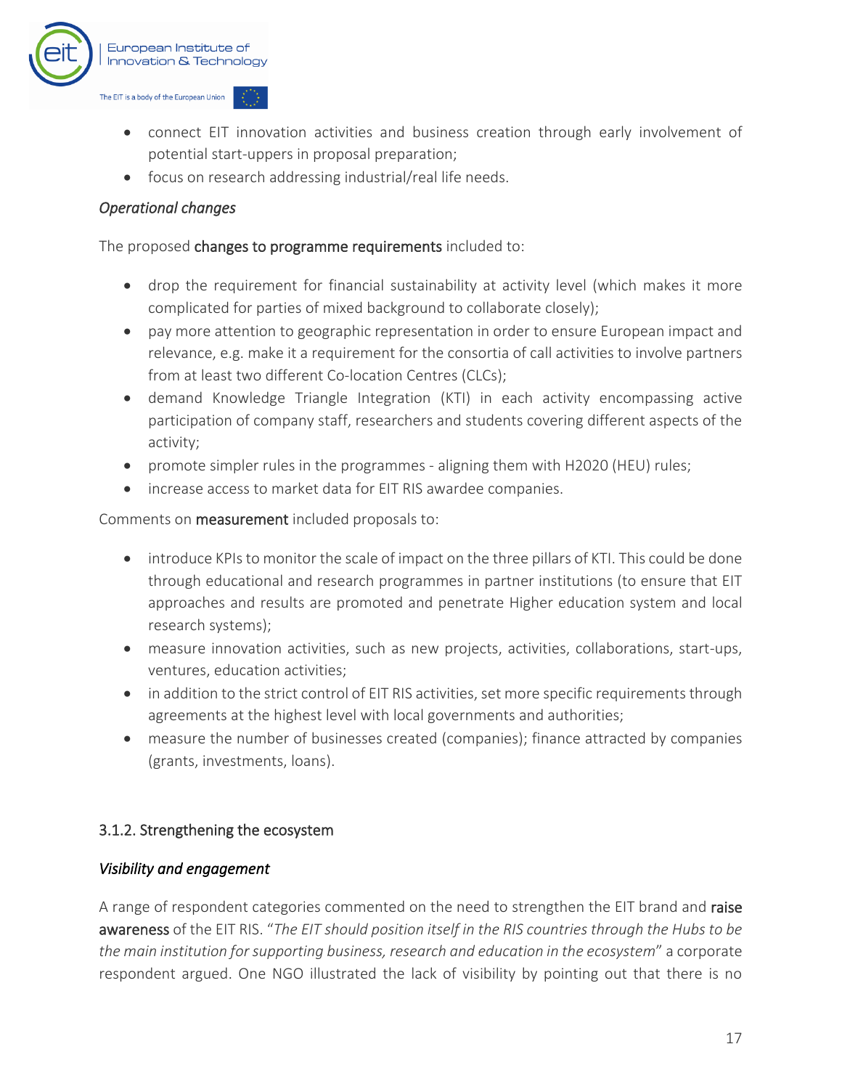

- connect EIT innovation activities and business creation through early involvement of potential start-uppers in proposal preparation;
- focus on research addressing industrial/real life needs.

#### *Operational changes*

The proposed changes to programme requirements included to:

- drop the requirement for financial sustainability at activity level (which makes it more complicated for parties of mixed background to collaborate closely);
- pay more attention to geographic representation in order to ensure European impact and relevance, e.g. make it a requirement for the consortia of call activities to involve partners from at least two different Co-location Centres (CLCs);
- demand Knowledge Triangle Integration (KTI) in each activity encompassing active participation of company staff, researchers and students covering different aspects of the activity;
- promote simpler rules in the programmes aligning them with H2020 (HEU) rules;
- increase access to market data for EIT RIS awardee companies.

Comments on measurement included proposals to:

- introduce KPIs to monitor the scale of impact on the three pillars of KTI. This could be done through educational and research programmes in partner institutions (to ensure that EIT approaches and results are promoted and penetrate Higher education system and local research systems);
- measure innovation activities, such as new projects, activities, collaborations, start-ups, ventures, education activities;
- in addition to the strict control of EIT RIS activities, set more specific requirements through agreements at the highest level with local governments and authorities;
- measure the number of businesses created (companies); finance attracted by companies (grants, investments, loans).

#### 3.1.2. Strengthening the ecosystem

#### *Visibility and engagement*

A range of respondent categories commented on the need to strengthen the EIT brand and raise awareness of the EIT RIS. "*The EIT should position itself in the RIS countries through the Hubs to be the main institution for supporting business, research and education in the ecosystem*" a corporate respondent argued. One NGO illustrated the lack of visibility by pointing out that there is no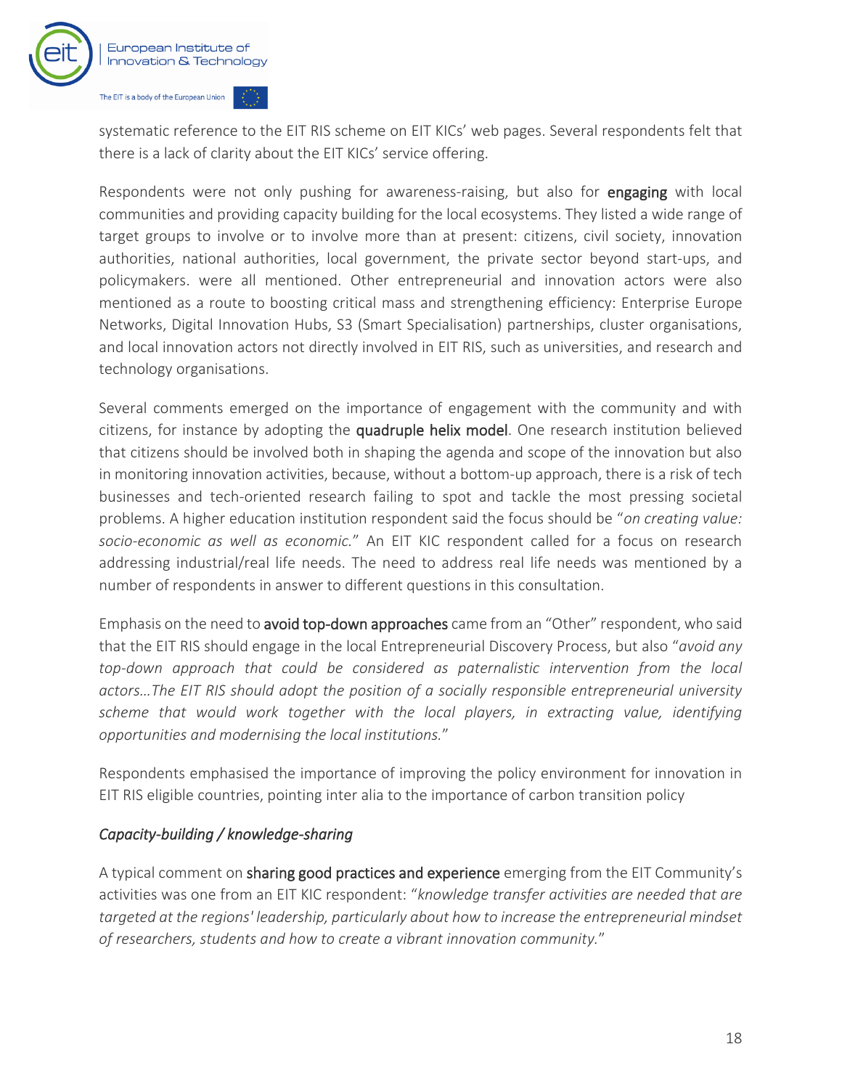

systematic reference to the EIT RIS scheme on EIT KICs' web pages. Several respondents felt that there is a lack of clarity about the EIT KICs' service offering.

Respondents were not only pushing for awareness-raising, but also for **engaging** with local communities and providing capacity building for the local ecosystems. They listed a wide range of target groups to involve or to involve more than at present: citizens, civil society, innovation authorities, national authorities, local government, the private sector beyond start-ups, and policymakers. were all mentioned. Other entrepreneurial and innovation actors were also mentioned as a route to boosting critical mass and strengthening efficiency: Enterprise Europe Networks, Digital Innovation Hubs, S3 (Smart Specialisation) partnerships, cluster organisations, and local innovation actors not directly involved in EIT RIS, such as universities, and research and technology organisations.

Several comments emerged on the importance of engagement with the community and with citizens, for instance by adopting the quadruple helix model. One research institution believed that citizens should be involved both in shaping the agenda and scope of the innovation but also in monitoring innovation activities, because, without a bottom-up approach, there is a risk of tech businesses and tech-oriented research failing to spot and tackle the most pressing societal problems. A higher education institution respondent said the focus should be "*on creating value: socio-economic as well as economic.*" An EIT KIC respondent called for a focus on research addressing industrial/real life needs. The need to address real life needs was mentioned by a number of respondents in answer to different questions in this consultation.

Emphasis on the need to avoid top-down approaches came from an "Other" respondent, who said that the EIT RIS should engage in the local Entrepreneurial Discovery Process, but also "*avoid any top-down approach that could be considered as paternalistic intervention from the local actors…The EIT RIS should adopt the position of a socially responsible entrepreneurial university scheme that would work together with the local players, in extracting value, identifying opportunities and modernising the local institutions.*"

Respondents emphasised the importance of improving the policy environment for innovation in EIT RIS eligible countries, pointing inter alia to the importance of carbon transition policy

#### *Capacity-building / knowledge-sharing*

A typical comment on **sharing good practices and experience** emerging from the EIT Community's activities was one from an EIT KIC respondent: "*knowledge transfer activities are needed that are targeted at the regions' leadership, particularly about how to increase the entrepreneurial mindset of researchers, students and how to create a vibrant innovation community.*"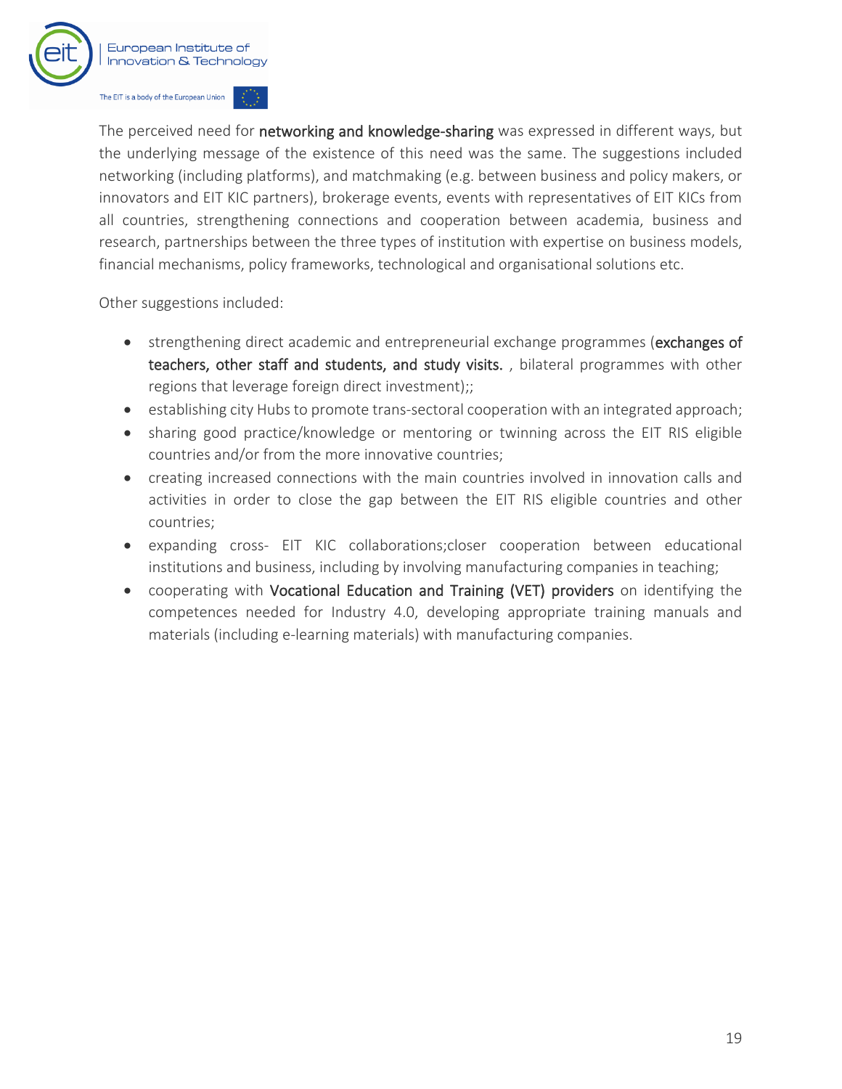

The perceived need for networking and knowledge-sharing was expressed in different ways, but the underlying message of the existence of this need was the same. The suggestions included networking (including platforms), and matchmaking (e.g. between business and policy makers, or innovators and EIT KIC partners), brokerage events, events with representatives of EIT KICs from all countries, strengthening connections and cooperation between academia, business and research, partnerships between the three types of institution with expertise on business models, financial mechanisms, policy frameworks, technological and organisational solutions etc.

Other suggestions included:

- strengthening direct academic and entrepreneurial exchange programmes (exchanges of teachers, other staff and students, and study visits. , bilateral programmes with other regions that leverage foreign direct investment);;
- establishing city Hubs to promote trans-sectoral cooperation with an integrated approach;
- sharing good practice/knowledge or mentoring or twinning across the EIT RIS eligible countries and/or from the more innovative countries;
- creating increased connections with the main countries involved in innovation calls and activities in order to close the gap between the EIT RIS eligible countries and other countries;
- expanding cross- EIT KIC collaborations;closer cooperation between educational institutions and business, including by involving manufacturing companies in teaching;
- cooperating with Vocational Education and Training (VET) providers on identifying the competences needed for Industry 4.0, developing appropriate training manuals and materials (including e-learning materials) with manufacturing companies.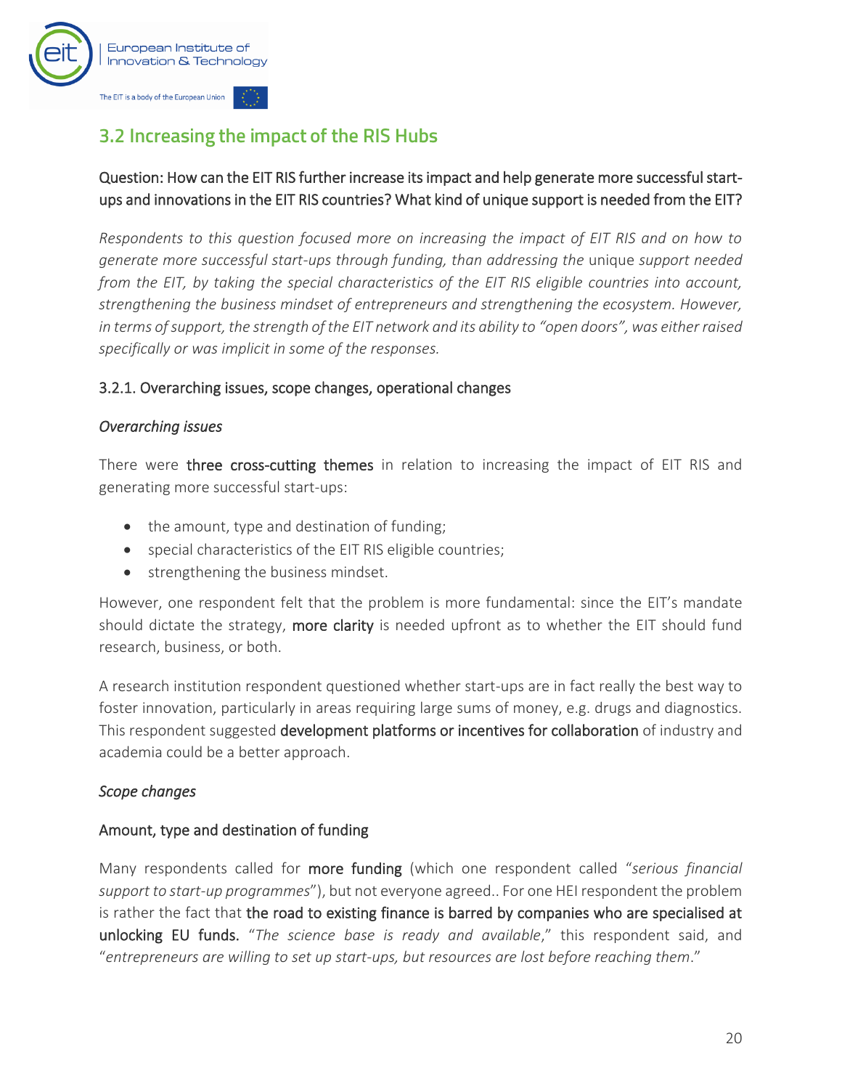

## <span id="page-21-0"></span>3.2 Increasing the impact of the RIS Hubs

#### Question: How can the EIT RIS further increase its impact and help generate more successful startups and innovations in the EIT RIS countries? What kind of unique support is needed from the EIT?

*Respondents to this question focused more on increasing the impact of EIT RIS and on how to generate more successful start-ups through funding, than addressing the* unique *support needed from the EIT, by taking the special characteristics of the EIT RIS eligible countries into account, strengthening the business mindset of entrepreneurs and strengthening the ecosystem. However, in terms of support, the strength of the EIT network and its ability to "open doors", was either raised specifically or was implicit in some of the responses.* 

#### 3.2.1. Overarching issues, scope changes, operational changes

#### *Overarching issues*

There were three cross-cutting themes in relation to increasing the impact of EIT RIS and generating more successful start-ups:

- the amount, type and destination of funding;
- special characteristics of the EIT RIS eligible countries;
- strengthening the business mindset.

However, one respondent felt that the problem is more fundamental: since the EIT's mandate should dictate the strategy, more clarity is needed upfront as to whether the EIT should fund research, business, or both.

A research institution respondent questioned whether start-ups are in fact really the best way to foster innovation, particularly in areas requiring large sums of money, e.g. drugs and diagnostics. This respondent suggested development platforms or incentives for collaboration of industry and academia could be a better approach.

#### *Scope changes*

#### Amount, type and destination of funding

Many respondents called for more funding (which one respondent called "*serious financial support to start-up programmes*"), but not everyone agreed.. For one HEI respondent the problem is rather the fact that the road to existing finance is barred by companies who are specialised at unlocking EU funds. "*The science base is ready and available*," this respondent said, and "*entrepreneurs are willing to set up start-ups, but resources are lost before reaching them*."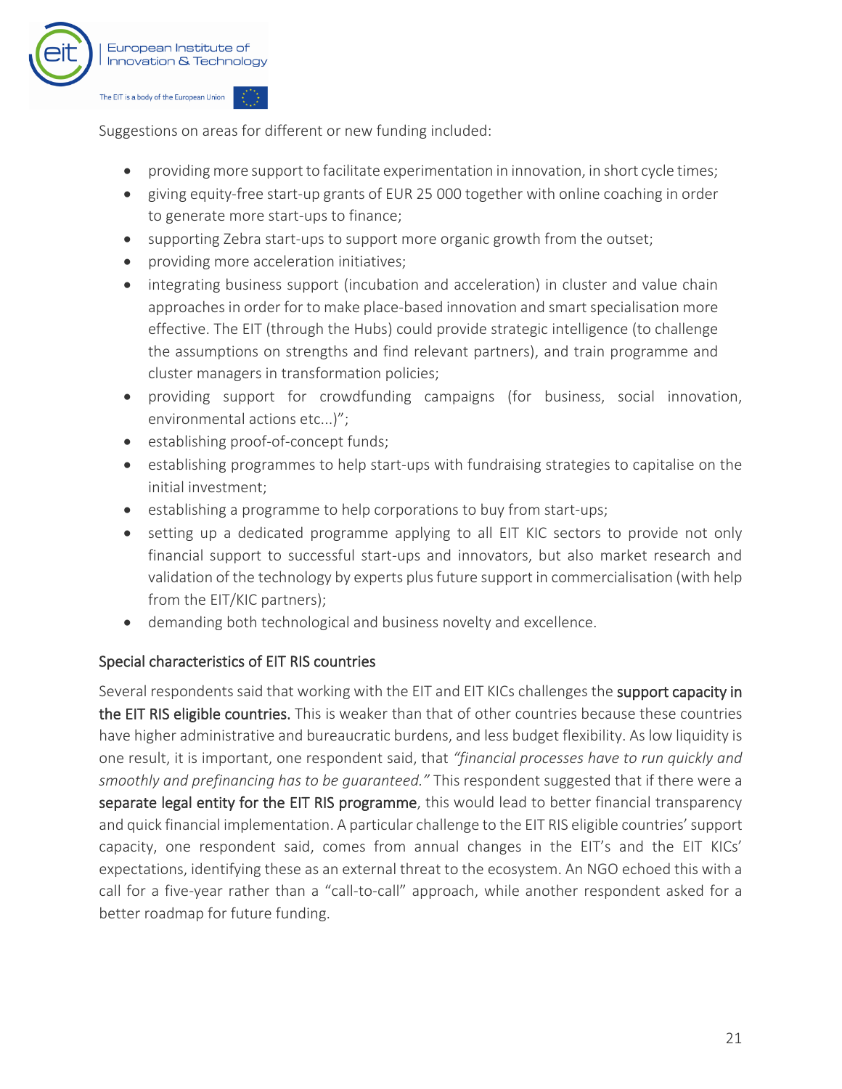

Suggestions on areas for different or new funding included:

- providing more support to facilitate experimentation in innovation, in short cycle times;
- giving equity-free start-up grants of EUR 25 000 together with online coaching in order to generate more start-ups to finance;
- supporting Zebra start-ups to support more organic growth from the outset;
- providing more acceleration initiatives;
- integrating business support (incubation and acceleration) in cluster and value chain approaches in order for to make place-based innovation and smart specialisation more effective. The EIT (through the Hubs) could provide strategic intelligence (to challenge the assumptions on strengths and find relevant partners), and train programme and cluster managers in transformation policies;
- providing support for crowdfunding campaigns (for business, social innovation, environmental actions etc...)";
- establishing proof-of-concept funds;
- establishing programmes to help start-ups with fundraising strategies to capitalise on the initial investment;
- establishing a programme to help corporations to buy from start-ups;
- setting up a dedicated programme applying to all EIT KIC sectors to provide not only financial support to successful start-ups and innovators, but also market research and validation of the technology by experts plus future support in commercialisation (with help from the EIT/KIC partners);
- demanding both technological and business novelty and excellence.

#### Special characteristics of EIT RIS countries

Several respondents said that working with the EIT and EIT KICs challenges the support capacity in the EIT RIS eligible countries. This is weaker than that of other countries because these countries have higher administrative and bureaucratic burdens, and less budget flexibility. As low liquidity is one result, it is important, one respondent said, that *"financial processes have to run quickly and smoothly and prefinancing has to be guaranteed."* This respondent suggested that if there were a separate legal entity for the EIT RIS programme, this would lead to better financial transparency and quick financial implementation. A particular challenge to the EIT RIS eligible countries' support capacity, one respondent said, comes from annual changes in the EIT's and the EIT KICs' expectations, identifying these as an external threat to the ecosystem. An NGO echoed this with a call for a five-year rather than a "call-to-call" approach, while another respondent asked for a better roadmap for future funding.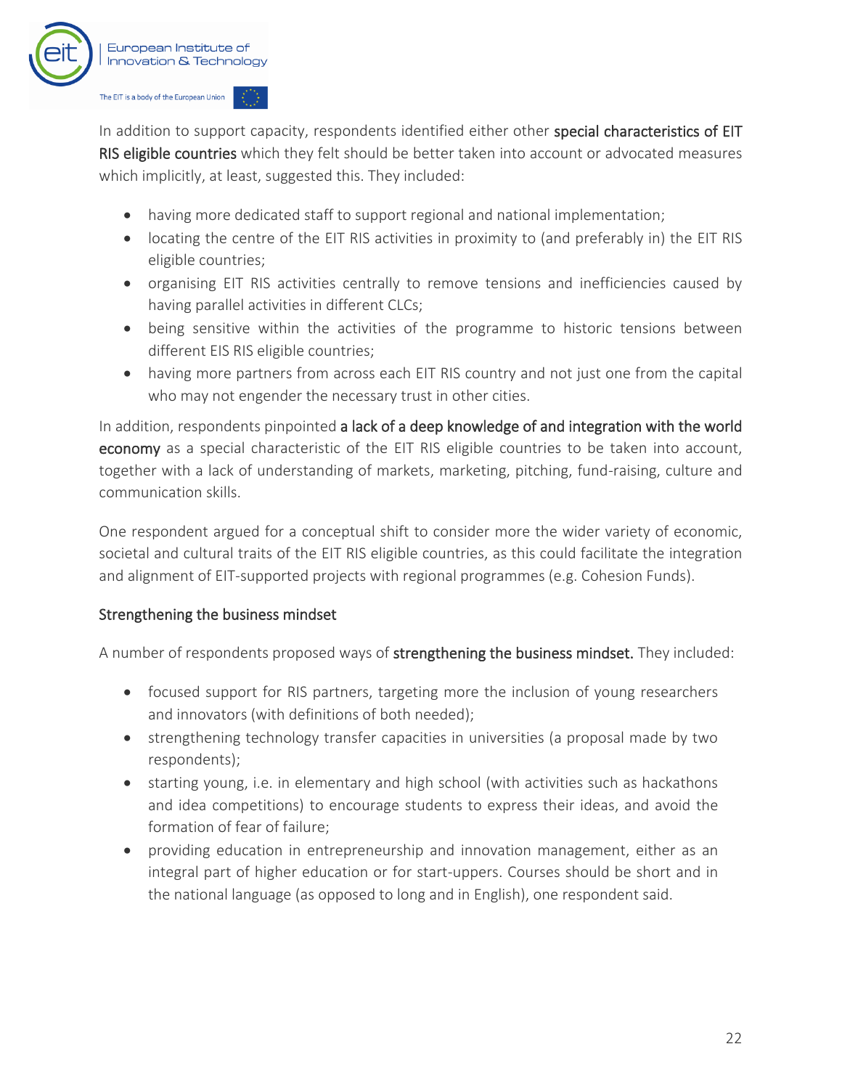

In addition to support capacity, respondents identified either other special characteristics of EIT RIS eligible countries which they felt should be better taken into account or advocated measures which implicitly, at least, suggested this. They included:

- having more dedicated staff to support regional and national implementation;
- locating the centre of the EIT RIS activities in proximity to (and preferably in) the EIT RIS eligible countries;
- organising EIT RIS activities centrally to remove tensions and inefficiencies caused by having parallel activities in different CLCs;
- being sensitive within the activities of the programme to historic tensions between different EIS RIS eligible countries;
- having more partners from across each EIT RIS country and not just one from the capital who may not engender the necessary trust in other cities.

In addition, respondents pinpointed a lack of a deep knowledge of and integration with the world economy as a special characteristic of the EIT RIS eligible countries to be taken into account, together with a lack of understanding of markets, marketing, pitching, fund-raising, culture and communication skills.

One respondent argued for a conceptual shift to consider more the wider variety of economic, societal and cultural traits of the EIT RIS eligible countries, as this could facilitate the integration and alignment of EIT-supported projects with regional programmes (e.g. Cohesion Funds).

#### Strengthening the business mindset

A number of respondents proposed ways of strengthening the business mindset. They included:

- focused support for RIS partners, targeting more the inclusion of young researchers and innovators (with definitions of both needed);
- strengthening technology transfer capacities in universities (a proposal made by two respondents);
- starting young, i.e. in elementary and high school (with activities such as hackathons and idea competitions) to encourage students to express their ideas, and avoid the formation of fear of failure;
- providing education in entrepreneurship and innovation management, either as an integral part of higher education or for start-uppers. Courses should be short and in the national language (as opposed to long and in English), one respondent said.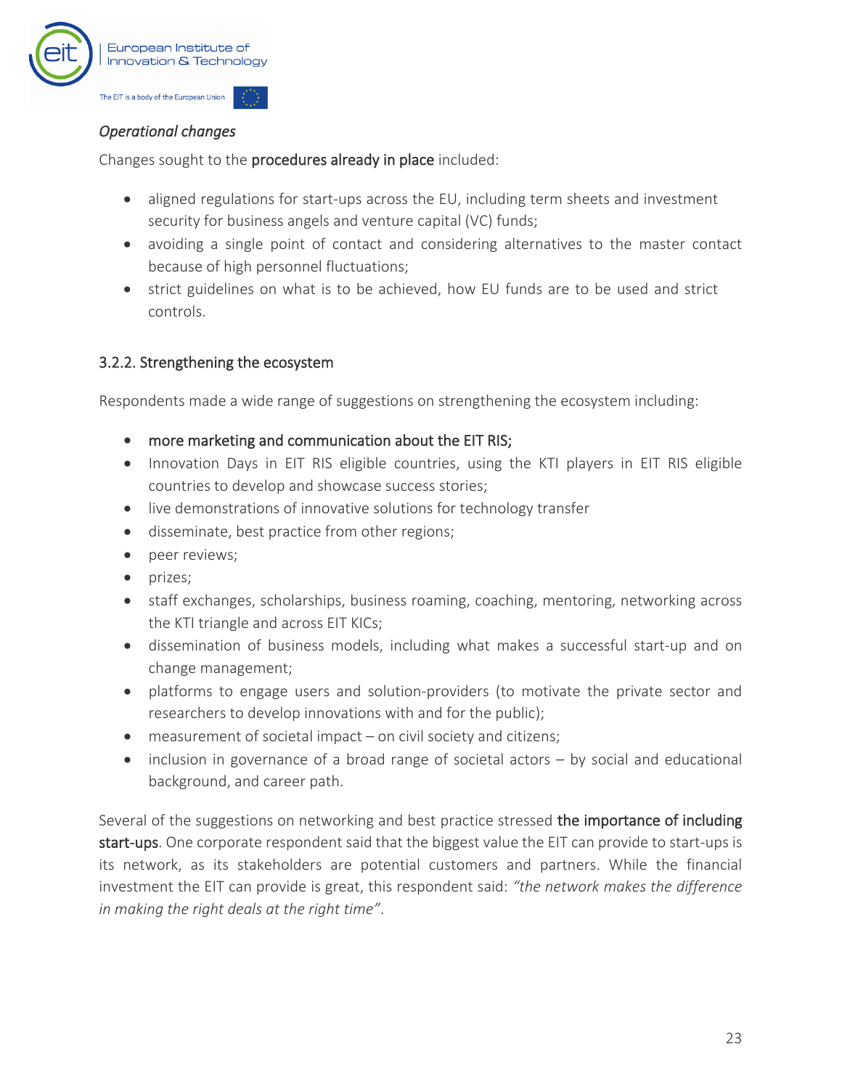

#### *Operational changes*

Changes sought to the procedures already in place included:

- aligned regulations for start-ups across the EU, including term sheets and investment security for business angels and venture capital (VC) funds;
- avoiding a single point of contact and considering alternatives to the master contact because of high personnel fluctuations;
- strict guidelines on what is to be achieved, how EU funds are to be used and strict controls.

#### 3.2.2. Strengthening the ecosystem

Respondents made a wide range of suggestions on strengthening the ecosystem including:

- more marketing and communication about the EIT RIS;
- Innovation Days in EIT RIS eligible countries, using the KTI players in EIT RIS eligible countries to develop and showcase success stories;
- live demonstrations of innovative solutions for technology transfer
- disseminate, best practice from other regions;
- peer reviews;
- prizes;
- staff exchanges, scholarships, business roaming, coaching, mentoring, networking across the KTI triangle and across EIT KICs;
- dissemination of business models, including what makes a successful start-up and on change management;
- platforms to engage users and solution-providers (to motivate the private sector and researchers to develop innovations with and for the public);
- measurement of societal impact on civil society and citizens;
- inclusion in governance of a broad range of societal actors by social and educational background, and career path.

Several of the suggestions on networking and best practice stressed the importance of including start-ups. One corporate respondent said that the biggest value the EIT can provide to start-ups is its network, as its stakeholders are potential customers and partners. While the financial investment the EIT can provide is great, this respondent said: *"the network makes the difference in making the right deals at the right time"*.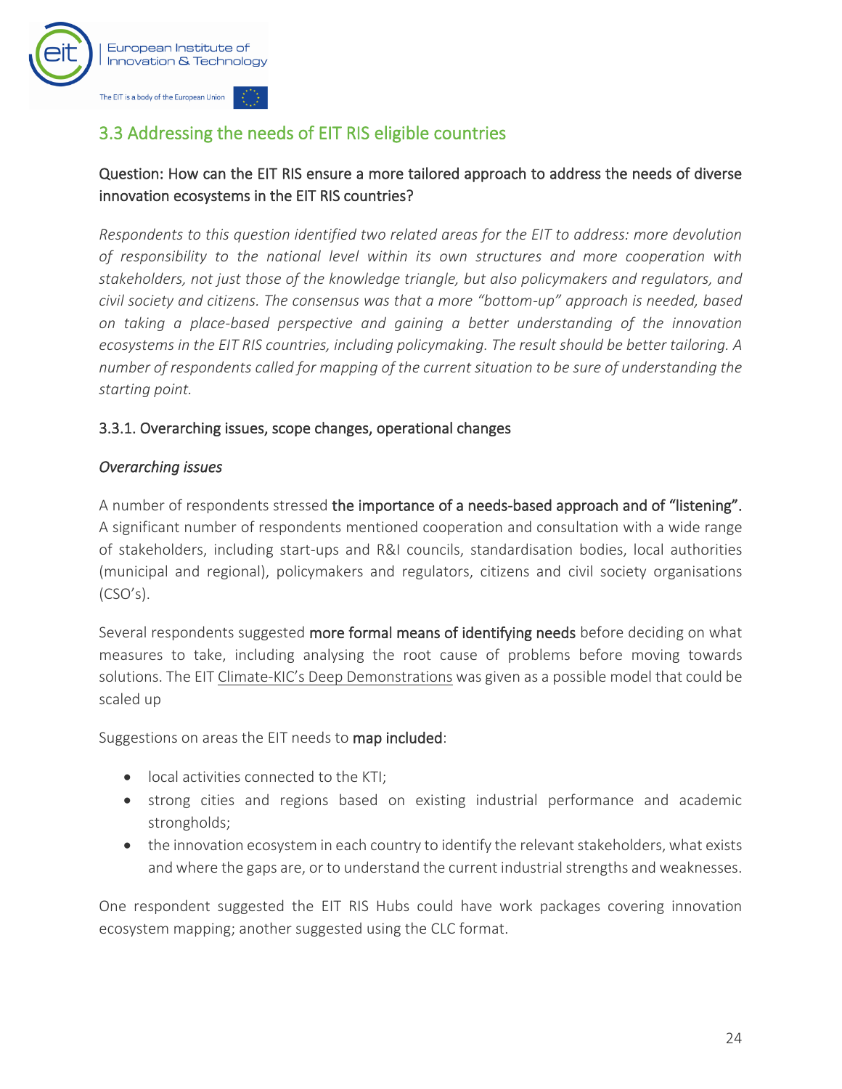

## <span id="page-25-0"></span>3.3 Addressing the needs of EIT RIS eligible countries

#### Question: How can the EIT RIS ensure a more tailored approach to address the needs of diverse innovation ecosystems in the EIT RIS countries?

*Respondents to this question identified two related areas for the EIT to address: more devolution of responsibility to the national level within its own structures and more cooperation with stakeholders, not just those of the knowledge triangle, but also policymakers and regulators, and civil society and citizens. The consensus was that a more "bottom-up" approach is needed, based on taking a place-based perspective and gaining a better understanding of the innovation ecosystems in the EIT RIS countries, including policymaking. The result should be better tailoring. A number of respondents called for mapping of the current situation to be sure of understanding the starting point.*

#### 3.3.1. Overarching issues, scope changes, operational changes

#### *Overarching issues*

A number of respondents stressed the importance of a needs-based approach and of "listening". A significant number of respondents mentioned cooperation and consultation with a wide range of stakeholders, including start-ups and R&I councils, standardisation bodies, local authorities (municipal and regional), policymakers and regulators, citizens and civil society organisations (CSO's).

Several respondents suggested more formal means of identifying needs before deciding on what measures to take, including analysing the root cause of problems before moving towards solutions. The EIT Climate-[KIC's Deep Demonstrations](https://www.climate-kic.org/programmes/deep-demonstrations/) was given as a possible model that could be scaled up

Suggestions on areas the EIT needs to map included:

- local activities connected to the KTI;
- strong cities and regions based on existing industrial performance and academic strongholds;
- the innovation ecosystem in each country to identify the relevant stakeholders, what exists and where the gaps are, or to understand the current industrial strengths and weaknesses.

One respondent suggested the EIT RIS Hubs could have work packages covering innovation ecosystem mapping; another suggested using the CLC format.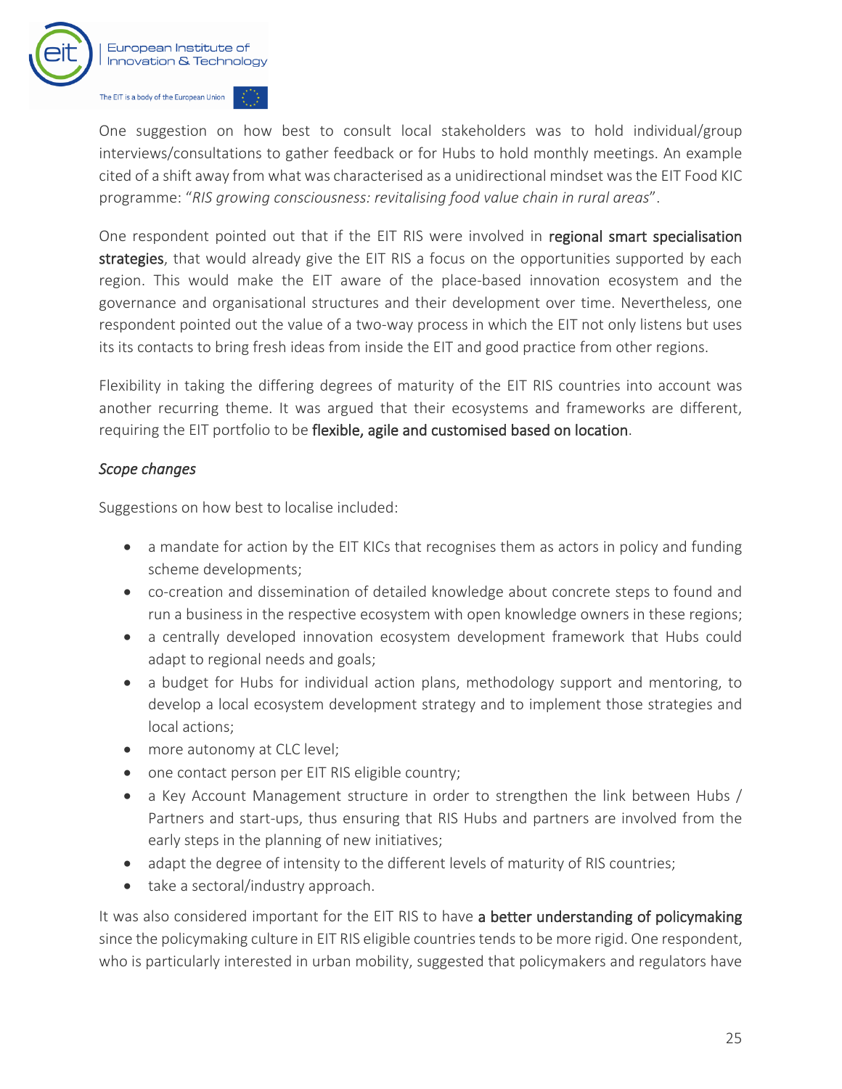

One suggestion on how best to consult local stakeholders was to hold individual/group interviews/consultations to gather feedback or for Hubs to hold monthly meetings. An example cited of a shift away from what was characterised as a unidirectional mindset was the EIT Food KIC programme: "*RIS growing consciousness: revitalising food value chain in rural areas*".

One respondent pointed out that if the EIT RIS were involved in regional smart specialisation strategies, that would already give the EIT RIS a focus on the opportunities supported by each region. This would make the EIT aware of the place-based innovation ecosystem and the governance and organisational structures and their development over time. Nevertheless, one respondent pointed out the value of a two-way process in which the EIT not only listens but uses its its contacts to bring fresh ideas from inside the EIT and good practice from other regions.

Flexibility in taking the differing degrees of maturity of the EIT RIS countries into account was another recurring theme. It was argued that their ecosystems and frameworks are different, requiring the EIT portfolio to be flexible, agile and customised based on location.

#### *Scope changes*

Suggestions on how best to localise included:

- a mandate for action by the EIT KICs that recognises them as actors in policy and funding scheme developments;
- co-creation and dissemination of detailed knowledge about concrete steps to found and run a business in the respective ecosystem with open knowledge owners in these regions;
- a centrally developed innovation ecosystem development framework that Hubs could adapt to regional needs and goals;
- a budget for Hubs for individual action plans, methodology support and mentoring, to develop a local ecosystem development strategy and to implement those strategies and local actions;
- more autonomy at CLC level;
- one contact person per EIT RIS eligible country;
- a Key Account Management structure in order to strengthen the link between Hubs / Partners and start-ups, thus ensuring that RIS Hubs and partners are involved from the early steps in the planning of new initiatives;
- adapt the degree of intensity to the different levels of maturity of RIS countries;
- take a sectoral/industry approach.

It was also considered important for the EIT RIS to have a better understanding of policymaking since the policymaking culture in EIT RIS eligible countries tends to be more rigid. One respondent, who is particularly interested in urban mobility, suggested that policymakers and regulators have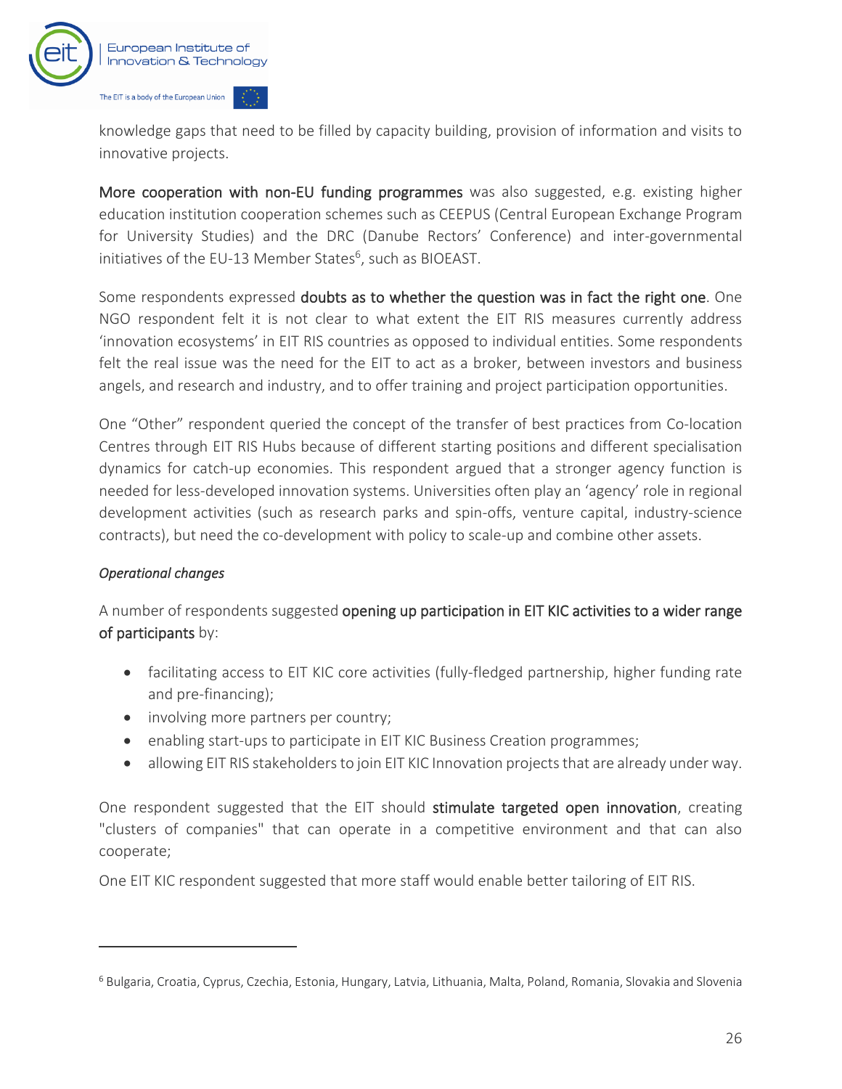

knowledge gaps that need to be filled by capacity building, provision of information and visits to innovative projects.

More cooperation with non-EU funding programmes was also suggested, e.g. existing higher education institution cooperation schemes such as CEEPUS (Central European Exchange Program for University Studies) and the DRC (Danube Rectors' Conference) and inter-governmental initiatives of the EU-13 Member States $6$ , such as BIOEAST.

Some respondents expressed doubts as to whether the question was in fact the right one. One NGO respondent felt it is not clear to what extent the EIT RIS measures currently address 'innovation ecosystems' in EIT RIS countries as opposed to individual entities. Some respondents felt the real issue was the need for the EIT to act as a broker, between investors and business angels, and research and industry, and to offer training and project participation opportunities.

One "Other" respondent queried the concept of the transfer of best practices from Co-location Centres through EIT RIS Hubs because of different starting positions and different specialisation dynamics for catch-up economies. This respondent argued that a stronger agency function is needed for less-developed innovation systems. Universities often play an 'agency' role in regional development activities (such as research parks and spin-offs, venture capital, industry-science contracts), but need the co-development with policy to scale-up and combine other assets.

#### *Operational changes*

A number of respondents suggested opening up participation in EIT KIC activities to a wider range of participants by:

- facilitating access to EIT KIC core activities (fully-fledged partnership, higher funding rate and pre-financing);
- involving more partners per country;
- enabling start-ups to participate in EIT KIC Business Creation programmes;
- allowing EIT RIS stakeholders to join EIT KIC Innovation projects that are already under way.

One respondent suggested that the EIT should stimulate targeted open innovation, creating "clusters of companies" that can operate in a competitive environment and that can also cooperate;

One EIT KIC respondent suggested that more staff would enable better tailoring of EIT RIS.

<sup>6</sup> Bulgaria, Croatia, Cyprus, Czechia, Estonia, Hungary, Latvia, Lithuania, Malta, Poland, Romania, Slovakia and Slovenia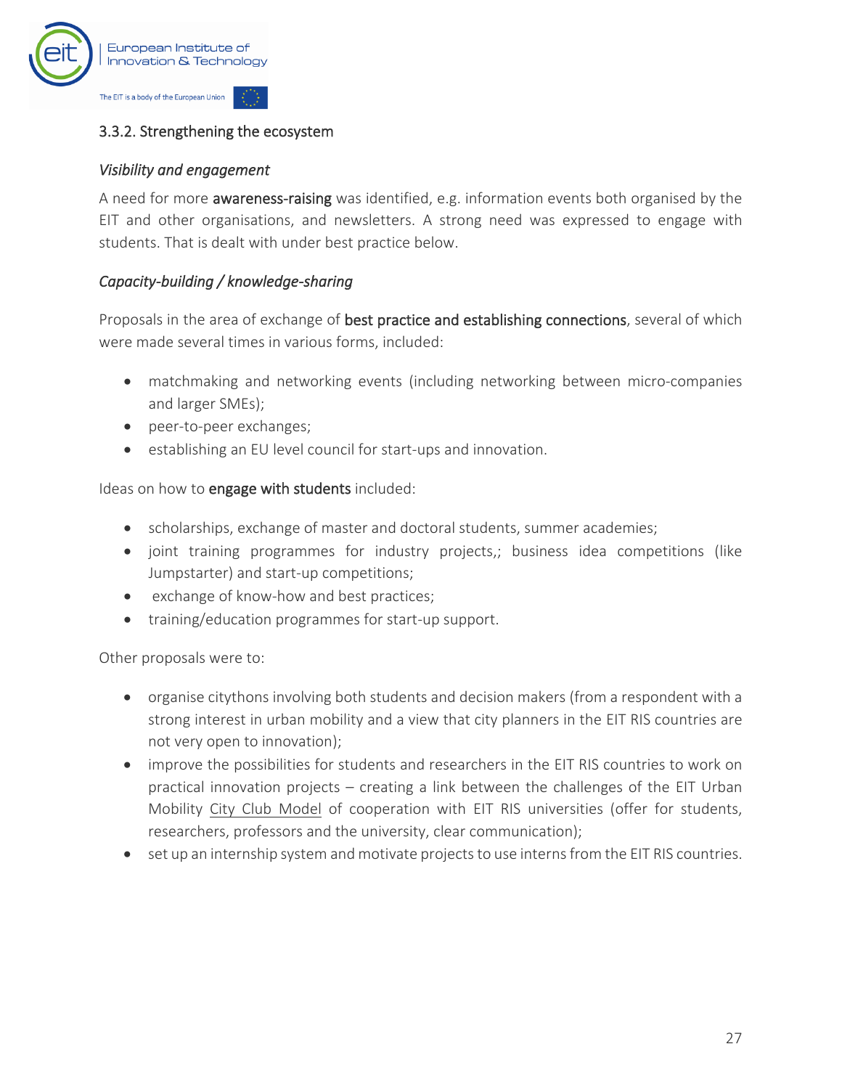

#### 3.3.2. Strengthening the ecosystem

#### *Visibility and engagement*

A need for more awareness-raising was identified, e.g. information events both organised by the EIT and other organisations, and newsletters. A strong need was expressed to engage with students. That is dealt with under best practice below.

#### *Capacity-building / knowledge-sharing*

Proposals in the area of exchange of best practice and establishing connections, several of which were made several times in various forms, included:

- matchmaking and networking events (including networking between micro-companies and larger SMEs);
- peer-to-peer exchanges;
- establishing an EU level council for start-ups and innovation.

Ideas on how to engage with students included:

- scholarships, exchange of master and doctoral students, summer academies;
- joint training programmes for industry projects,; business idea competitions (like Jumpstarter) and start-up competitions;
- exchange of know-how and best practices;
- training/education programmes for start-up support.

Other proposals were to:

- organise citythons involving both students and decision makers (from a respondent with a strong interest in urban mobility and a view that city planners in the EIT RIS countries are not very open to innovation);
- improve the possibilities for students and researchers in the EIT RIS countries to work on practical innovation projects – creating a link between the challenges of the EIT Urban Mobility [City Club Model](https://www.eiturbanmobility.eu/city-club/) of cooperation with EIT RIS universities (offer for students, researchers, professors and the university, clear communication);
- set up an internship system and motivate projects to use interns from the EIT RIS countries.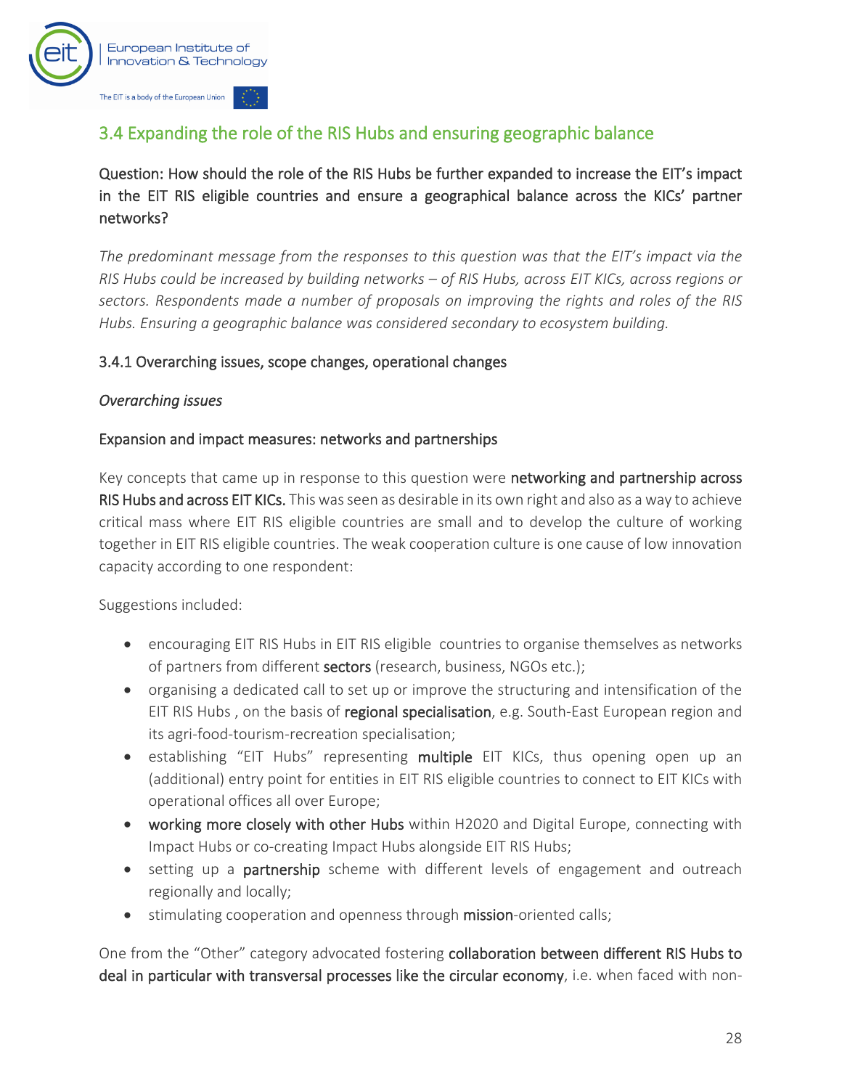

## <span id="page-29-0"></span>3.4 Expanding the role of the RIS Hubs and ensuring geographic balance

Question: How should the role of the RIS Hubs be further expanded to increase the EIT's impact in the EIT RIS eligible countries and ensure a geographical balance across the KICs' partner networks?

*The predominant message from the responses to this question was that the EIT's impact via the RIS Hubs could be increased by building networks – of RIS Hubs, across EIT KICs, across regions or sectors. Respondents made a number of proposals on improving the rights and roles of the RIS Hubs. Ensuring a geographic balance was considered secondary to ecosystem building.*

#### 3.4.1 Overarching issues, scope changes, operational changes

#### *Overarching issues*

#### Expansion and impact measures: networks and partnerships

Key concepts that came up in response to this question were **networking and partnership across** RIS Hubs and across EIT KICs. This was seen as desirable in its own right and also as a way to achieve critical mass where EIT RIS eligible countries are small and to develop the culture of working together in EIT RIS eligible countries. The weak cooperation culture is one cause of low innovation capacity according to one respondent:

Suggestions included:

- encouraging EIT RIS Hubs in EIT RIS eligible countries to organise themselves as networks of partners from different sectors (research, business, NGOs etc.);
- organising a dedicated call to set up or improve the structuring and intensification of the EIT RIS Hubs , on the basis of regional specialisation, e.g. South-East European region and its agri-food-tourism-recreation specialisation;
- establishing "EIT Hubs" representing multiple EIT KICs, thus opening open up an (additional) entry point for entities in EIT RIS eligible countries to connect to EIT KICs with operational offices all over Europe;
- working more closely with other Hubs within H2020 and Digital Europe, connecting with Impact Hubs or co-creating Impact Hubs alongside EIT RIS Hubs;
- setting up a partnership scheme with different levels of engagement and outreach regionally and locally;
- stimulating cooperation and openness through mission-oriented calls;

One from the "Other" category advocated fostering collaboration between different RIS Hubs to deal in particular with transversal processes like the circular economy, i.e. when faced with non-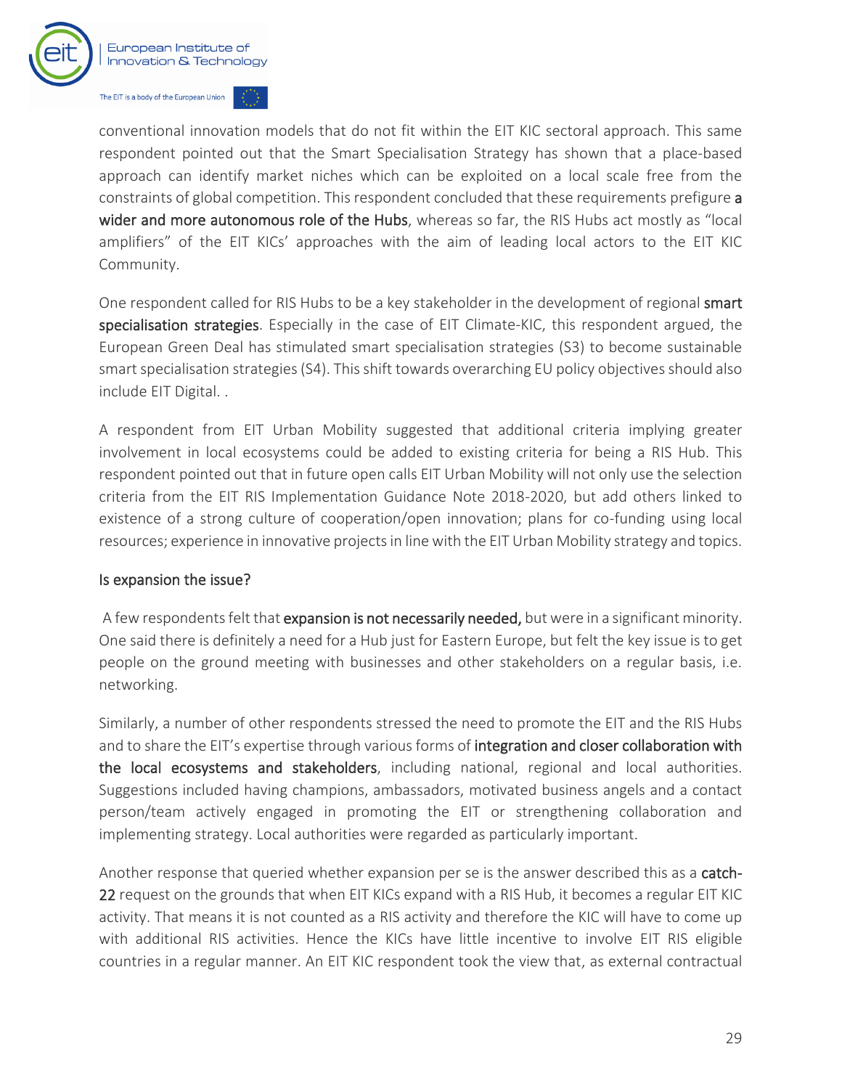

conventional innovation models that do not fit within the EIT KIC sectoral approach. This same respondent pointed out that the Smart Specialisation Strategy has shown that a place-based approach can identify market niches which can be exploited on a local scale free from the constraints of global competition. This respondent concluded that these requirements prefigure a wider and more autonomous role of the Hubs, whereas so far, the RIS Hubs act mostly as "local amplifiers" of the EIT KICs' approaches with the aim of leading local actors to the EIT KIC Community.

One respondent called for RIS Hubs to be a key stakeholder in the development of regional smart specialisation strategies. Especially in the case of EIT Climate-KIC, this respondent argued, the European Green Deal has stimulated smart specialisation strategies (S3) to become sustainable smart specialisation strategies (S4). This shift towards overarching EU policy objectives should also include EIT Digital. .

A respondent from EIT Urban Mobility suggested that additional criteria implying greater involvement in local ecosystems could be added to existing criteria for being a RIS Hub. This respondent pointed out that in future open calls EIT Urban Mobility will not only use the selection criteria from the EIT RIS Implementation Guidance Note 2018-2020, but add others linked to existence of a strong culture of cooperation/open innovation; plans for co-funding using local resources; experience in innovative projects in line with the EIT Urban Mobility strategy and topics.

#### Is expansion the issue?

A few respondents felt that expansion is not necessarily needed, but were in a significant minority. One said there is definitely a need for a Hub just for Eastern Europe, but felt the key issue is to get people on the ground meeting with businesses and other stakeholders on a regular basis, i.e. networking.

Similarly, a number of other respondents stressed the need to promote the EIT and the RIS Hubs and to share the EIT's expertise through various forms of integration and closer collaboration with the local ecosystems and stakeholders, including national, regional and local authorities. Suggestions included having champions, ambassadors, motivated business angels and a contact person/team actively engaged in promoting the EIT or strengthening collaboration and implementing strategy. Local authorities were regarded as particularly important.

Another response that queried whether expansion per se is the answer described this as a catch-22 request on the grounds that when EIT KICs expand with a RIS Hub, it becomes a regular EIT KIC activity. That means it is not counted as a RIS activity and therefore the KIC will have to come up with additional RIS activities. Hence the KICs have little incentive to involve EIT RIS eligible countries in a regular manner. An EIT KIC respondent took the view that, as external contractual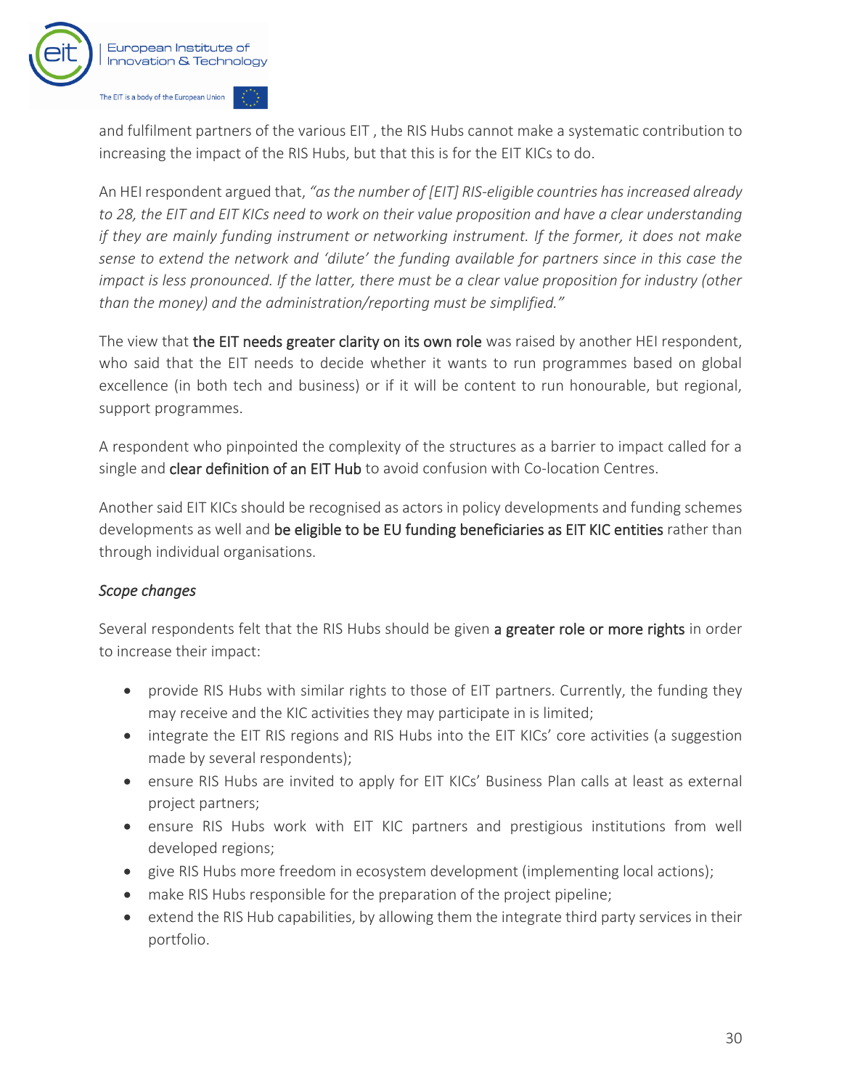

and fulfilment partners of the various EIT , the RIS Hubs cannot make a systematic contribution to increasing the impact of the RIS Hubs, but that this is for the EIT KICs to do.

An HEI respondent argued that, *"as the number of [EIT] RIS-eligible countries has increased already to 28, the EIT and EIT KICs need to work on their value proposition and have a clear understanding if they are mainly funding instrument or networking instrument. If the former, it does not make sense to extend the network and 'dilute' the funding available for partners since in this case the impact is less pronounced. If the latter, there must be a clear value proposition for industry (other than the money) and the administration/reporting must be simplified."*

The view that the EIT needs greater clarity on its own role was raised by another HEI respondent, who said that the EIT needs to decide whether it wants to run programmes based on global excellence (in both tech and business) or if it will be content to run honourable, but regional, support programmes.

A respondent who pinpointed the complexity of the structures as a barrier to impact called for a single and clear definition of an EIT Hub to avoid confusion with Co-location Centres.

Another said EIT KICs should be recognised as actors in policy developments and funding schemes developments as well and be eligible to be EU funding beneficiaries as EIT KIC entities rather than through individual organisations.

#### *Scope changes*

Several respondents felt that the RIS Hubs should be given a greater role or more rights in order to increase their impact:

- provide RIS Hubs with similar rights to those of EIT partners. Currently, the funding they may receive and the KIC activities they may participate in is limited;
- integrate the EIT RIS regions and RIS Hubs into the EIT KICs' core activities (a suggestion made by several respondents);
- ensure RIS Hubs are invited to apply for EIT KICs' Business Plan calls at least as external project partners;
- ensure RIS Hubs work with EIT KIC partners and prestigious institutions from well developed regions;
- give RIS Hubs more freedom in ecosystem development (implementing local actions);
- make RIS Hubs responsible for the preparation of the project pipeline;
- extend the RIS Hub capabilities, by allowing them the integrate third party services in their portfolio.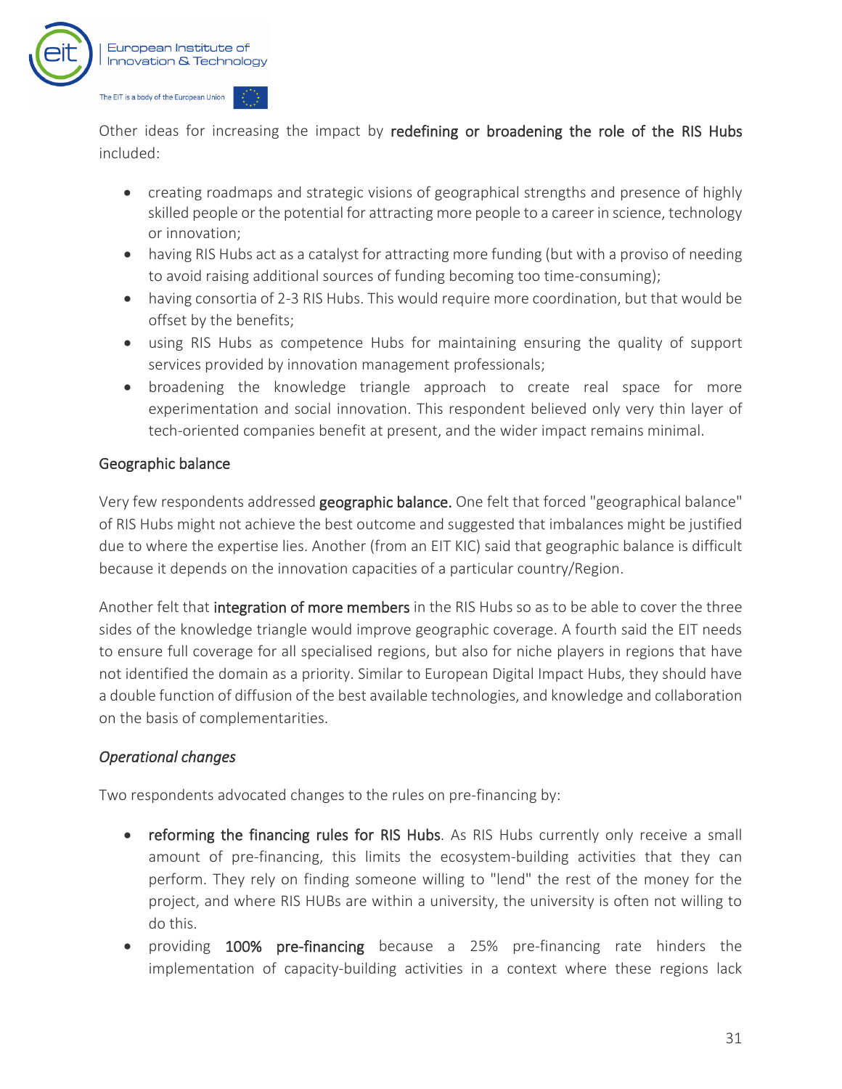

Other ideas for increasing the impact by redefining or broadening the role of the RIS Hubs included:

- creating roadmaps and strategic visions of geographical strengths and presence of highly skilled people or the potential for attracting more people to a career in science, technology or innovation;
- having RIS Hubs act as a catalyst for attracting more funding (but with a proviso of needing to avoid raising additional sources of funding becoming too time-consuming);
- having consortia of 2-3 RIS Hubs. This would require more coordination, but that would be offset by the benefits;
- using RIS Hubs as competence Hubs for maintaining ensuring the quality of support services provided by innovation management professionals;
- broadening the knowledge triangle approach to create real space for more experimentation and social innovation. This respondent believed only very thin layer of tech-oriented companies benefit at present, and the wider impact remains minimal.

#### Geographic balance

Very few respondents addressed geographic balance. One felt that forced "geographical balance" of RIS Hubs might not achieve the best outcome and suggested that imbalances might be justified due to where the expertise lies. Another (from an EIT KIC) said that geographic balance is difficult because it depends on the innovation capacities of a particular country/Region.

Another felt that integration of more members in the RIS Hubs so as to be able to cover the three sides of the knowledge triangle would improve geographic coverage. A fourth said the EIT needs to ensure full coverage for all specialised regions, but also for niche players in regions that have not identified the domain as a priority. Similar to European Digital Impact Hubs, they should have a double function of diffusion of the best available technologies, and knowledge and collaboration on the basis of complementarities.

#### *Operational changes*

Two respondents advocated changes to the rules on pre-financing by:

- reforming the financing rules for RIS Hubs. As RIS Hubs currently only receive a small amount of pre-financing, this limits the ecosystem-building activities that they can perform. They rely on finding someone willing to "lend" the rest of the money for the project, and where RIS HUBs are within a university, the university is often not willing to do this.
- providing 100% pre-financing because a 25% pre-financing rate hinders the implementation of capacity-building activities in a context where these regions lack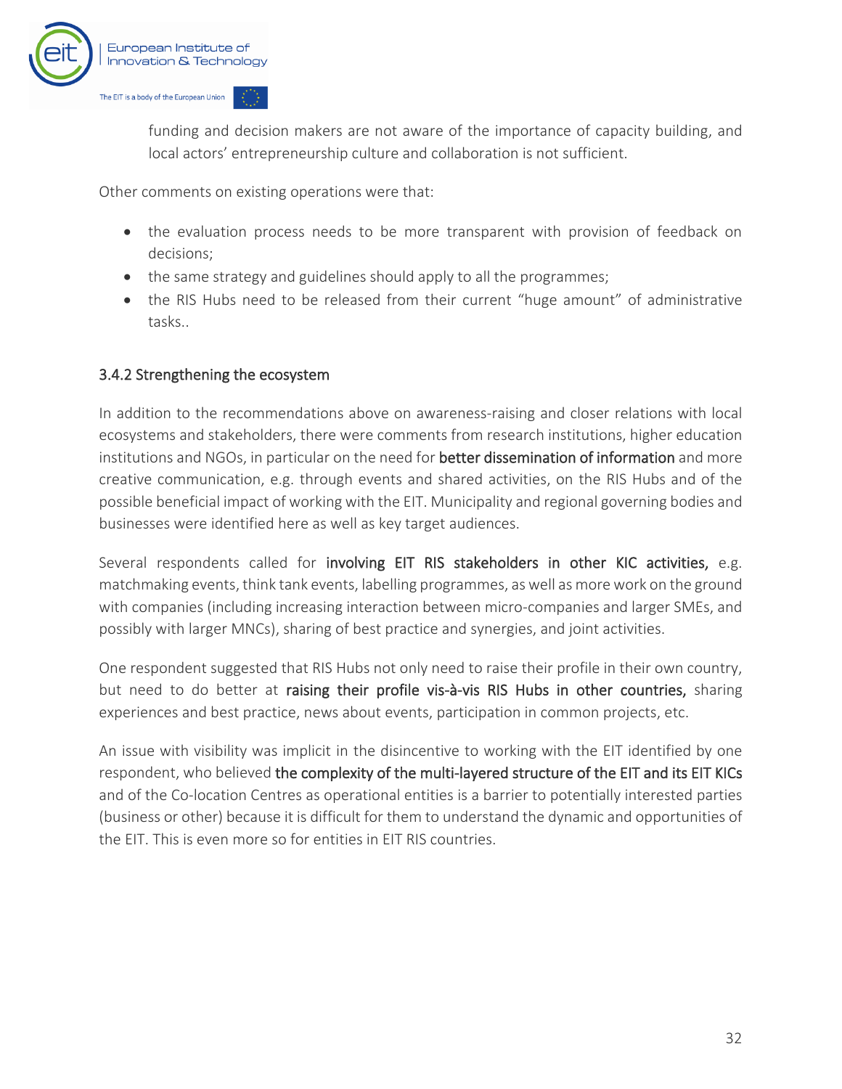

funding and decision makers are not aware of the importance of capacity building, and local actors' entrepreneurship culture and collaboration is not sufficient.

Other comments on existing operations were that:

- the evaluation process needs to be more transparent with provision of feedback on decisions;
- the same strategy and guidelines should apply to all the programmes;
- the RIS Hubs need to be released from their current "huge amount" of administrative tasks..

#### 3.4.2 Strengthening the ecosystem

In addition to the recommendations above on awareness-raising and closer relations with local ecosystems and stakeholders, there were comments from research institutions, higher education institutions and NGOs, in particular on the need for better dissemination of information and more creative communication, e.g. through events and shared activities, on the RIS Hubs and of the possible beneficial impact of working with the EIT. Municipality and regional governing bodies and businesses were identified here as well as key target audiences.

Several respondents called for involving EIT RIS stakeholders in other KIC activities, e.g. matchmaking events, think tank events, labelling programmes, as well as more work on the ground with companies (including increasing interaction between micro-companies and larger SMEs, and possibly with larger MNCs), sharing of best practice and synergies, and joint activities.

One respondent suggested that RIS Hubs not only need to raise their profile in their own country, but need to do better at raising their profile vis-à-vis RIS Hubs in other countries, sharing experiences and best practice, news about events, participation in common projects, etc.

An issue with visibility was implicit in the disincentive to working with the EIT identified by one respondent, who believed the complexity of the multi-layered structure of the EIT and its EIT KICs and of the Co-location Centres as operational entities is a barrier to potentially interested parties (business or other) because it is difficult for them to understand the dynamic and opportunities of the EIT. This is even more so for entities in EIT RIS countries.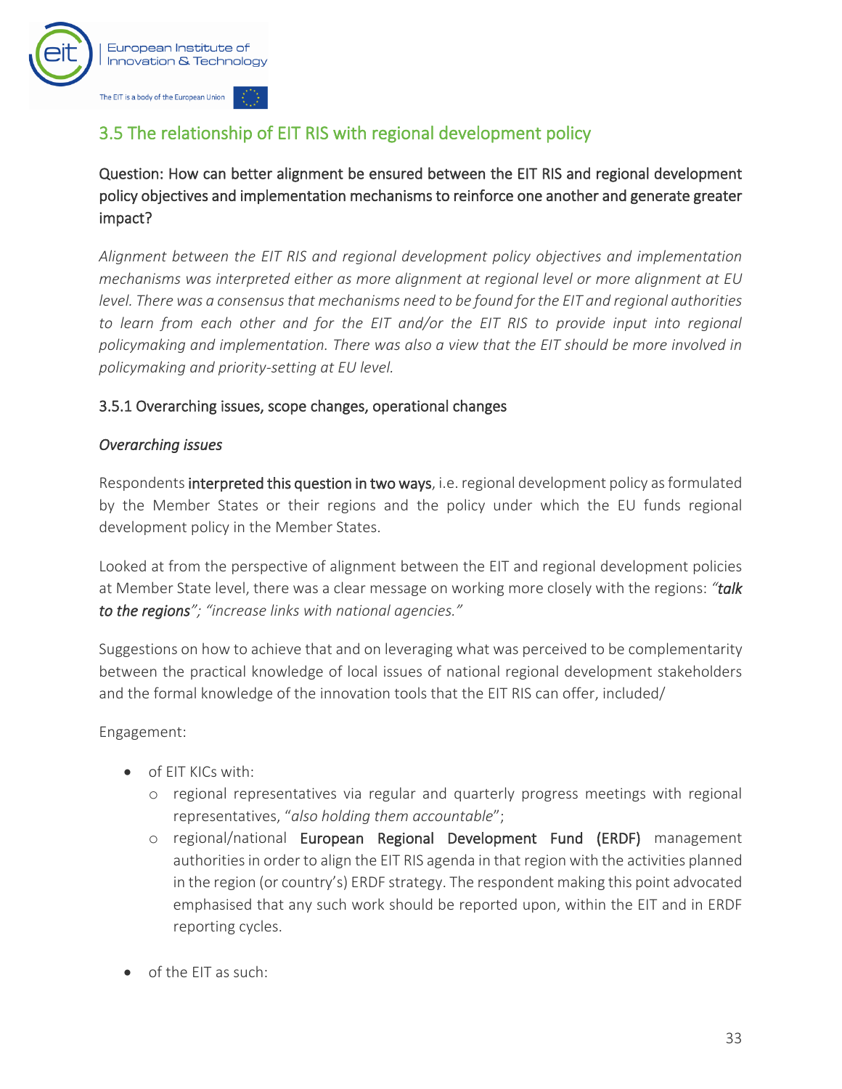

## <span id="page-34-0"></span>3.5 The relationship of EIT RIS with regional development policy

Question: How can better alignment be ensured between the EIT RIS and regional development policy objectives and implementation mechanisms to reinforce one another and generate greater impact?

*Alignment between the EIT RIS and regional development policy objectives and implementation mechanisms was interpreted either as more alignment at regional level or more alignment at EU level. There was a consensus that mechanisms need to be found for the EIT and regional authorities*  to learn from each other and for the EIT and/or the EIT RIS to provide input into regional *policymaking and implementation. There was also a view that the EIT should be more involved in policymaking and priority-setting at EU level.*

#### 3.5.1 Overarching issues, scope changes, operational changes

#### *Overarching issues*

Respondents interpreted this question in two ways, i.e. regional development policy as formulated by the Member States or their regions and the policy under which the EU funds regional development policy in the Member States.

Looked at from the perspective of alignment between the EIT and regional development policies at Member State level, there was a clear message on working more closely with the regions: *"talk to the regions"; "increase links with national agencies."*

Suggestions on how to achieve that and on leveraging what was perceived to be complementarity between the practical knowledge of local issues of national regional development stakeholders and the formal knowledge of the innovation tools that the EIT RIS can offer, included/

Engagement:

- of EIT KICs with:
	- o regional representatives via regular and quarterly progress meetings with regional representatives, "*also holding them accountable*";
	- o regional/national European Regional Development Fund (ERDF) management authorities in order to align the EIT RIS agenda in that region with the activities planned in the region (or country's) ERDF strategy. The respondent making this point advocated emphasised that any such work should be reported upon, within the EIT and in ERDF reporting cycles.
- of the EIT as such: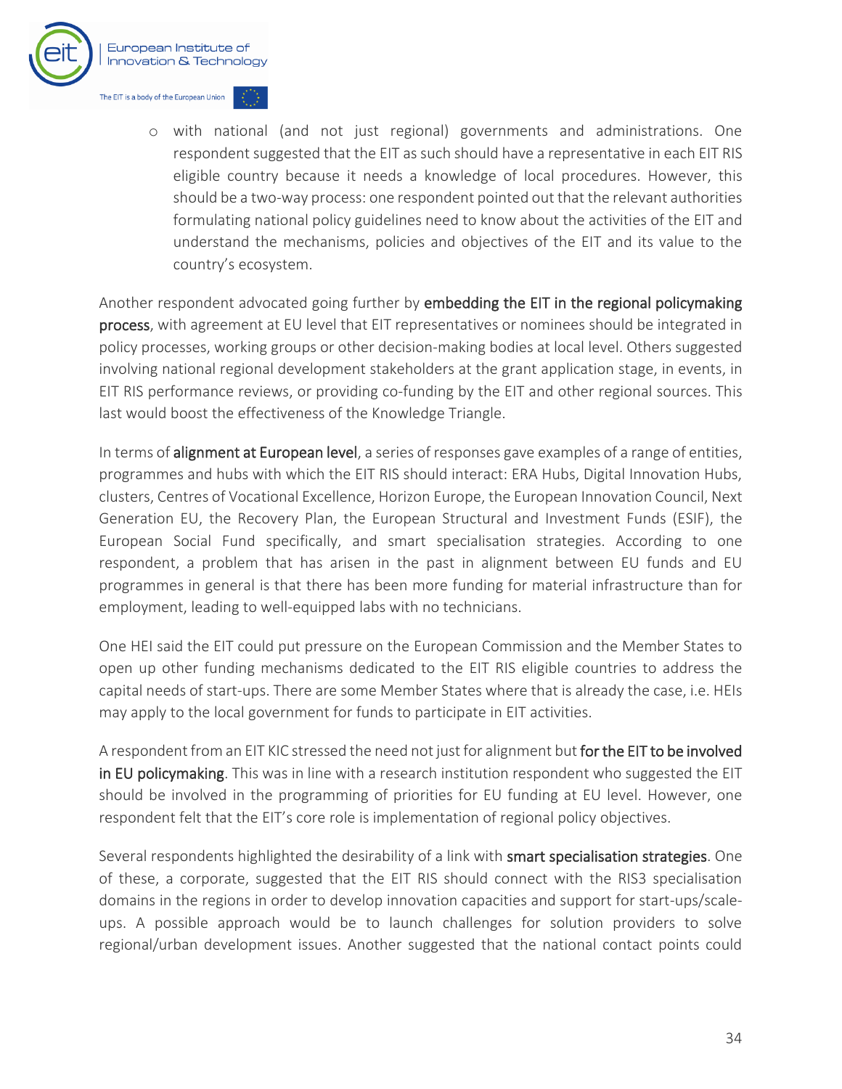

o with national (and not just regional) governments and administrations. One respondent suggested that the EIT as such should have a representative in each EIT RIS eligible country because it needs a knowledge of local procedures. However, this should be a two-way process: one respondent pointed out that the relevant authorities formulating national policy guidelines need to know about the activities of the EIT and understand the mechanisms, policies and objectives of the EIT and its value to the country's ecosystem.

Another respondent advocated going further by embedding the EIT in the regional policymaking process, with agreement at EU level that EIT representatives or nominees should be integrated in policy processes, working groups or other decision-making bodies at local level. Others suggested involving national regional development stakeholders at the grant application stage, in events, in EIT RIS performance reviews, or providing co-funding by the EIT and other regional sources. This last would boost the effectiveness of the Knowledge Triangle.

In terms of alignment at European level, a series of responses gave examples of a range of entities, programmes and hubs with which the EIT RIS should interact: ERA Hubs, Digital Innovation Hubs, clusters, Centres of Vocational Excellence, Horizon Europe, the European Innovation Council, Next Generation EU, the Recovery Plan, the European Structural and Investment Funds (ESIF), the European Social Fund specifically, and smart specialisation strategies. According to one respondent, a problem that has arisen in the past in alignment between EU funds and EU programmes in general is that there has been more funding for material infrastructure than for employment, leading to well-equipped labs with no technicians.

One HEI said the EIT could put pressure on the European Commission and the Member States to open up other funding mechanisms dedicated to the EIT RIS eligible countries to address the capital needs of start-ups. There are some Member States where that is already the case, i.e. HEIs may apply to the local government for funds to participate in EIT activities.

A respondent from an EIT KIC stressed the need not just for alignment but for the EIT to be involved in EU policymaking. This was in line with a research institution respondent who suggested the EIT should be involved in the programming of priorities for EU funding at EU level. However, one respondent felt that the EIT's core role is implementation of regional policy objectives.

Several respondents highlighted the desirability of a link with smart specialisation strategies. One of these, a corporate, suggested that the EIT RIS should connect with the RIS3 specialisation domains in the regions in order to develop innovation capacities and support for start-ups/scaleups. A possible approach would be to launch challenges for solution providers to solve regional/urban development issues. Another suggested that the national contact points could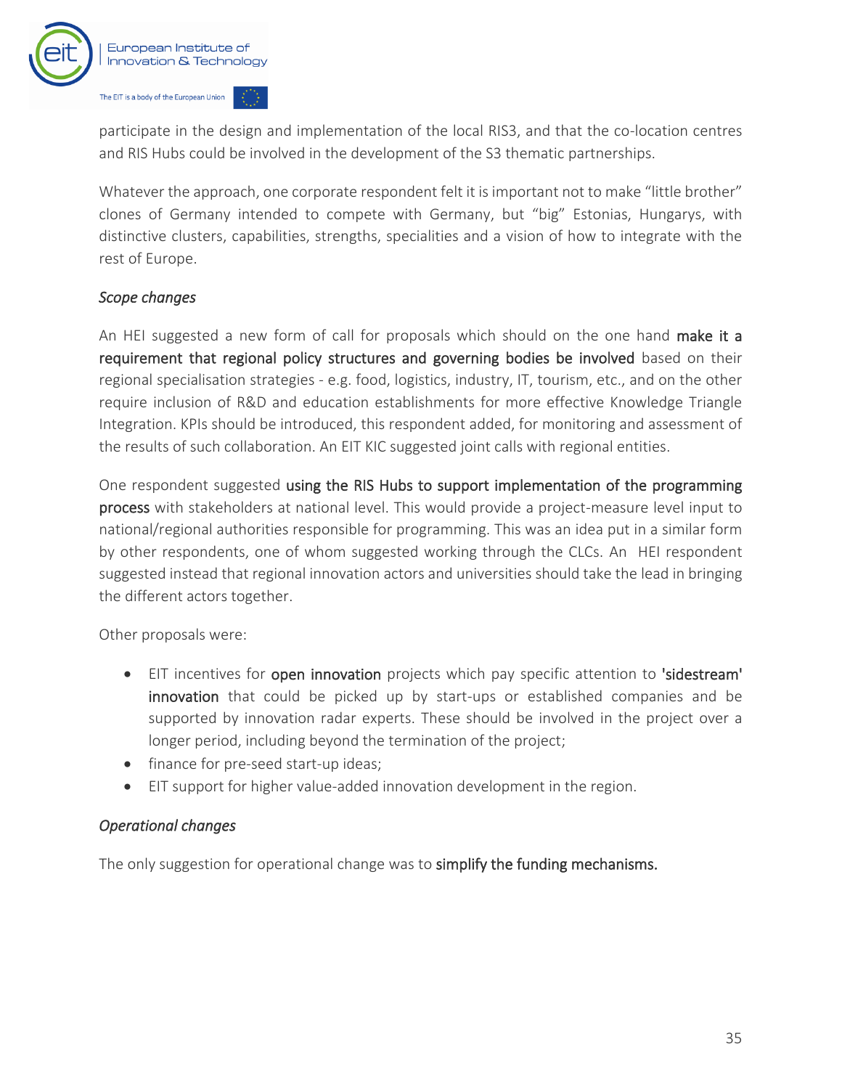

participate in the design and implementation of the local RIS3, and that the co-location centres and RIS Hubs could be involved in the development of the S3 thematic partnerships.

Whatever the approach, one corporate respondent felt it is important not to make "little brother" clones of Germany intended to compete with Germany, but "big" Estonias, Hungarys, with distinctive clusters, capabilities, strengths, specialities and a vision of how to integrate with the rest of Europe.

#### *Scope changes*

An HEI suggested a new form of call for proposals which should on the one hand make it a requirement that regional policy structures and governing bodies be involved based on their regional specialisation strategies - e.g. food, logistics, industry, IT, tourism, etc., and on the other require inclusion of R&D and education establishments for more effective Knowledge Triangle Integration. KPIs should be introduced, this respondent added, for monitoring and assessment of the results of such collaboration. An EIT KIC suggested joint calls with regional entities.

One respondent suggested using the RIS Hubs to support implementation of the programming process with stakeholders at national level. This would provide a project-measure level input to national/regional authorities responsible for programming. This was an idea put in a similar form by other respondents, one of whom suggested working through the CLCs. An HEI respondent suggested instead that regional innovation actors and universities should take the lead in bringing the different actors together.

Other proposals were:

- EIT incentives for open innovation projects which pay specific attention to 'sidestream' innovation that could be picked up by start-ups or established companies and be supported by innovation radar experts. These should be involved in the project over a longer period, including beyond the termination of the project;
- finance for pre-seed start-up ideas;
- EIT support for higher value-added innovation development in the region.

#### *Operational changes*

The only suggestion for operational change was to simplify the funding mechanisms.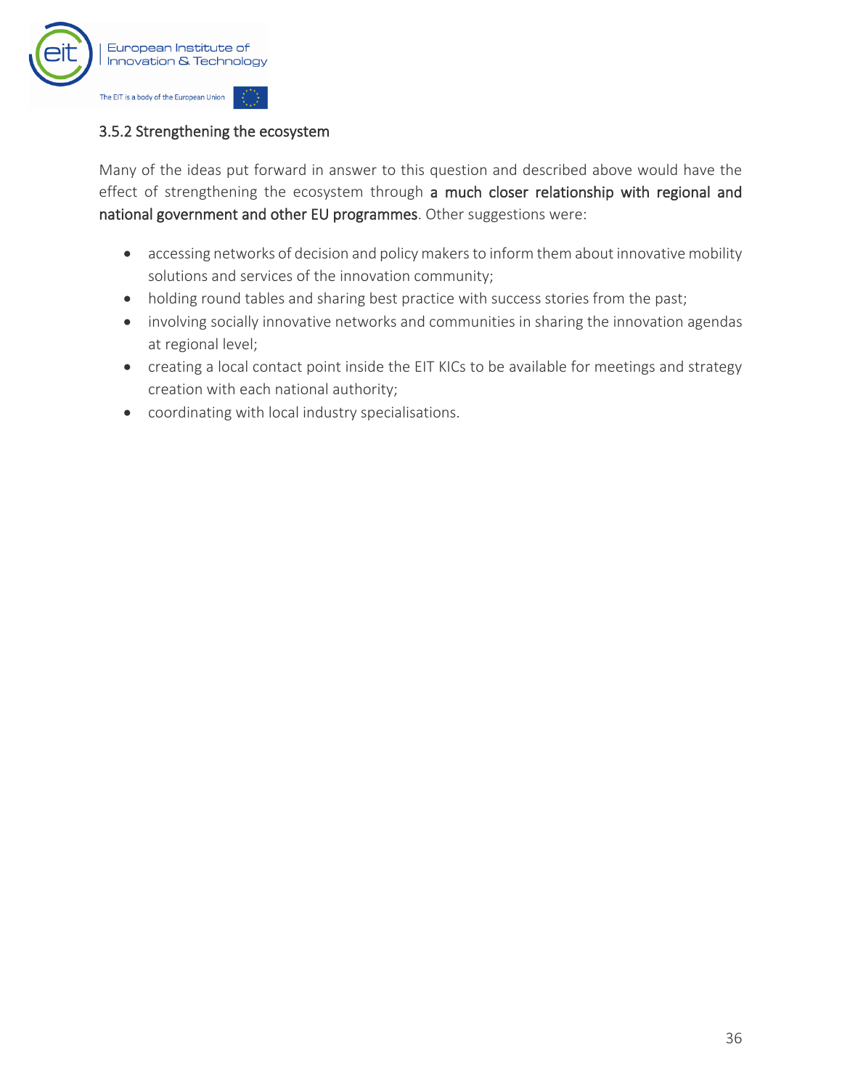

#### 3.5.2 Strengthening the ecosystem

Many of the ideas put forward in answer to this question and described above would have the effect of strengthening the ecosystem through a much closer relationship with regional and national government and other EU programmes. Other suggestions were:

- accessing networks of decision and policy makers to inform them about innovative mobility solutions and services of the innovation community;
- holding round tables and sharing best practice with success stories from the past;
- involving socially innovative networks and communities in sharing the innovation agendas at regional level;
- creating a local contact point inside the EIT KICs to be available for meetings and strategy creation with each national authority;
- coordinating with local industry specialisations.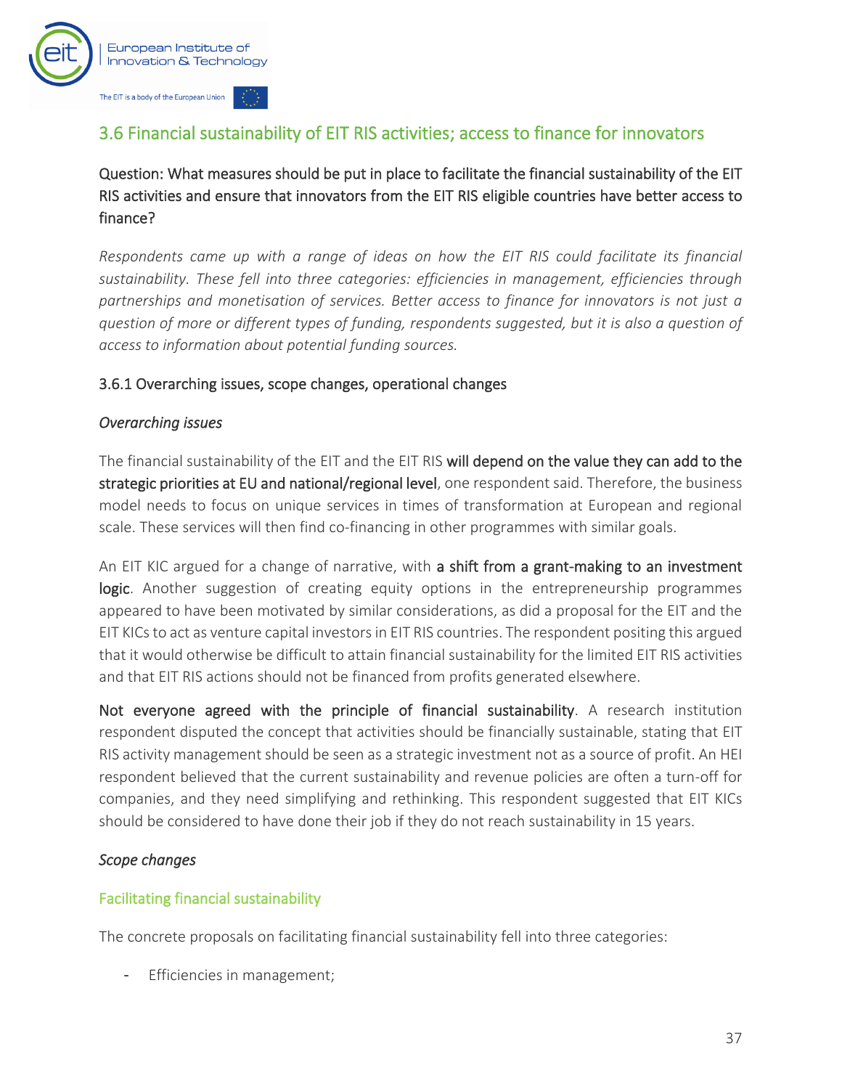

## <span id="page-38-0"></span>3.6 Financial sustainability of EIT RIS activities; access to finance for innovators

Question: What measures should be put in place to facilitate the financial sustainability of the EIT RIS activities and ensure that innovators from the EIT RIS eligible countries have better access to finance?

*Respondents came up with a range of ideas on how the EIT RIS could facilitate its financial sustainability. These fell into three categories: efficiencies in management, efficiencies through partnerships and monetisation of services. Better access to finance for innovators is not just a question of more or different types of funding, respondents suggested, but it is also a question of access to information about potential funding sources.*

#### 3.6.1 Overarching issues, scope changes, operational changes

#### *Overarching issues*

The financial sustainability of the EIT and the EIT RIS will depend on the value they can add to the strategic priorities at EU and national/regional level, one respondent said. Therefore, the business model needs to focus on unique services in times of transformation at European and regional scale. These services will then find co-financing in other programmes with similar goals.

An EIT KIC argued for a change of narrative, with a shift from a grant-making to an investment logic. Another suggestion of creating equity options in the entrepreneurship programmes appeared to have been motivated by similar considerations, as did a proposal for the EIT and the EIT KICs to act as venture capital investors in EIT RIS countries. The respondent positing this argued that it would otherwise be difficult to attain financial sustainability for the limited EIT RIS activities and that EIT RIS actions should not be financed from profits generated elsewhere.

Not everyone agreed with the principle of financial sustainability. A research institution respondent disputed the concept that activities should be financially sustainable, stating that EIT RIS activity management should be seen as a strategic investment not as a source of profit. An HEI respondent believed that the current sustainability and revenue policies are often a turn-off for companies, and they need simplifying and rethinking. This respondent suggested that EIT KICs should be considered to have done their job if they do not reach sustainability in 15 years.

#### *Scope changes*

#### Facilitating financial sustainability

The concrete proposals on facilitating financial sustainability fell into three categories:

Efficiencies in management;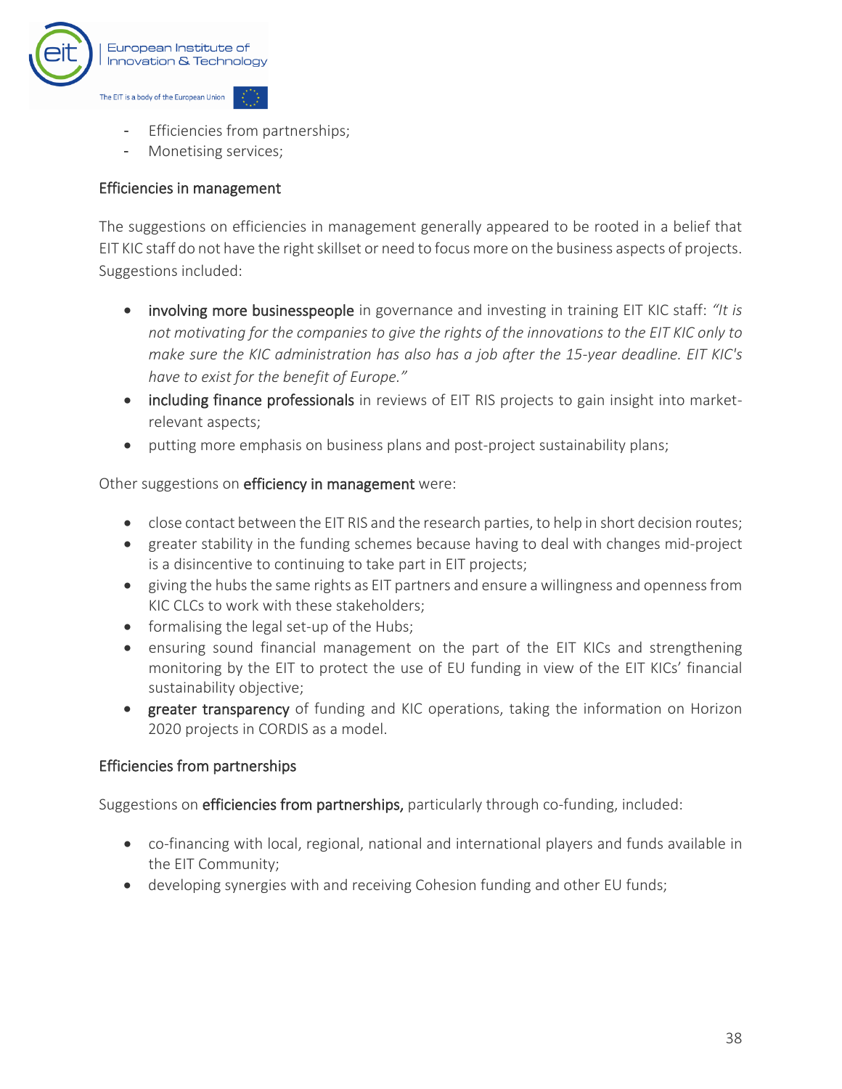

- Efficiencies from partnerships;
- Monetising services;

#### Efficiencies in management

The suggestions on efficiencies in management generally appeared to be rooted in a belief that EIT KIC staff do not have the right skillset or need to focus more on the business aspects of projects. Suggestions included:

- involving more businesspeople in governance and investing in training EIT KIC staff: *"It is not motivating for the companies to give the rights of the innovations to the EIT KIC only to make sure the KIC administration has also has a job after the 15-year deadline. EIT KIC's have to exist for the benefit of Europe."*
- including finance professionals in reviews of EIT RIS projects to gain insight into marketrelevant aspects;
- putting more emphasis on business plans and post-project sustainability plans;

#### Other suggestions on efficiency in management were:

- close contact between the EIT RIS and the research parties, to help in short decision routes;
- greater stability in the funding schemes because having to deal with changes mid-project is a disincentive to continuing to take part in EIT projects;
- giving the hubs the same rights as EIT partners and ensure a willingness and openness from KIC CLCs to work with these stakeholders;
- formalising the legal set-up of the Hubs;
- ensuring sound financial management on the part of the EIT KICs and strengthening monitoring by the EIT to protect the use of EU funding in view of the EIT KICs' financial sustainability objective;
- greater transparency of funding and KIC operations, taking the information on Horizon 2020 projects in CORDIS as a model.

#### Efficiencies from partnerships

Suggestions on efficiencies from partnerships, particularly through co-funding, included:

- co-financing with local, regional, national and international players and funds available in the EIT Community;
- developing synergies with and receiving Cohesion funding and other EU funds;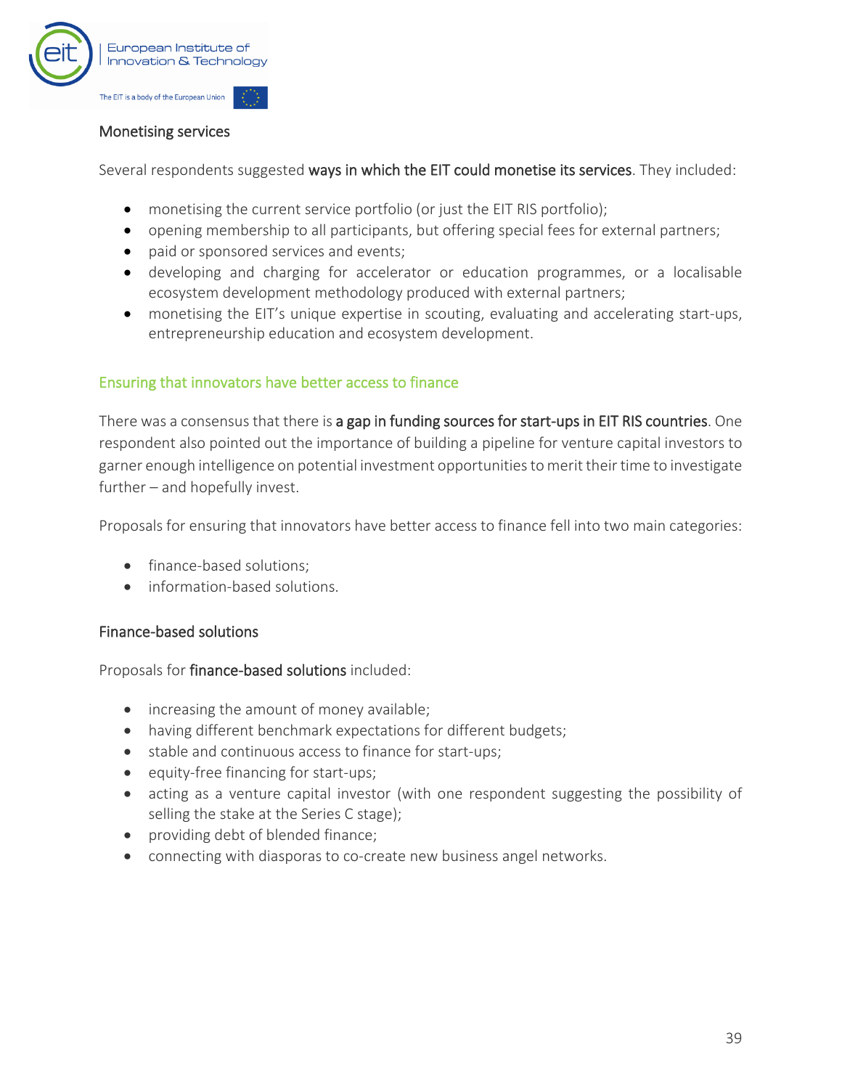

#### Monetising services

Several respondents suggested ways in which the EIT could monetise its services. They included:

- monetising the current service portfolio (or just the EIT RIS portfolio);
- opening membership to all participants, but offering special fees for external partners;
- paid or sponsored services and events;
- developing and charging for accelerator or education programmes, or a localisable ecosystem development methodology produced with external partners;
- monetising the EIT's unique expertise in scouting, evaluating and accelerating start-ups, entrepreneurship education and ecosystem development.

#### Ensuring that innovators have better access to finance

There was a consensus that there is a gap in funding sources for start-ups in EIT RIS countries. One respondent also pointed out the importance of building a pipeline for venture capital investors to garner enough intelligence on potential investment opportunities to merit their time to investigate further – and hopefully invest.

Proposals for ensuring that innovators have better access to finance fell into two main categories:

- finance-based solutions;
- information-based solutions.

#### Finance-based solutions

Proposals for finance-based solutions included:

- increasing the amount of money available;
- having different benchmark expectations for different budgets;
- stable and continuous access to finance for start-ups;
- equity-free financing for start-ups;
- acting as a venture capital investor (with one respondent suggesting the possibility of selling the stake at the Series C stage);
- providing debt of blended finance;
- connecting with diasporas to co-create new business angel networks.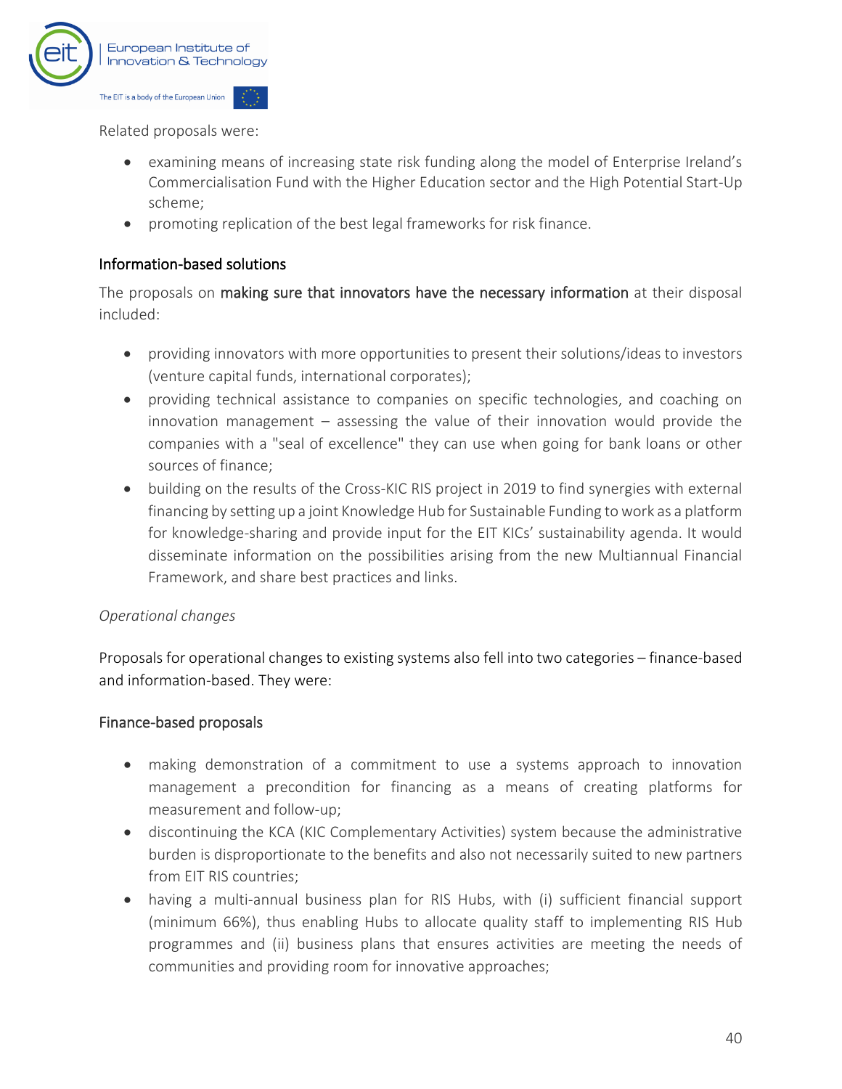

Related proposals were:

- examining means of increasing state risk funding along the model of Enterprise Ireland's Commercialisation Fund with the Higher Education sector and the High Potential Start-Up scheme;
- promoting replication of the best legal frameworks for risk finance.

#### Information-based solutions

The proposals on making sure that innovators have the necessary information at their disposal included:

- providing innovators with more opportunities to present their solutions/ideas to investors (venture capital funds, international corporates);
- providing technical assistance to companies on specific technologies, and coaching on innovation management – assessing the value of their innovation would provide the companies with a "seal of excellence" they can use when going for bank loans or other sources of finance;
- building on the results of the Cross-KIC RIS project in 2019 to find synergies with external financing by setting up a joint Knowledge Hub for Sustainable Funding to work as a platform for knowledge-sharing and provide input for the EIT KICs' sustainability agenda. It would disseminate information on the possibilities arising from the new Multiannual Financial Framework, and share best practices and links.

#### *Operational changes*

Proposals for operational changes to existing systems also fell into two categories – finance-based and information-based. They were:

#### Finance-based proposals

- making demonstration of a commitment to use a systems approach to innovation management a precondition for financing as a means of creating platforms for measurement and follow-up;
- discontinuing the KCA (KIC Complementary Activities) system because the administrative burden is disproportionate to the benefits and also not necessarily suited to new partners from EIT RIS countries;
- having a multi-annual business plan for RIS Hubs, with (i) sufficient financial support (minimum 66%), thus enabling Hubs to allocate quality staff to implementing RIS Hub programmes and (ii) business plans that ensures activities are meeting the needs of communities and providing room for innovative approaches;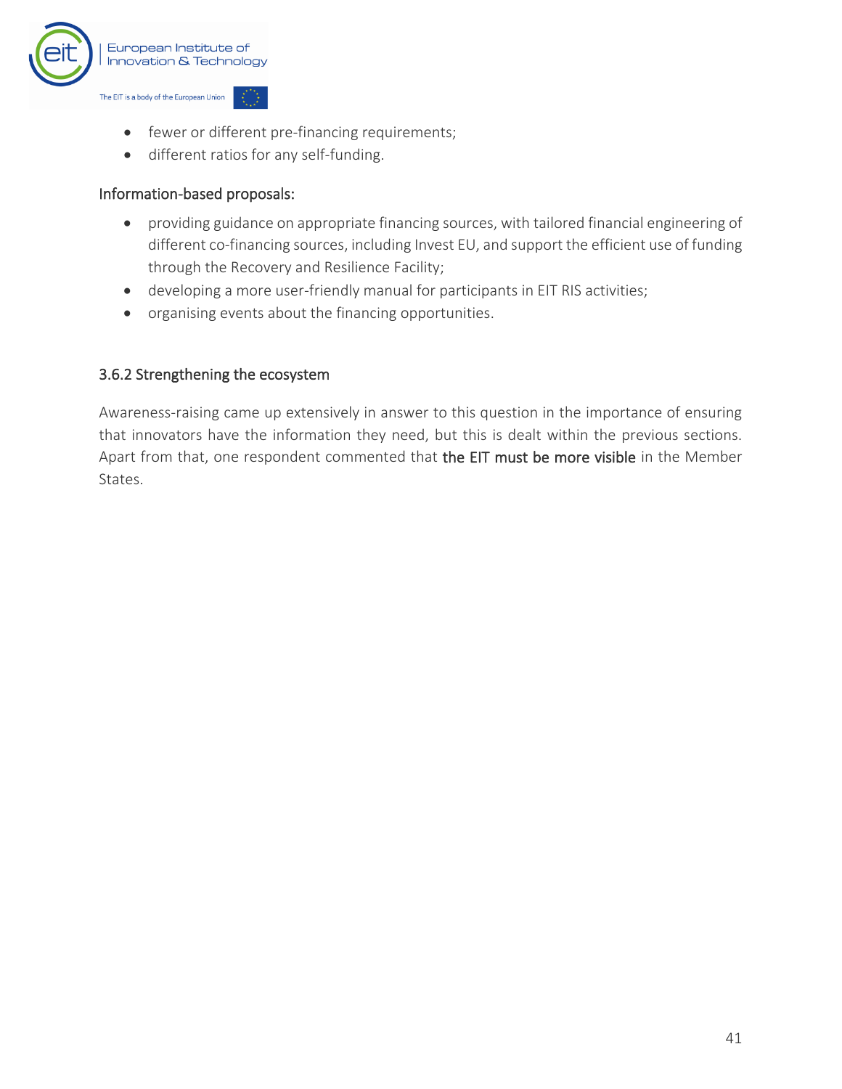

- fewer or different pre-financing requirements;
- different ratios for any self-funding.

#### Information-based proposals:

- providing guidance on appropriate financing sources, with tailored financial engineering of different co-financing sources, including Invest EU, and support the efficient use of funding through the Recovery and Resilience Facility;
- developing a more user-friendly manual for participants in EIT RIS activities;
- organising events about the financing opportunities.

#### 3.6.2 Strengthening the ecosystem

Awareness-raising came up extensively in answer to this question in the importance of ensuring that innovators have the information they need, but this is dealt within the previous sections. Apart from that, one respondent commented that the EIT must be more visible in the Member States.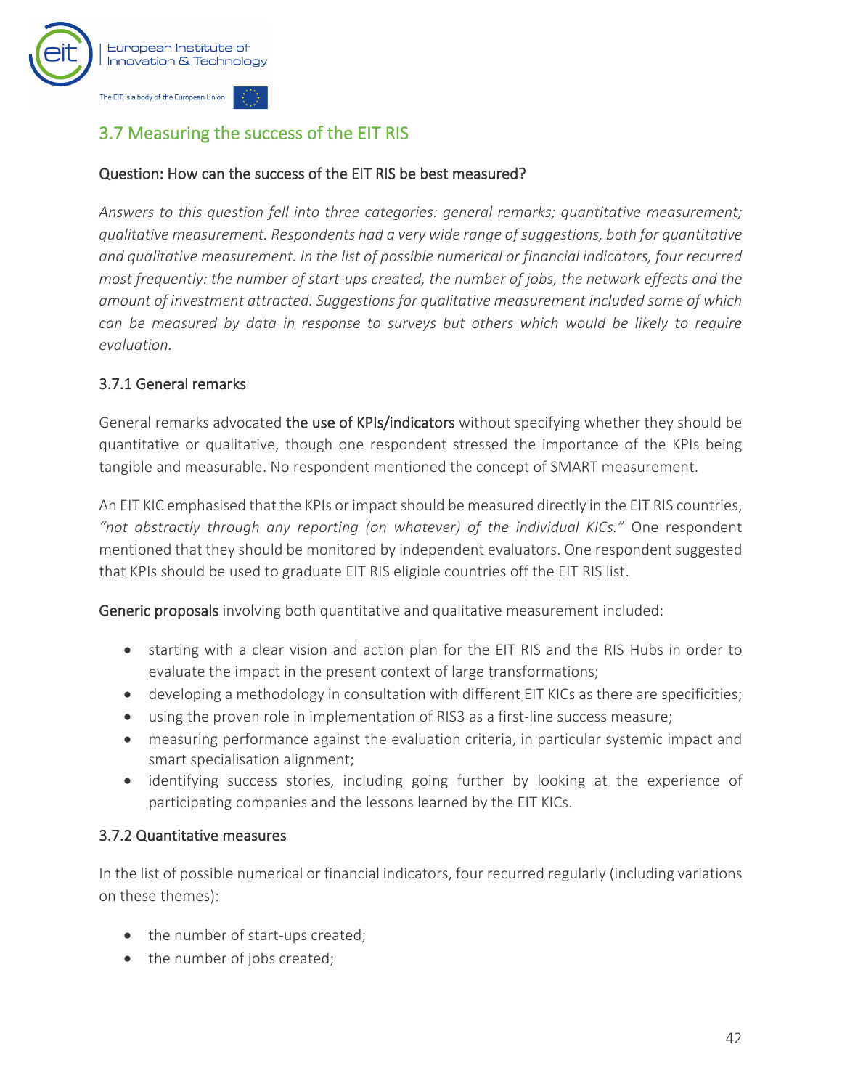

## <span id="page-43-0"></span>3.7 Measuring the success of the EIT RIS

#### Question: How can the success of the EIT RIS be best measured?

*Answers to this question fell into three categories: general remarks; quantitative measurement; qualitative measurement. Respondents had a very wide range of suggestions, both for quantitative and qualitative measurement. In the list of possible numerical or financial indicators, four recurred most frequently: the number of start-ups created, the number of jobs, the network effects and the amount of investment attracted. Suggestions for qualitative measurement included some of which can be measured by data in response to surveys but others which would be likely to require evaluation.*

#### 3.7.1 General remarks

General remarks advocated the use of KPIs/indicators without specifying whether they should be quantitative or qualitative, though one respondent stressed the importance of the KPIs being tangible and measurable. No respondent mentioned the concept of SMART measurement.

An EIT KIC emphasised that the KPIs or impact should be measured directly in the EIT RIS countries, *"not abstractly through any reporting (on whatever) of the individual KICs."* One respondent mentioned that they should be monitored by independent evaluators. One respondent suggested that KPIs should be used to graduate EIT RIS eligible countries off the EIT RIS list.

Generic proposals involving both quantitative and qualitative measurement included:

- starting with a clear vision and action plan for the EIT RIS and the RIS Hubs in order to evaluate the impact in the present context of large transformations;
- developing a methodology in consultation with different EIT KICs as there are specificities;
- using the proven role in implementation of RIS3 as a first-line success measure;
- measuring performance against the evaluation criteria, in particular systemic impact and smart specialisation alignment;
- identifying success stories, including going further by looking at the experience of participating companies and the lessons learned by the EIT KICs.

#### 3.7.2 Quantitative measures

In the list of possible numerical or financial indicators, four recurred regularly (including variations on these themes):

- the number of start-ups created;
- the number of jobs created;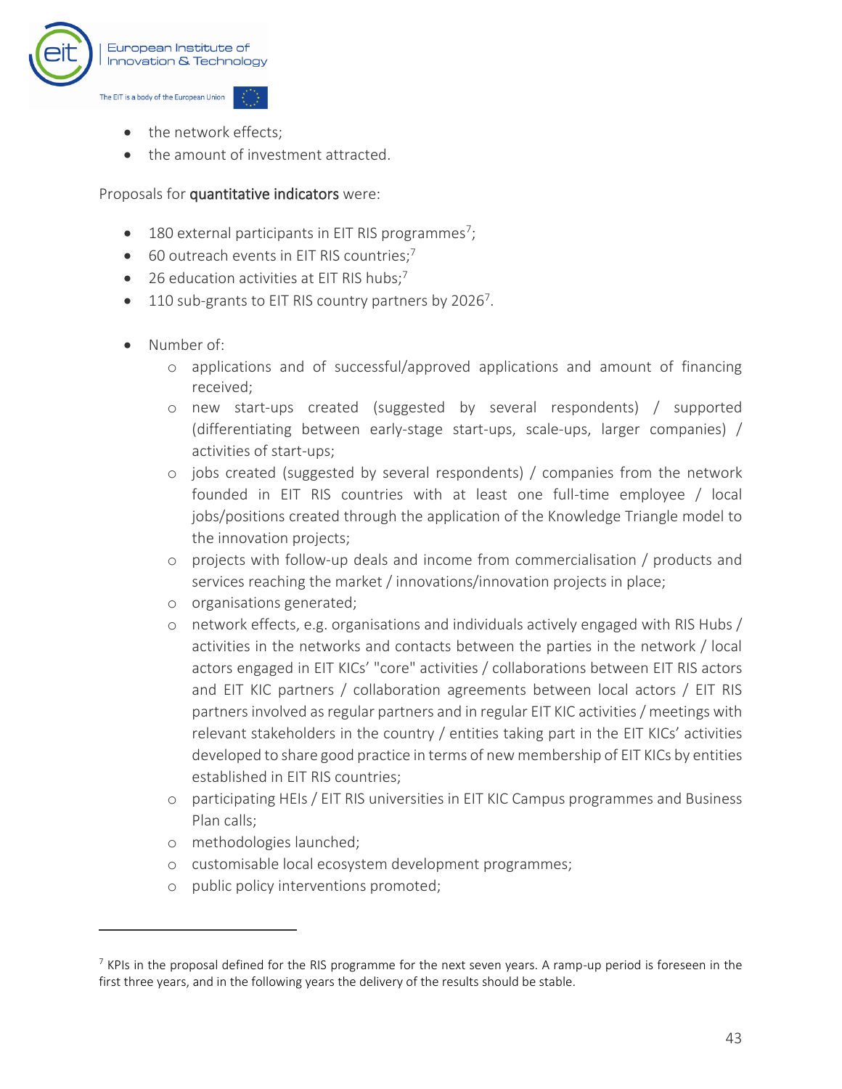

- the network effects:
- the amount of investment attracted

#### Proposals for quantitative indicators were:

- <span id="page-44-0"></span> $\bullet$  180 external participants in EIT RIS programmes<sup>7</sup>;
- 60 outreach events in EIT RIS countries;<sup>[7](#page-44-0)</sup>
- 26 education activities at EIT RIS hubs; $^7$  $^7$
- $\bullet$  110 sub-grants to EIT RIS country partners by 2026<sup>[7](#page-44-0)</sup>.
- Number of:
	- o applications and of successful/approved applications and amount of financing received;
	- o new start-ups created (suggested by several respondents) / supported (differentiating between early-stage start-ups, scale-ups, larger companies) / activities of start-ups;
	- o jobs created (suggested by several respondents) / companies from the network founded in EIT RIS countries with at least one full-time employee / local jobs/positions created through the application of the Knowledge Triangle model to the innovation projects;
	- o projects with follow-up deals and income from commercialisation / products and services reaching the market / innovations/innovation projects in place;
	- o organisations generated;
	- o network effects, e.g. organisations and individuals actively engaged with RIS Hubs / activities in the networks and contacts between the parties in the network / local actors engaged in EIT KICs' "core" activities / collaborations between EIT RIS actors and EIT KIC partners / collaboration agreements between local actors / EIT RIS partners involved as regular partners and in regular EIT KIC activities / meetings with relevant stakeholders in the country / entities taking part in the EIT KICs' activities developed to share good practice in terms of new membership of EIT KICs by entities established in EIT RIS countries;
	- o participating HEIs / EIT RIS universities in EIT KIC Campus programmes and Business Plan calls;
	- o methodologies launched;
	- o customisable local ecosystem development programmes;
	- o public policy interventions promoted;

 $7$  KPIs in the proposal defined for the RIS programme for the next seven years. A ramp-up period is foreseen in the first three years, and in the following years the delivery of the results should be stable.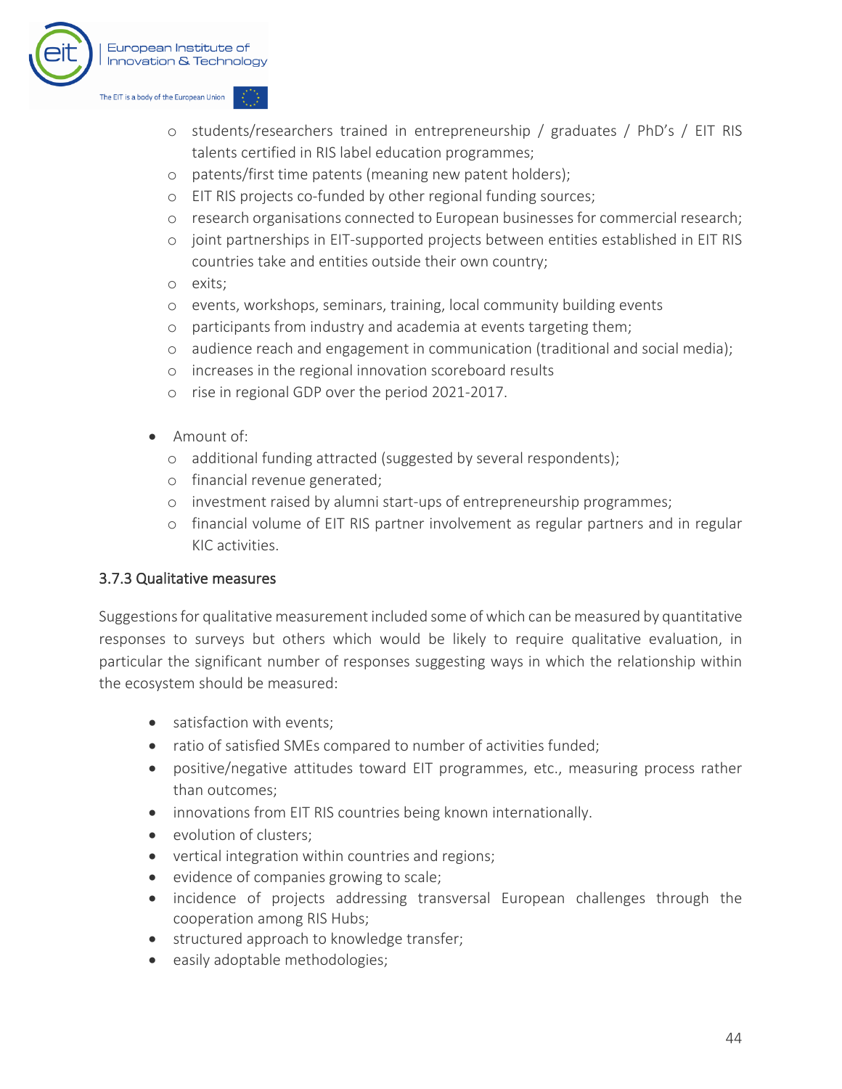

- o students/researchers trained in entrepreneurship / graduates / PhD's / EIT RIS talents certified in RIS label education programmes;
- o patents/first time patents (meaning new patent holders);
- o EIT RIS projects co-funded by other regional funding sources;
- o research organisations connected to European businesses for commercial research;
- o joint partnerships in EIT-supported projects between entities established in EIT RIS countries take and entities outside their own country;
- o exits;
- o events, workshops, seminars, training, local community building events
- o participants from industry and academia at events targeting them;
- o audience reach and engagement in communication (traditional and social media);
- o increases in the regional innovation scoreboard results
- o rise in regional GDP over the period 2021-2017.
- Amount of:
	- o additional funding attracted (suggested by several respondents);
	- o financial revenue generated;
	- o investment raised by alumni start-ups of entrepreneurship programmes;
	- o financial volume of EIT RIS partner involvement as regular partners and in regular KIC activities.

#### 3.7.3 Qualitative measures

Suggestions for qualitative measurement included some of which can be measured by quantitative responses to surveys but others which would be likely to require qualitative evaluation, in particular the significant number of responses suggesting ways in which the relationship within the ecosystem should be measured:

- satisfaction with events;
- ratio of satisfied SMEs compared to number of activities funded;
- positive/negative attitudes toward EIT programmes, etc., measuring process rather than outcomes;
- innovations from EIT RIS countries being known internationally.
- evolution of clusters:
- vertical integration within countries and regions;
- evidence of companies growing to scale;
- incidence of projects addressing transversal European challenges through the cooperation among RIS Hubs;
- structured approach to knowledge transfer;
- easily adoptable methodologies;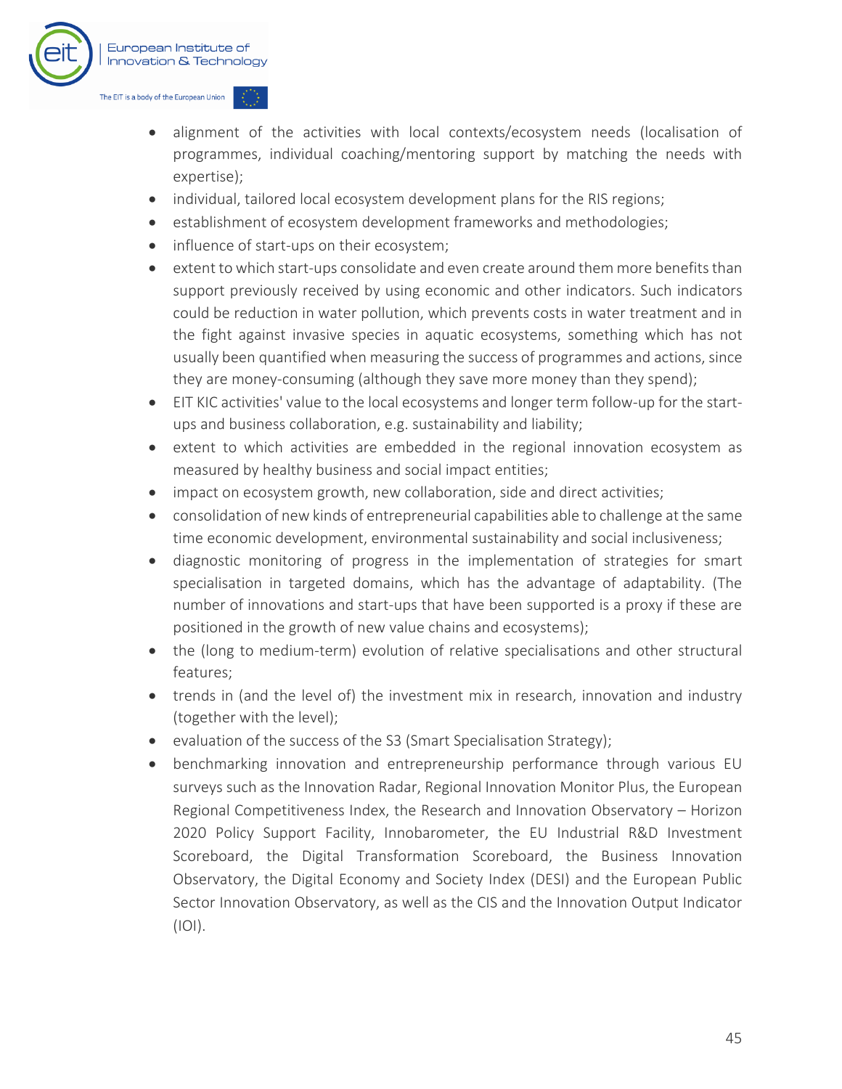

- alignment of the activities with local contexts/ecosystem needs (localisation of programmes, individual coaching/mentoring support by matching the needs with expertise);
- individual, tailored local ecosystem development plans for the RIS regions;
- establishment of ecosystem development frameworks and methodologies;
- influence of start-ups on their ecosystem;
- extent to which start-ups consolidate and even create around them more benefits than support previously received by using economic and other indicators. Such indicators could be reduction in water pollution, which prevents costs in water treatment and in the fight against invasive species in aquatic ecosystems, something which has not usually been quantified when measuring the success of programmes and actions, since they are money-consuming (although they save more money than they spend);
- EIT KIC activities' value to the local ecosystems and longer term follow-up for the startups and business collaboration, e.g. sustainability and liability;
- extent to which activities are embedded in the regional innovation ecosystem as measured by healthy business and social impact entities;
- impact on ecosystem growth, new collaboration, side and direct activities;
- consolidation of new kinds of entrepreneurial capabilities able to challenge at the same time economic development, environmental sustainability and social inclusiveness;
- diagnostic monitoring of progress in the implementation of strategies for smart specialisation in targeted domains, which has the advantage of adaptability. (The number of innovations and start-ups that have been supported is a proxy if these are positioned in the growth of new value chains and ecosystems);
- the (long to medium-term) evolution of relative specialisations and other structural features;
- trends in (and the level of) the investment mix in research, innovation and industry (together with the level);
- evaluation of the success of the S3 (Smart Specialisation Strategy);
- benchmarking innovation and entrepreneurship performance through various EU surveys such as the Innovation Radar, Regional Innovation Monitor Plus, the European Regional Competitiveness Index, the Research and Innovation Observatory – Horizon 2020 Policy Support Facility, Innobarometer, the EU Industrial R&D Investment Scoreboard, the Digital Transformation Scoreboard, the Business Innovation Observatory, the Digital Economy and Society Index (DESI) and the European Public Sector Innovation Observatory, as well as the CIS and the Innovation Output Indicator (IOI).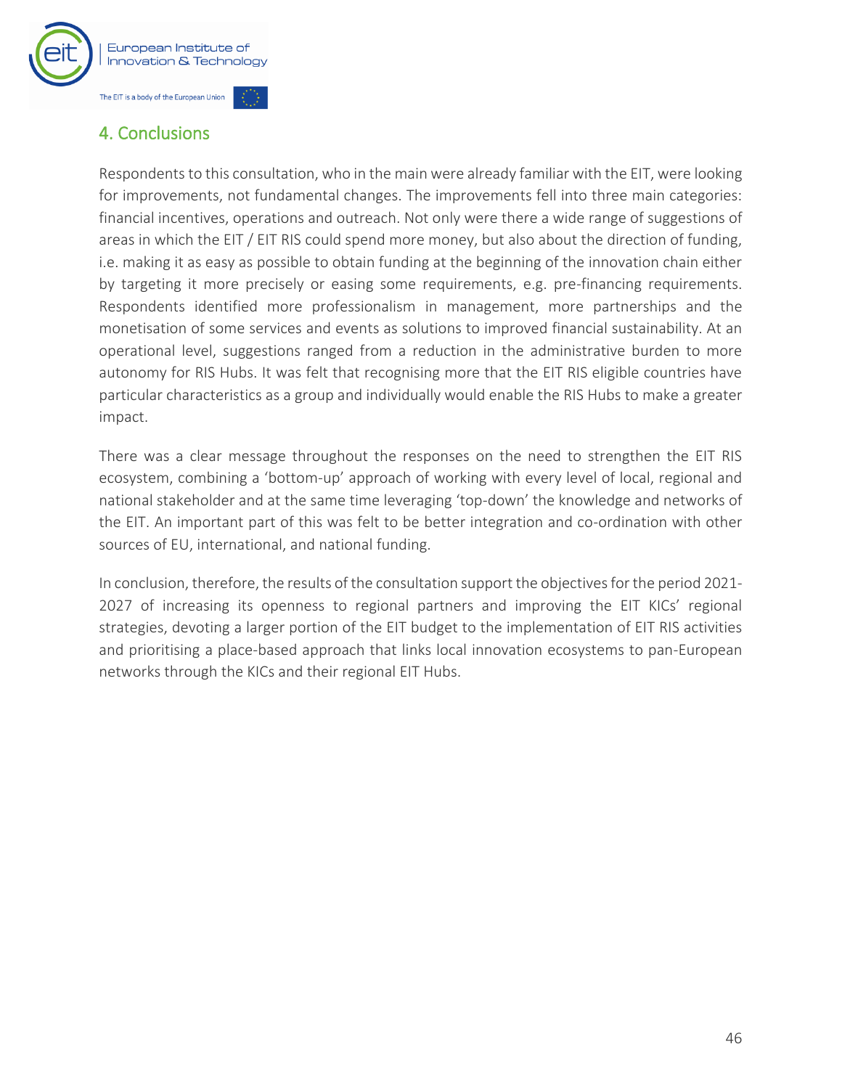

## <span id="page-47-0"></span>4. Conclusions

Respondents to this consultation, who in the main were already familiar with the EIT, were looking for improvements, not fundamental changes. The improvements fell into three main categories: financial incentives, operations and outreach. Not only were there a wide range of suggestions of areas in which the EIT / EIT RIS could spend more money, but also about the direction of funding, i.e. making it as easy as possible to obtain funding at the beginning of the innovation chain either by targeting it more precisely or easing some requirements, e.g. pre-financing requirements. Respondents identified more professionalism in management, more partnerships and the monetisation of some services and events as solutions to improved financial sustainability. At an operational level, suggestions ranged from a reduction in the administrative burden to more autonomy for RIS Hubs. It was felt that recognising more that the EIT RIS eligible countries have particular characteristics as a group and individually would enable the RIS Hubs to make a greater impact.

There was a clear message throughout the responses on the need to strengthen the EIT RIS ecosystem, combining a 'bottom-up' approach of working with every level of local, regional and national stakeholder and at the same time leveraging 'top-down' the knowledge and networks of the EIT. An important part of this was felt to be better integration and co-ordination with other sources of EU, international, and national funding.

In conclusion, therefore, the results of the consultation support the objectives for the period 2021- 2027 of increasing its openness to regional partners and improving the EIT KICs' regional strategies, devoting a larger portion of the EIT budget to the implementation of EIT RIS activities and prioritising a place-based approach that links local innovation ecosystems to pan-European networks through the KICs and their regional EIT Hubs.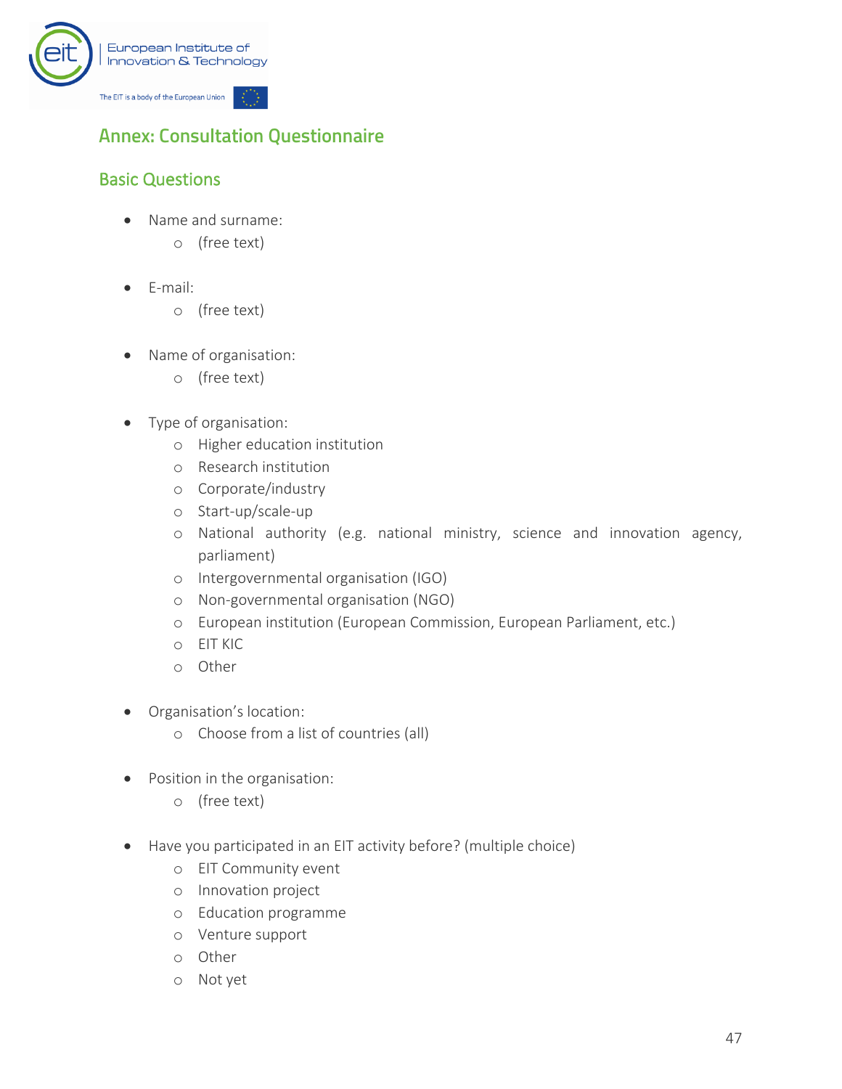

## <span id="page-48-0"></span>**Annex: Consultation Questionnaire**

## Basic Questions

- Name and surname:
	- o (free text)
- E-mail:
	- o (free text)
- Name of organisation:
	- o (free text)
- Type of organisation:
	- o Higher education institution
	- o Research institution
	- o Corporate/industry
	- o Start-up/scale-up
	- o National authority (e.g. national ministry, science and innovation agency, parliament)
	- o Intergovernmental organisation (IGO)
	- o Non-governmental organisation (NGO)
	- o European institution (European Commission, European Parliament, etc.)
	- o EIT KIC
	- o Other
- Organisation's location:
	- o Choose from a list of countries (all)
- Position in the organisation:
	- o (free text)
- Have you participated in an EIT activity before? (multiple choice)
	- o EIT Community event
	- o Innovation project
	- o Education programme
	- o Venture support
	- o Other
	- o Not yet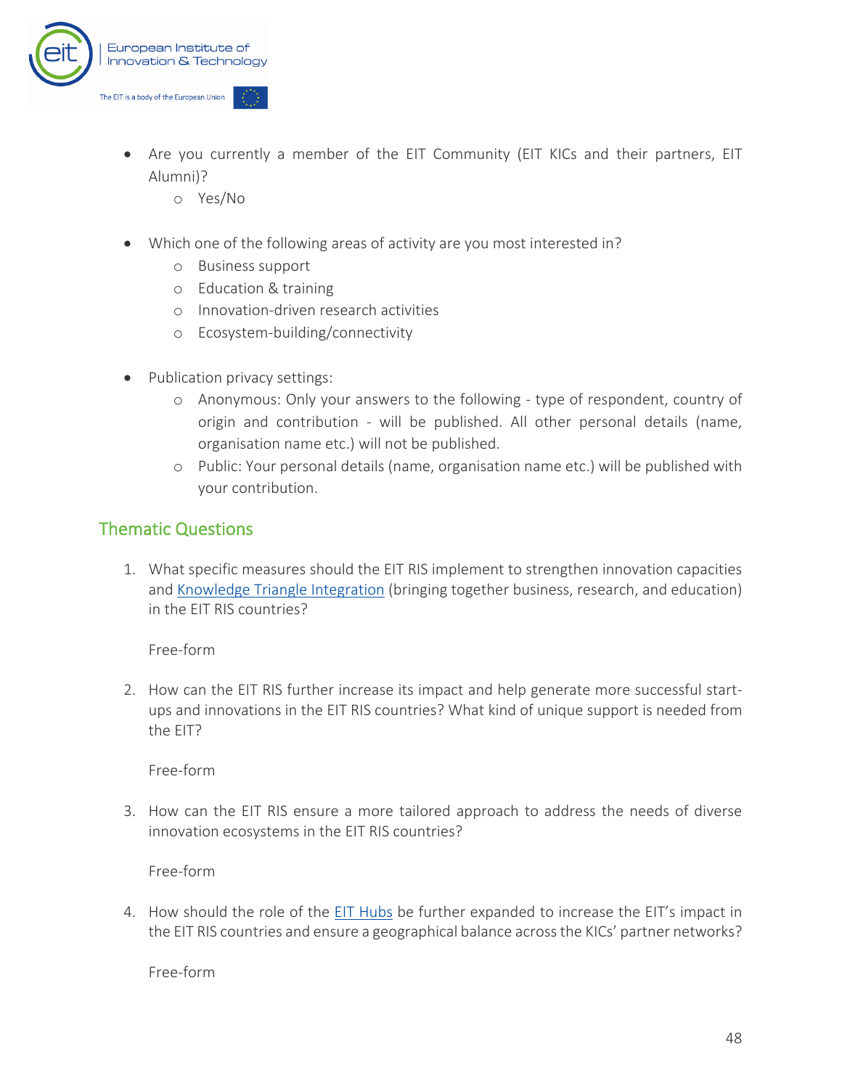

- Are you currently a member of the EIT Community (EIT KICs and their partners, EIT Alumni)?
	- o Yes/No
- Which one of the following areas of activity are you most interested in?
	- o Business support
	- o Education & training
	- o Innovation-driven research activities
	- o Ecosystem-building/connectivity
- Publication privacy settings:
	- o Anonymous: Only your answers to the following type of respondent, country of origin and contribution - will be published. All other personal details (name, organisation name etc.) will not be published.
	- o Public: Your personal details (name, organisation name etc.) will be published with your contribution.

#### Thematic Questions

1. What specific measures should the EIT RIS implement to strengthen innovation capacities and [Knowledge Triangle Integration](https://eit.europa.eu/our-communities/eit-innovation-communities) (bringing together business, research, and education) in the EIT RIS countries?

Free-form

2. How can the EIT RIS further increase its impact and help generate more successful startups and innovations in the EIT RIS countries? What kind of unique support is needed from the EIT?

Free-form

3. How can the EIT RIS ensure a more tailored approach to address the needs of diverse innovation ecosystems in the EIT RIS countries?

Free-form

4. How should the role of the [EIT Hubs](https://eit.europa.eu/our-communities/eit-innovation-communities/innovation-hubs) be further expanded to increase the EIT's impact in the EIT RIS countries and ensure a geographical balance across the KICs' partner networks?

Free-form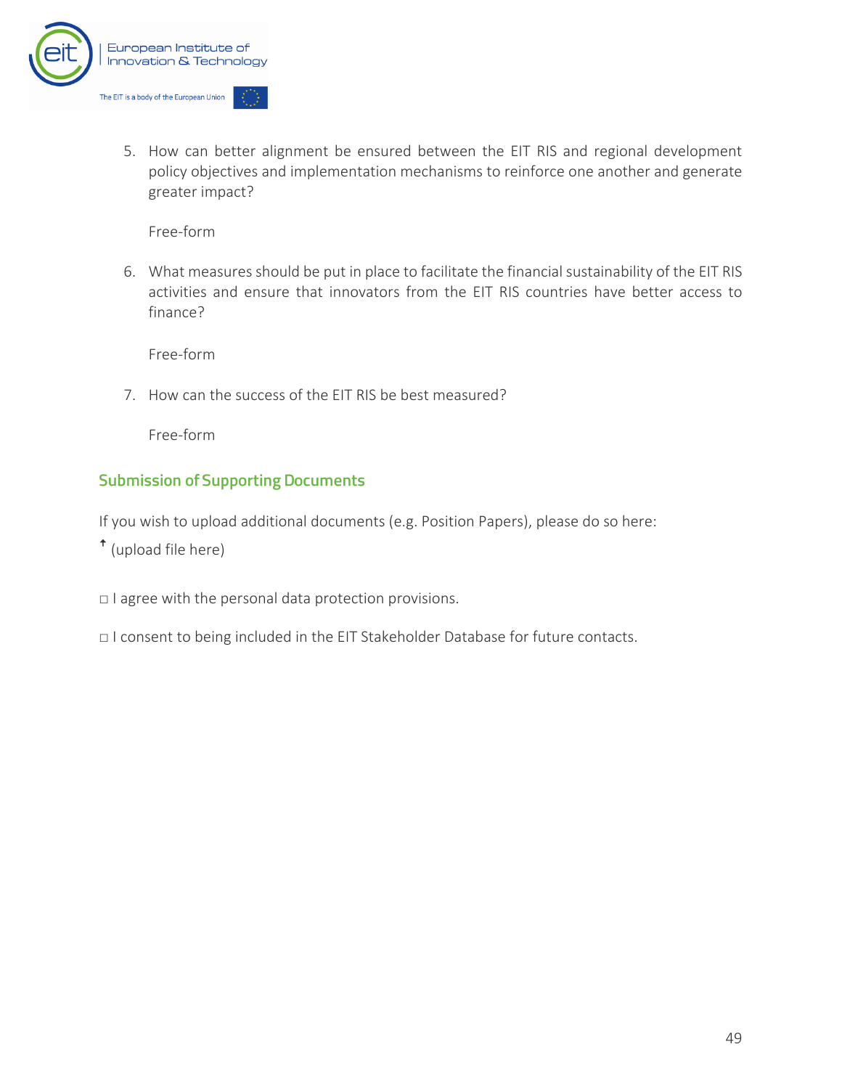

5. How can better alignment be ensured between the EIT RIS and regional development policy objectives and implementation mechanisms to reinforce one another and generate greater impact?

Free-form

6. What measures should be put in place to facilitate the financial sustainability of the EIT RIS activities and ensure that innovators from the EIT RIS countries have better access to finance?

Free-form

7. How can the success of the EIT RIS be best measured?

Free-form

#### **Submission of Supporting Documents**

If you wish to upload additional documents (e.g. Position Papers), please do so here:

ꜛ (upload file here)

□ I agree with the personal data protection provisions.

□ I consent to being included in the EIT Stakeholder Database for future contacts.